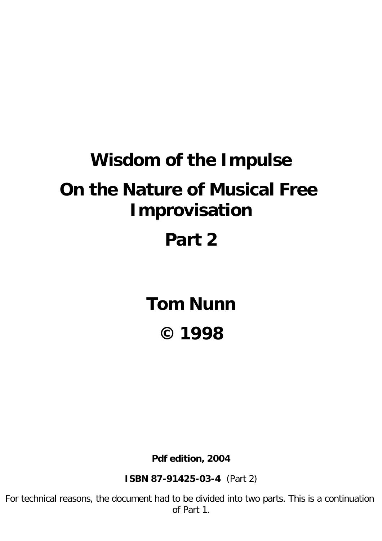# **Wisdom of the Impulse On the Nature of Musical Free Improvisation**

# **Part 2**

**Tom Nunn © 1998**

**Pdf edition, 2004**

**ISBN 87-91425-03-4** (Part 2)

For technical reasons, the document had to be divided into two parts. This is a continuation of Part 1.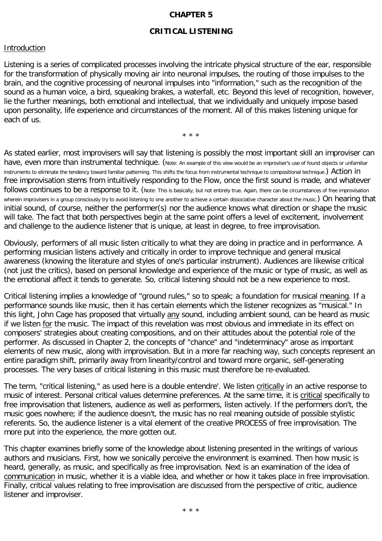# **CHAPTER 5**

# **CRITICAL LISTENING**

#### **Introduction**

Listening is a series of complicated processes involving the intricate physical structure of the ear, responsible for the transformation of physically moving air into neuronal impulses, the routing of those impulses to the brain, and the cognitive processing of neuronal impulses into "information," such as the recognition of the sound as a human voice, a bird, squeaking brakes, a waterfall, etc. Beyond this level of recognition, however, lie the further meanings, both emotional and intellectual, that we individually and uniquely impose based upon personality, life experience and circumstances of the moment. All of this makes listening unique for each of us.

\* \* \*

As stated earlier, most improvisers will say that listening is possibly the most important skill an improviser can have, even more than instrumental technique. (Note: An example of this view would be an improviser's use of found objects or unfamiliar instruments to eliminate the tendency toward familiar patterning. This shifts the focus from instrumental technique to compositional technique.) Action in free improvisation stems from intuitively responding to the Flow, once the first sound is made, and whatever follows continues to be a response to it. (Note: This is basically, but not entirely true. Again, there can be circumstances of free improvisation wherein improvisers in a group consciously try to avoid listening to one another to achieve a certain dissociative character about the music.) On hearing that initial sound, of course, neither the performer(s) nor the audience knows what direction or shape the music will take. The fact that both perspectives begin at the same point offers a level of excitement, involvement and challenge to the audience listener that is unique, at least in degree, to free improvisation.

Obviously, performers of all music listen critically to what they are doing in practice and in performance. A performing musician listens actively and critically in order to improve technique and general musical awareness (knowing the literature and styles of one's particular instrument). Audiences are likewise critical (not just the critics), based on personal knowledge and experience of the music or type of music, as well as the emotional affect it tends to generate. So, critical listening should not be a new experience to most.

Critical listening implies a knowledge of "ground rules," so to speak; a foundation for musical meaning. If a performance sounds like music, then it has certain elements which the listener recognizes as "musical." In this light, John Cage has proposed that virtually any sound, including ambient sound, can be heard as music if we listen for the music. The impact of this revelation was most obvious and immediate in its effect on composers' strategies about creating compositions, and on their attitudes about the potential role of the performer. As discussed in Chapter 2, the concepts of "chance" and "indeterminacy" arose as important elements of new music, along with improvisation. But in a more far reaching way, such concepts represent an entire paradigm shift, primarily away from linearity/control and toward more organic, self-generating processes. The very bases of critical listening in this music must therefore be re-evaluated.

The term, "critical listening," as used here is a double entendre'. We listen critically in an active response to music of interest. Personal critical values determine preferences. At the same time, it is critical specifically to free improvisation that listeners, audience as well as performers, listen actively. If the performers don't, the music goes nowhere; if the audience doesn't, the music has no real meaning outside of possible stylistic referents. So, the audience listener is a vital element of the creative PROCESS of free improvisation. The more put into the experience, the more gotten out.

This chapter examines briefly some of the knowledge about listening presented in the writings of various authors and musicians. First, how we sonically perceive the environment is examined. Then how music is heard, generally, as music, and specifically as free improvisation. Next is an examination of the idea of communication in music, whether it is a viable idea, and whether or how it takes place in free improvisation. Finally, critical values relating to free improvisation are discussed from the perspective of critic, audience listener and improviser.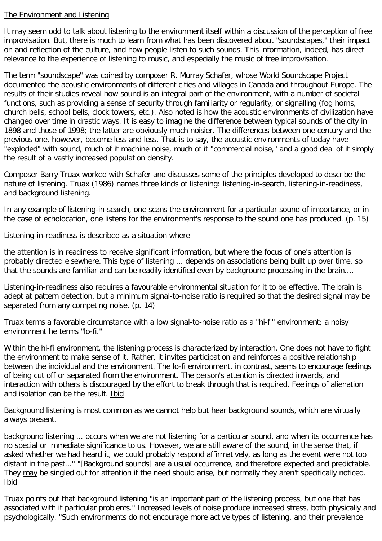# The Environment and Listening

It may seem odd to talk about listening to the environment itself within a discussion of the perception of free improvisation. But, there is much to learn from what has been discovered about "soundscapes," their impact on and reflection of the culture, and how people listen to such sounds. This information, indeed, has direct relevance to the experience of listening to music, and especially the music of free improvisation.

The term "soundscape" was coined by composer R. Murray Schafer, whose World Soundscape Project documented the acoustic environments of different cities and villages in Canada and throughout Europe. The results of their studies reveal how sound is an integral part of the environment, with a number of societal functions, such as providing a sense of security through familiarity or regularity, or signalling (fog horns, church bells, school bells, clock towers, etc.). Also noted is how the acoustic environments of civilization have changed over time in drastic ways. It is easy to imagine the difference between typical sounds of the city in 1898 and those of 1998; the latter are obviously much noisier. The differences between one century and the previous one, however, become less and less. That is to say, the acoustic environments of today have "exploded" with sound, much of it machine noise, much of it "commercial noise," and a good deal of it simply the result of a vastly increased population density.

Composer Barry Truax worked with Schafer and discusses some of the principles developed to describe the nature of listening. Truax (1986) names three kinds of listening: listening-in-search, listening-in-readiness, and background listening.

In any example of listening-in-search, one scans the environment for a particular sound of importance, or in the case of echolocation, one listens for the environment's response to the sound one has produced. (p. 15)

Listening-in-readiness is described as a situation where

the attention is in readiness to receive significant information, but where the focus of one's attention is probably directed elsewhere. This type of listening ... depends on associations being built up over time, so that the sounds are familiar and can be readily identified even by background processing in the brain....

Listening-in-readiness also requires a favourable environmental situation for it to be effective. The brain is adept at pattern detection, but a minimum signal-to-noise ratio is required so that the desired signal may be separated from any competing noise. (p. 14)

Truax terms a favorable circumstance with a low signal-to-noise ratio as a "hi-fi" environment; a noisy environment he terms "lo-fi."

Within the hi-fi environment, the listening process is characterized by interaction. One does not have to fight the environment to make sense of it. Rather, it invites participation and reinforces a positive relationship between the individual and the environment. The lo-fi environment, in contrast, seems to encourage feelings of being cut off or separated from the environment. The person's attention is directed inwards, and interaction with others is discouraged by the effort to break through that is required. Feelings of alienation and isolation can be the result. Ibid

Background listening is most common as we cannot help but hear background sounds, which are virtually always present.

background listening ... occurs when we are not listening for a particular sound, and when its occurrence has no special or immediate significance to us. However, we are still aware of the sound, in the sense that, if asked whether we had heard it, we could probably respond affirmatively, as long as the event were not too distant in the past..." "[Background sounds] are a usual occurrence, and therefore expected and predictable. They may be singled out for attention if the need should arise, but normally they aren't specifically noticed. Ibid

Truax points out that background listening "is an important part of the listening process, but one that has associated with it particular problems." Increased levels of noise produce increased stress, both physically and psychologically. "Such environments do not encourage more active types of listening, and their prevalence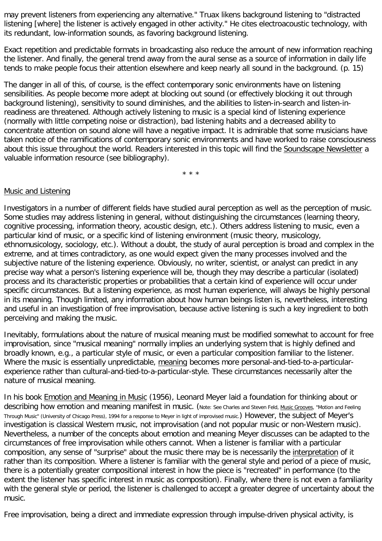may prevent listeners from experiencing any alternative." Truax likens background listening to "distracted listening [where] the listener is actively engaged in other activity." He cites electroacoustic technology, with its redundant, low-information sounds, as favoring background listening.

Exact repetition and predictable formats in broadcasting also reduce the amount of new information reaching the listener. And finally, the general trend away from the aural sense as a source of information in daily life tends to make people focus their attention elsewhere and keep nearly all sound in the background. (p. 15)

The danger in all of this, of course, is the effect contemporary sonic environments have on listening sensibilities. As people become more adept at blocking out sound (or effectively blocking it out through background listening), sensitivity to sound diminishes, and the abilities to listen-in-search and listen-inreadiness are threatened. Although actively listening to music is a special kind of listening experience (normally with little competing noise or distraction), bad listening habits and a decreased ability to concentrate attention on sound alone will have a negative impact. It is admirable that some musicians have taken notice of the ramifications of contemporary sonic environments and have worked to raise consciousness about this issue throughout the world. Readers interested in this topic will find the Soundscape Newsletter a valuable information resource (see bibliography).

\* \* \*

## Music and Listening

Investigators in a number of different fields have studied aural perception as well as the perception of music. Some studies may address listening in general, without distinguishing the circumstances (learning theory, cognitive processing, information theory, acoustic design, etc.). Others address listening to music, even a particular kind of music, or a specific kind of listening environment (music theory, musicology, ethnomusicology, sociology, etc.). Without a doubt, the study of aural perception is broad and complex in the extreme, and at times contradictory, as one would expect given the many processes involved and the subjective nature of the listening experience. Obviously, no writer, scientist, or analyst can predict in any precise way what a person's listening experience will be, though they may describe a particular (isolated) process and its characteristic properties or probabilities that a certain kind of experience will occur under specific circumstances. But a listening experience, as most human experience, will always be highly personal in its meaning. Though limited, any information about how human beings listen is, nevertheless, interesting and useful in an investigation of free improvisation, because active listening is such a key ingredient to both perceiving and making the music.

Inevitably, formulations about the nature of musical meaning must be modified somewhat to account for free improvisation, since "musical meaning" normally implies an underlying system that is highly defined and broadly known, e.g., a particular style of music, or even a particular composition familiar to the listener. Where the music is essentially unpredictable, meaning becomes more personal-and-tied-to-a-particularexperience rather than cultural-and-tied-to-a-particular-style. These circumstances necessarily alter the nature of musical meaning.

In his book Emotion and Meaning in Music (1956), Leonard Meyer laid a foundation for thinking about or describing how emotion and meaning manifest in music. (Note: See Charles and Steven Feld, Music Grooves, "Motion and Feeling Through Music" (University of Chicago Press), 1994 for a response to Meyer in light of improvised music.) However, the subject of Meyer's investigation is classical Western music, not improvisation (and not popular music or non-Western music). Nevertheless, a number of the concepts about emotion and meaning Meyer discusses can be adapted to the circumstances of free improvisation while others cannot. When a listener is familiar with a particular composition, any sense of "surprise" about the music there may be is necessarily the interpretation of it rather than its composition. Where a listener is familiar with the general style and period of a piece of music, there is a potentially greater compositional interest in how the piece is "recreated" in performance (to the extent the listener has specific interest in music as composition). Finally, where there is not even a familiarity with the general style or period, the listener is challenged to accept a greater degree of uncertainty about the music.

Free improvisation, being a direct and immediate expression through impulse-driven physical activity, is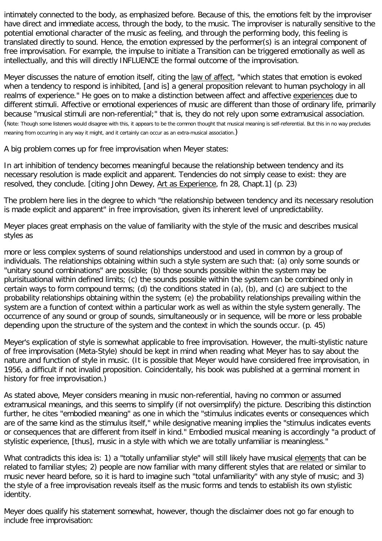intimately connected to the body, as emphasized before. Because of this, the emotions felt by the improviser have direct and immediate access, through the body, to the music. The improviser is naturally sensitive to the potential emotional character of the music as feeling, and through the performing body, this feeling is translated directly to sound. Hence, the emotion expressed by the performer(s) is an integral component of free improvisation. For example, the impulse to initiate a Transition can be triggered emotionally as well as intellectually, and this will directly INFLUENCE the formal outcome of the improvisation.

Meyer discusses the nature of emotion itself, citing the law of affect, "which states that emotion is evoked when a tendency to respond is inhibited, [and is] a general proposition relevant to human psychology in all realms of experience." He goes on to make a distinction between affect and affective experiences due to different stimuli. Affective or emotional experiences of music are different than those of ordinary life, primarily because "musical stimuli are non-referential;" that is, they do not rely upon some extramusical association. (Note: Though some listeners would disagree with this, it appears to be the common thought that musical meaning is self-referential. But this in no way precludes meaning from occurring in any way it might, and it certainly can occur as an extra-musical association.)

A big problem comes up for free improvisation when Meyer states:

In art inhibition of tendency becomes meaningful because the relationship between tendency and its necessary resolution is made explicit and apparent. Tendencies do not simply cease to exist: they are resolved, they conclude. [citing John Dewey, Art as Experience, fn 28, Chapt.1] (p. 23)

The problem here lies in the degree to which "the relationship between tendency and its necessary resolution is made explicit and apparent" in free improvisation, given its inherent level of unpredictability.

Meyer places great emphasis on the value of familiarity with the style of the music and describes musical styles as

more or less complex systems of sound relationships understood and used in common by a group of individuals. The relationships obtaining within such a style system are such that: (a) only some sounds or "unitary sound combinations" are possible; (b) those sounds possible within the system may be plurisituational within defined limits; (c) the sounds possible within the system can be combined only in certain ways to form compound terms; (d) the conditions stated in (a), (b), and (c) are subject to the probability relationships obtaining within the system; (e) the probability relationships prevailing within the system are a function of context within a particular work as well as within the style system generally. The occurrence of any sound or group of sounds, simultaneously or in sequence, will be more or less probable depending upon the structure of the system and the context in which the sounds occur. (p. 45)

Meyer's explication of style is somewhat applicable to free improvisation. However, the multi-stylistic nature of free improvisation (Meta-Style) should be kept in mind when reading what Meyer has to say about the nature and function of style in music. (It is possible that Meyer would have considered free improvisation, in 1956, a difficult if not invalid proposition. Coincidentally, his book was published at a germinal moment in history for free improvisation.)

As stated above, Meyer considers meaning in music non-referential, having no common or assumed extramusical meanings, and this seems to simplify (if not oversimplify) the picture. Describing this distinction further, he cites "embodied meaning" as one in which the "stimulus indicates events or consequences which are of the same kind as the stimulus itself," while designative meaning implies the "stimulus indicates events or consequences that are different from itself in kind." Embodied musical meaning is accordingly "a product of stylistic experience, [thus], music in a style with which we are totally unfamiliar is meaningless."

What contradicts this idea is: 1) a "totally unfamiliar style" will still likely have musical elements that can be related to familiar styles; 2) people are now familiar with many different styles that are related or similar to music never heard before, so it is hard to imagine such "total unfamiliarity" with any style of music; and 3) the style of a free improvisation reveals itself as the music forms and tends to establish its own stylistic identity.

Meyer does qualify his statement somewhat, however, though the disclaimer does not go far enough to include free improvisation: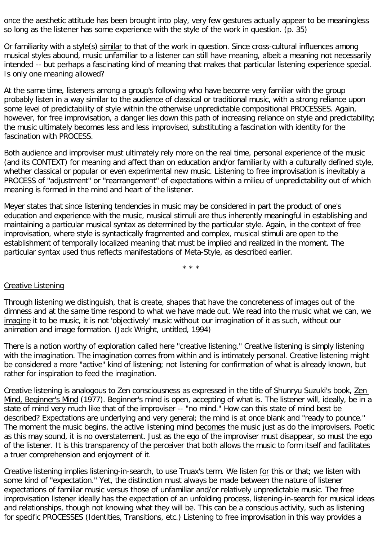once the aesthetic attitude has been brought into play, very few gestures actually appear to be meaningless so long as the listener has some experience with the style of the work in question. (p. 35)

Or familiarity with a style(s) similar to that of the work in question. Since cross-cultural influences among musical styles abound, music unfamiliar to a listener can still have meaning, albeit a meaning not necessarily intended -- but perhaps a fascinating kind of meaning that makes that particular listening experience special. Is only one meaning allowed?

At the same time, listeners among a group's following who have become very familiar with the group probably listen in a way similar to the audience of classical or traditional music, with a strong reliance upon some level of predictability of style within the otherwise unpredictable compositional PROCESSES. Again, however, for free improvisation, a danger lies down this path of increasing reliance on style and predictability; the music ultimately becomes less and less improvised, substituting a fascination with identity for the fascination with PROCESS.

Both audience and improviser must ultimately rely more on the real time, personal experience of the music (and its CONTEXT) for meaning and affect than on education and/or familiarity with a culturally defined style, whether classical or popular or even experimental new music. Listening to free improvisation is inevitably a PROCESS of "adjustment" or "rearrangement" of expectations within a milieu of unpredictability out of which meaning is formed in the mind and heart of the listener.

Meyer states that since listening tendencies in music may be considered in part the product of one's education and experience with the music, musical stimuli are thus inherently meaningful in establishing and maintaining a particular musical syntax as determined by the particular style. Again, in the context of free improvisation, where style is syntactically fragmented and complex, musical stimuli are open to the establishment of temporally localized meaning that must be implied and realized in the moment. The particular syntax used thus reflects manifestations of Meta-Style, as described earlier.

\* \* \*

## Creative Listening

Through listening we distinguish, that is create, shapes that have the concreteness of images out of the dimness and at the same time respond to what we have made out. We read into the music what we can, we imagine it to be music, it is not 'objectively' music without our imagination of it as such, without our animation and image formation. (Jack Wright, untitled, 1994)

There is a notion worthy of exploration called here "creative listening." Creative listening is simply listening with the imagination. The imagination comes from within and is intimately personal. Creative listening might be considered a more "active" kind of listening; not listening for confirmation of what is already known, but rather for inspiration to feed the imagination.

Creative listening is analogous to Zen consciousness as expressed in the title of Shunryu Suzuki's book, Zen Mind, Beginner's Mind (1977). Beginner's mind is open, accepting of what is. The listener will, ideally, be in a state of mind very much like that of the improviser -- "no mind." How can this state of mind best be described? Expectations are underlying and very general; the mind is at once blank and "ready to pounce." The moment the music begins, the active listening mind becomes the music just as do the improvisers. Poetic as this may sound, it is no overstatement. Just as the ego of the improviser must disappear, so must the ego of the listener. It is this transparency of the perceiver that both allows the music to form itself and facilitates a truer comprehension and enjoyment of it.

Creative listening implies listening-in-search, to use Truax's term. We listen for this or that; we listen with some kind of "expectation." Yet, the distinction must always be made between the nature of listener expectations of familiar music versus those of unfamiliar and/or relatively unpredictable music. The free improvisation listener ideally has the expectation of an unfolding process, listening-in-search for musical ideas and relationships, though not knowing what they will be. This can be a conscious activity, such as listening for specific PROCESSES (Identities, Transitions, etc.) Listening to free improvisation in this way provides a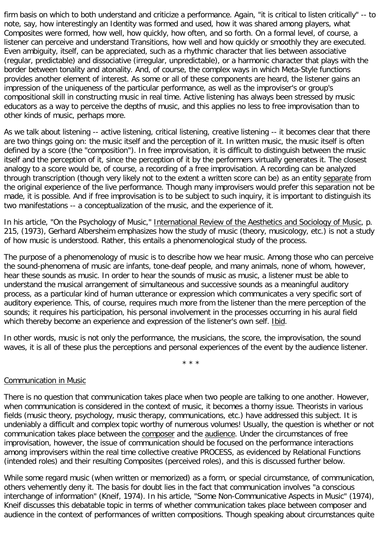firm basis on which to both understand and criticize a performance. Again, "it is critical to listen critically" -- to note, say, how interestingly an Identity was formed and used, how it was shared among players, what Composites were formed, how well, how quickly, how often, and so forth. On a formal level, of course, a listener can perceive and understand Transitions, how well and how quickly or smoothly they are executed. Even ambiguity, itself, can be appreciated, such as a rhythmic character that lies between associative (regular, predictable) and dissociative (irregular, unpredictable), or a harmonic character that plays with the border between tonality and atonality. And, of course, the complex ways in which Meta-Style functions provides another element of interest. As some or all of these components are heard, the listener gains an impression of the uniqueness of the particular performance, as well as the improviser's or group's compositional skill in constructing music in real time. Active listening has always been stressed by music educators as a way to perceive the depths of music, and this applies no less to free improvisation than to other kinds of music, perhaps more.

As we talk about listening -- active listening, critical listening, creative listening -- it becomes clear that there are two things going on: the music itself and the perception of it. In written music, the music itself is often defined by a score (the "composition"). In free improvisation, it is difficult to distinguish between the music itself and the perception of it, since the perception of it by the performers virtually generates it. The closest analogy to a score would be, of course, a recording of a free improvisation. A recording can be analyzed through transcription (though very likely not to the extent a written score can be) as an entity separate from the original experience of the live performance. Though many improvisers would prefer this separation not be made, it is possible. And if free improvisation is to be subject to such inquiry, it is important to distinguish its two manifestations -- a conceptualization of the music, and the experience of it.

In his article, "On the Psychology of Music," International Review of the Aesthetics and Sociology of Music, p. 215, (1973), Gerhard Albersheim emphasizes how the study of music (theory, musicology, etc.) is not a study of how music is understood. Rather, this entails a phenomenological study of the process.

The purpose of a phenomenology of music is to describe how we hear music. Among those who can perceive the sound-phenomena of music are infants, tone-deaf people, and many animals, none of whom, however, hear these sounds as music. In order to hear the sounds of music as music, a listener must be able to understand the musical arrangement of simultaneous and successive sounds as a meaningful auditory process, as a particular kind of human utterance or expression which communicates a very specific sort of auditory experience. This, of course, requires much more from the listener than the mere perception of the sounds; it requires his participation, his personal involvement in the processes occurring in his aural field which thereby become an experience and expression of the listener's own self. Ibid.

In other words, music is not only the performance, the musicians, the score, the improvisation, the sound waves, it is all of these plus the perceptions and personal experiences of the event by the audience listener.

\* \* \*

## Communication in Music

There is no question that communication takes place when two people are talking to one another. However, when communication is considered in the context of music, it becomes a thorny issue. Theorists in various fields (music theory, psychology, music therapy, communications, etc.) have addressed this subject. It is undeniably a difficult and complex topic worthy of numerous volumes! Usually, the question is whether or not communication takes place between the composer and the audience. Under the circumstances of free improvisation, however, the issue of communication should be focused on the performance interactions among improvisers within the real time collective creative PROCESS, as evidenced by Relational Functions (intended roles) and their resulting Composites (perceived roles), and this is discussed further below.

While some regard music (when written or memorized) as a form, or special circumstance, of communication, others vehemently deny it. The basis for doubt lies in the fact that communication involves "a conscious interchange of information" (Kneif, 1974). In his article, "Some Non-Communicative Aspects in Music" (1974), Kneif discusses this debatable topic in terms of whether communication takes place between composer and audience in the context of performances of written compositions. Though speaking about circumstances quite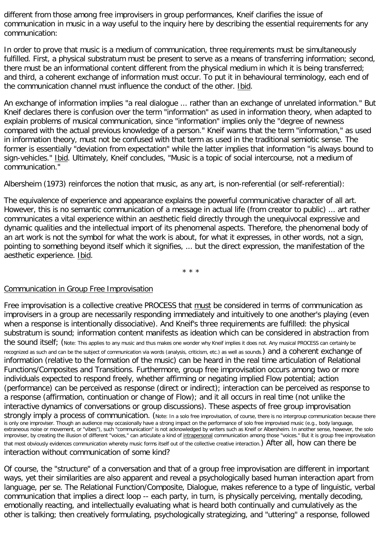different from those among free improvisers in group performances, Kneif clarifies the issue of communication in music in a way useful to the inquiry here by describing the essential requirements for any communication:

In order to prove that music is a medium of communication, three requirements must be simultaneously fulfilled. First, a physical substratum must be present to serve as a means of transferring information; second, there must be an informational content different from the physical medium in which it is being transferred; and third, a coherent exchange of information must occur. To put it in behavioural terminology, each end of the communication channel must influence the conduct of the other. Ibid.

An exchange of information implies "a real dialogue ... rather than an exchange of unrelated information." But Kneif declares there is confusion over the term "information" as used in information theory, when adapted to explain problems of musical communication, since "information" implies only the "degree of newness compared with the actual previous knowledge of a person." Kneif warns that the term "information," as used in information theory, must not be confused with that term as used in the traditional semiotic sense. The former is essentially "deviation from expectation" while the latter implies that information "is always bound to sign-vehicles." Ibid. Ultimately, Kneif concludes, "Music is a topic of social intercourse, not a medium of communication."

Albersheim (1973) reinforces the notion that music, as any art, is non-referential (or self-referential):

The equivalence of experience and appearance explains the powerful communicative character of all art. However, this is no semantic communication of a message in actual life (from creator to public) ... art rather communicates a vital experience within an aesthetic field directly through the unequivocal expressive and dynamic qualities and the intellectual import of its phenomenal aspects. Therefore, the phenomenal body of an art work is not the symbol for what the work is about, for what it expresses, in other words, not a sign, pointing to something beyond itself which it signifies, ... but the direct expression, the manifestation of the aesthetic experience. Ibid.

\* \* \*

## Communication in Group Free Improvisation

Free improvisation is a collective creative PROCESS that must be considered in terms of communication as improvisers in a group are necessarily responding immediately and intuitively to one another's playing (even when a response is intentionally dissociative). And Kneif's three requirements are fulfilled: the physical substratum is sound; information content manifests as ideation which can be considered in abstraction from the sound itself; (Note: This applies to any music and thus makes one wonder why Kneif implies it does not. Any musical PROCESS can certainly be recognized as such and can be the subject of communication via words (analysis, criticism, etc.) as well as sounds.) and a coherent exchange of information (relative to the formation of the music) can be heard in the real time articulation of Relational Functions/Composites and Transitions. Furthermore, group free improvisation occurs among two or more individuals expected to respond freely, whether affirming or negating implied Flow potential; action (performance) can be perceived as response (direct or indirect); interaction can be perceived as response to a response (affirmation, continuation or change of Flow); and it all occurs in real time (not unlike the interactive dynamics of conversations or group discussions). These aspects of free group improvisation strongly imply a process of communication. (Note: In a solo free improvisation, of course, there is no intergroup communication because there is only one improviser. Though an audience may occasionally have a strong impact on the performance of solo free improvised music (e.g., body language, extraneous noise or movement, or "vibes"), such "communication" is not acknowledged by writers such as Kneif or Albersheim. In another sense, however, the solo improviser, by creating the illusion of different "voices," can articulate a kind of intrapersonal communication among those "voices." But it is group free improvisation that most obviously evidences communication whereby music forms itself out of the collective creative interaction.) After all, how can there be interaction without communication of some kind?

Of course, the "structure" of a conversation and that of a group free improvisation are different in important ways, yet their similarities are also apparent and reveal a psychologically based human interaction apart from language, per se. The Relational Function/Composite, Dialogue, makes reference to a type of linguistic, verbal communication that implies a direct loop -- each party, in turn, is physically perceiving, mentally decoding, emotionally reacting, and intellectually evaluating what is heard both continually and cumulatively as the other is talking; then creatively formulating, psychologically strategizing, and "uttering" a response, followed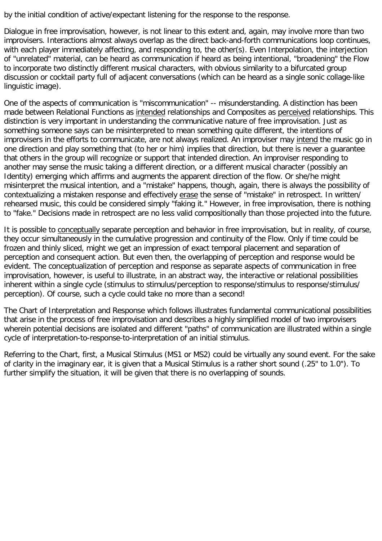by the initial condition of active/expectant listening for the response to the response.

Dialogue in free improvisation, however, is not linear to this extent and, again, may involve more than two improvisers. Interactions almost always overlap as the direct back-and-forth communications loop continues, with each player immediately affecting, and responding to, the other(s). Even Interpolation, the interjection of "unrelated" material, can be heard as communication if heard as being intentional, "broadening" the Flow to incorporate two distinctly different musical characters, with obvious similarity to a bifurcated group discussion or cocktail party full of adjacent conversations (which can be heard as a single sonic collage-like linguistic image).

One of the aspects of communication is "miscommunication" -- misunderstanding. A distinction has been made between Relational Functions as intended relationships and Composites as perceived relationships. This distinction is very important in understanding the communicative nature of free improvisation. Just as something someone says can be misinterpreted to mean something quite different, the intentions of improvisers in the efforts to communicate, are not always realized. An improviser may intend the music go in one direction and play something that (to her or him) implies that direction, but there is never a guarantee that others in the group will recognize or support that intended direction. An improviser responding to another may sense the music taking a different direction, or a different musical character (possibly an Identity) emerging which affirms and augments the apparent direction of the flow. Or she/he might misinterpret the musical intention, and a "mistake" happens, though, again, there is always the possibility of contextualizing a mistaken response and effectively erase the sense of "mistake" in retrospect. In written/ rehearsed music, this could be considered simply "faking it." However, in free improvisation, there is nothing to "fake." Decisions made in retrospect are no less valid compositionally than those projected into the future.

It is possible to conceptually separate perception and behavior in free improvisation, but in reality, of course, they occur simultaneously in the cumulative progression and continuity of the Flow. Only if time could be frozen and thinly sliced, might we get an impression of exact temporal placement and separation of perception and consequent action. But even then, the overlapping of perception and response would be evident. The conceptualization of perception and response as separate aspects of communication in free improvisation, however, is useful to illustrate, in an abstract way, the interactive or relational possibilities inherent within a single cycle (stimulus to stimulus/perception to response/stimulus to response/stimulus/ perception). Of course, such a cycle could take no more than a second!

The Chart of Interpretation and Response which follows illustrates fundamental communicational possibilities that arise in the process of free improvisation and describes a highly simplified model of two improvisers wherein potential decisions are isolated and different "paths" of communication are illustrated within a single cycle of interpretation-to-response-to-interpretation of an initial stimulus.

Referring to the Chart, first, a Musical Stimulus (MS1 or MS2) could be virtually any sound event. For the sake of clarity in the imaginary ear, it is given that a Musical Stimulus is a rather short sound (.25" to 1.0"). To further simplify the situation, it will be given that there is no overlapping of sounds.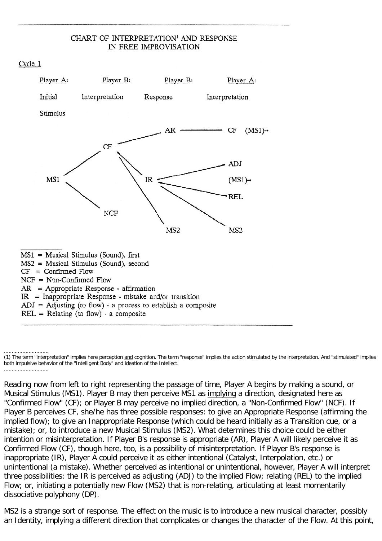#### CHART OF INTERPRETATION<sup>1</sup> AND RESPONSE IN FREE IMPROVISATION





<sup>.............................</sup> (1) The term "interpretation" implies here perception and cognition. The term "response" implies the action stimulated by the interpretation. And "stimulated" implies both impulsive behavior of the "Intelligent Body" and ideation of the Intellect. .............................

Reading now from left to right representing the passage of time, Player A begins by making a sound, or Musical Stimulus (MS1). Player B may then perceive MS1 as implying a direction, designated here as "Confirmed Flow" (CF); or Player B may perceive no implied direction, a "Non-Confirmed Flow" (NCF). If Player B perceives CF, she/he has three possible responses: to give an Appropriate Response (affirming the implied flow); to give an Inappropriate Response (which could be heard initially as a Transition cue, or a mistake); or, to introduce a new Musical Stimulus (MS2). What determines this choice could be either intention or misinterpretation. If Player B's response is appropriate (AR), Player A will likely perceive it as Confirmed Flow (CF), though here, too, is a possibility of misinterpretation. If Player B's response is inappropriate (IR), Player A could perceive it as either intentional (Catalyst, Interpolation, etc.) or unintentional (a mistake). Whether perceived as intentional or unintentional, however, Player A will interpret three possibilities: the IR is perceived as adjusting (ADJ) to the implied Flow; relating (REL) to the implied Flow; or, initiating a potentially new Flow (MS2) that is non-relating, articulating at least momentarily dissociative polyphony (DP).

MS2 is a strange sort of response. The effect on the music is to introduce a new musical character, possibly an Identity, implying a different direction that complicates or changes the character of the Flow. At this point,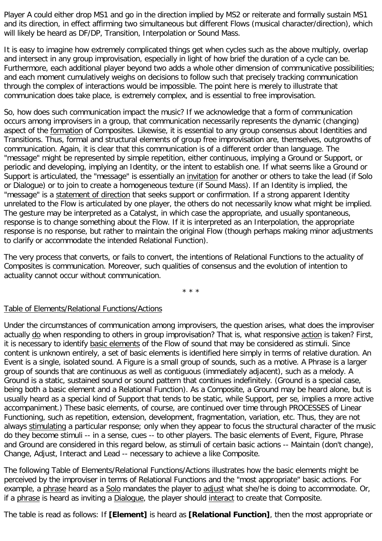Player A could either drop MS1 and go in the direction implied by MS2 or reiterate and formally sustain MS1 and its direction, in effect affirming two simultaneous but different Flows (musical character/direction), which will likely be heard as DF/DP, Transition, Interpolation or Sound Mass.

It is easy to imagine how extremely complicated things get when cycles such as the above multiply, overlap and intersect in any group improvisation, especially in light of how brief the duration of a cycle can be. Furthermore, each additional player beyond two adds a whole other dimension of communicative possibilities; and each moment cumulatively weighs on decisions to follow such that precisely tracking communication through the complex of interactions would be impossible. The point here is merely to illustrate that communication does take place, is extremely complex, and is essential to free improvisation.

So, how does such communication impact the music? If we acknowledge that a form of communication occurs among improvisers in a group, that communication necessarily represents the dynamic (changing) aspect of the formation of Composites. Likewise, it is essential to any group consensus about Identities and Transitions. Thus, formal and structural elements of group free improvisation are, themselves, outgrowths of communication. Again, it is clear that this communication is of a different order than language. The "message" might be represented by simple repetition, either continuous, implying a Ground or Support, or periodic and developing, implying an Identity, or the intent to establish one. If what seems like a Ground or Support is articulated, the "message" is essentially an invitation for another or others to take the lead (if Solo or Dialogue) or to join to create a homogeneous texture (if Sound Mass). If an Identity is implied, the "message" is a statement of direction that seeks support or confirmation. If a strong apparent Identity unrelated to the Flow is articulated by one player, the others do not necessarily know what might be implied. The gesture may be interpreted as a Catalyst, in which case the appropriate, and usually spontaneous, response is to change something about the Flow. If it is interpreted as an Interpolation, the appropriate response is no response, but rather to maintain the original Flow (though perhaps making minor adjustments to clarify or accommodate the intended Relational Function).

The very process that converts, or fails to convert, the intentions of Relational Functions to the actuality of Composites is communication. Moreover, such qualities of consensus and the evolution of intention to actuality cannot occur without communication.

\* \* \*

## Table of Elements/Relational Functions/Actions

Under the circumstances of communication among improvisers, the question arises, what does the improviser actually do when responding to others in group improvisation? That is, what responsive action is taken? First, it is necessary to identify basic elements of the Flow of sound that may be considered as stimuli. Since content is unknown entirely, a set of basic elements is identified here simply in terms of relative duration. An Event is a single, isolated sound. A Figure is a small group of sounds, such as a motive. A Phrase is a larger group of sounds that are continuous as well as contiguous (immediately adjacent), such as a melody. A Ground is a static, sustained sound or sound pattern that continues indefinitely. (Ground is a special case, being both a basic element and a Relational Function). As a Composite, a Ground may be heard alone, but is usually heard as a special kind of Support that tends to be static, while Support, per se, implies a more active accompaniment.) These basic elements, of course, are continued over time through PROCESSES of Linear Functioning, such as repetition, extension, development, fragmentation, variation, etc. Thus, they are not always stimulating a particular response; only when they appear to focus the structural character of the music do they become stimuli -- in a sense, cues -- to other players. The basic elements of Event, Figure, Phrase and Ground are considered in this regard below, as stimuli of certain basic actions -- Maintain (don't change), Change, Adjust, Interact and Lead -- necessary to achieve a like Composite.

The following Table of Elements/Relational Functions/Actions illustrates how the basic elements might be perceived by the improviser in terms of Relational Functions and the "most appropriate" basic actions. For example, a phrase heard as a Solo mandates the player to adjust what she/he is doing to accommodate. Or, if a phrase is heard as inviting a Dialogue, the player should interact to create that Composite.

The table is read as follows: If **[Element]** is heard as **[Relational Function]**, then the most appropriate or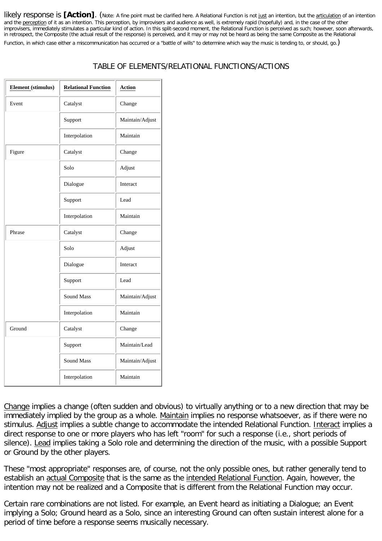likely response is [Action]. (Note: A fine point must be clarified here. A Relational Function is not just an intention, but the articulation of an intention and the perception of it as an intention. This perception, by improvisers and audience as well, is extremely rapid (hopefully) and, in the case of the other improvisers, immediately stimulates a particular kind of action. In this split-second moment, the Relational Function is perceived as such; however, soon afterwards, in retrospect, the Composite (the actual result of the response) is perceived, and it may or may not be heard as being the same Composite as the Relational Function, in which case either a miscommunication has occurred or a "battle of wills" to determine which way the music is tending to, or should, go.)

# TABLE OF ELEMENTS/RELATIONAL FUNCTIONS/ACTIONS

| <b>Element</b> (stimulus) | <b>Relational Function</b> | Action          |
|---------------------------|----------------------------|-----------------|
| Event                     | Catalyst                   | Change          |
|                           | Support                    | Maintain/Adjust |
|                           | Interpolation              | Maintain        |
| Figure                    | Catalyst                   | Change          |
|                           | Solo                       | Adjust          |
|                           | Dialogue                   | Interact        |
|                           | Support                    | Lead            |
|                           | Interpolation              | Maintain        |
| Phrase                    | Catalyst                   | Change          |
|                           | Solo                       | Adjust          |
|                           | Dialogue                   | Interact        |
|                           | Support                    | Lead            |
|                           | <b>Sound Mass</b>          | Maintain/Adjust |
|                           | Interpolation              | Maintain        |
| Ground                    | Catalyst                   | Change          |
|                           | Support                    | Maintain/Lead   |
|                           | Sound Mass                 | Maintain/Adjust |
|                           | Interpolation              | Maintain        |

Change implies a change (often sudden and obvious) to virtually anything or to a new direction that may be immediately implied by the group as a whole. Maintain implies no response whatsoever, as if there were no stimulus. Adjust implies a subtle change to accommodate the intended Relational Function. Interact implies a direct response to one or more players who has left "room" for such a response (i.e., short periods of silence). Lead implies taking a Solo role and determining the direction of the music, with a possible Support or Ground by the other players.

These "most appropriate" responses are, of course, not the only possible ones, but rather generally tend to establish an actual Composite that is the same as the intended Relational Function. Again, however, the intention may not be realized and a Composite that is different from the Relational Function may occur.

Certain rare combinations are not listed. For example, an Event heard as initiating a Dialogue; an Event implying a Solo; Ground heard as a Solo, since an interesting Ground can often sustain interest alone for a period of time before a response seems musically necessary.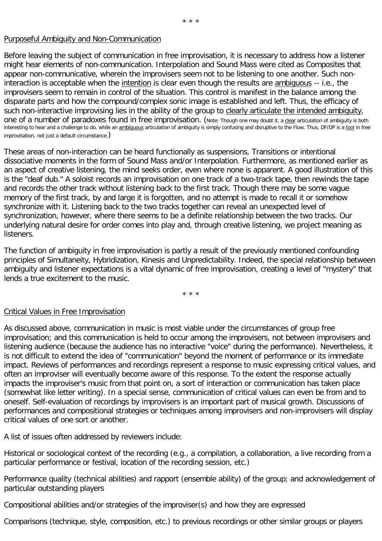#### Purposeful Ambiguity and Non-Communication

Before leaving the subject of communication in free improvisation, it is necessary to address how a listener might hear elements of non-communication. Interpolation and Sound Mass were cited as Composites that appear non-communicative, wherein the improvisers seem not to be listening to one another. Such noninteraction is acceptable when the intention is clear even though the results are ambiguous -- i.e., the improvisers seem to remain in control of the situation. This control is manifest in the balance among the disparate parts and how the compound/complex sonic image is established and left. Thus, the efficacy of such non-interactive improvising lies in the ability of the group to clearly articulate the intended ambiguity, one of a number of paradoxes found in free improvisation. (Note: Though one may doubt it, a clear articulation of ambiguity is both interesting to hear and a challenge to do, while an ambiguous articulation of ambiguity is simply confusing and disruptive to the Flow. Thus, DF/DP is a tool in free improvisation, not just a default circumstance.)

These areas of non-interaction can be heard functionally as suspensions, Transitions or intentional dissociative moments in the form of Sound Mass and/or Interpolation. Furthermore, as mentioned earlier as an aspect of creative listening, the mind seeks order, even where none is apparent. A good illustration of this is the "deaf dub." A soloist records an improvisation on one track of a two-track tape, then rewinds the tape and records the other track without listening back to the first track. Though there may be some vague memory of the first track, by and large it is forgotten, and no attempt is made to recall it or somehow synchronize with it. Listening back to the two tracks together can reveal an unexpected level of synchronization, however, where there seems to be a definite relationship between the two tracks. Our underlying natural desire for order comes into play and, through creative listening, we project meaning as listeners.

The function of ambiguity in free improvisation is partly a result of the previously mentioned confounding principles of Simultaneity, Hybridization, Kinesis and Unpredictability. Indeed, the special relationship between ambiguity and listener expectations is a vital dynamic of free improvisation, creating a level of "mystery" that lends a true excitement to the music.

\* \* \*

## Critical Values in Free Improvisation

As discussed above, communication in music is most viable under the circumstances of group free improvisation; and this communication is held to occur among the improvisers, not between improvisers and listening audience (because the audience has no interactive "voice" during the performance). Nevertheless, it is not difficult to extend the idea of "communication" beyond the moment of performance or its immediate impact. Reviews of performances and recordings represent a response to music expressing critical values, and often an improviser will eventually become aware of this response. To the extent the response actually impacts the improviser's music from that point on, a sort of interaction or communication has taken place (somewhat like letter writing). In a special sense, communication of critical values can even be from and to oneself. Self-evaluation of recordings by improvisers is an important part of musical growth. Discussions of performances and compositional strategies or techniques among improvisers and non-improvisers will display critical values of one sort or another.

A list of issues often addressed by reviewers include:

Historical or sociological context of the recording (e.g., a compilation, a collaboration, a live recording from a particular performance or festival, location of the recording session, etc.)

Performance quality (technical abilities) and rapport (ensemble ability) of the group; and acknowledgement of particular outstanding players

Compositional abilities and/or strategies of the improviser(s) and how they are expressed

Comparisons (technique, style, composition, etc.) to previous recordings or other similar groups or players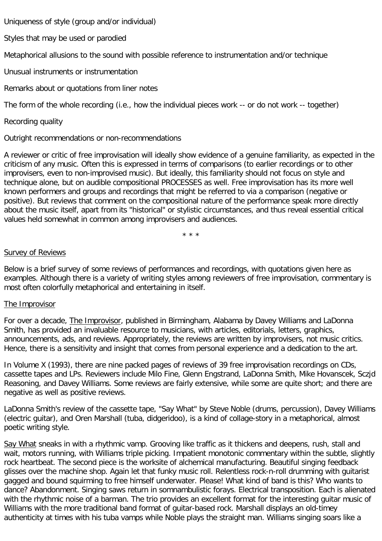Uniqueness of style (group and/or individual)

Styles that may be used or parodied

Metaphorical allusions to the sound with possible reference to instrumentation and/or technique

Unusual instruments or instrumentation

Remarks about or quotations from liner notes

The form of the whole recording (i.e., how the individual pieces work -- or do not work -- together)

Recording quality

Outright recommendations or non-recommendations

A reviewer or critic of free improvisation will ideally show evidence of a genuine familiarity, as expected in the criticism of any music. Often this is expressed in terms of comparisons (to earlier recordings or to other improvisers, even to non-improvised music). But ideally, this familiarity should not focus on style and technique alone, but on audible compositional PROCESSES as well. Free improvisation has its more well known performers and groups and recordings that might be referred to via a comparison (negative or positive). But reviews that comment on the compositional nature of the performance speak more directly about the music itself, apart from its "historical" or stylistic circumstances, and thus reveal essential critical values held somewhat in common among improvisers and audiences.

\* \* \*

#### Survey of Reviews

Below is a brief survey of some reviews of performances and recordings, with quotations given here as examples. Although there is a variety of writing styles among reviewers of free improvisation, commentary is most often colorfully metaphorical and entertaining in itself.

## The Improvisor

For over a decade, The Improvisor, published in Birmingham, Alabama by Davey Williams and LaDonna Smith, has provided an invaluable resource to musicians, with articles, editorials, letters, graphics, announcements, ads, and reviews. Appropriately, the reviews are written by improvisers, not music critics. Hence, there is a sensitivity and insight that comes from personal experience and a dedication to the art.

In Volume X (1993), there are nine packed pages of reviews of 39 free improvisation recordings on CDs, cassette tapes and LPs. Reviewers include Milo Fine, Glenn Engstrand, LaDonna Smith, Mike Hovanscek, Sczjd Reasoning, and Davey Williams. Some reviews are fairly extensive, while some are quite short; and there are negative as well as positive reviews.

LaDonna Smith's review of the cassette tape, "Say What" by Steve Noble (drums, percussion), Davey Williams (electric guitar), and Oren Marshall (tuba, didgeridoo), is a kind of collage-story in a metaphorical, almost poetic writing style.

Say What sneaks in with a rhythmic vamp. Grooving like traffic as it thickens and deepens, rush, stall and wait, motors running, with Williams triple picking. Impatient monotonic commentary within the subtle, slightly rock heartbeat. The second piece is the worksite of alchemical manufacturing. Beautiful singing feedback glisses over the machine shop. Again let that funky music roll. Relentless rock-n-roll drumming with guitarist gagged and bound squirming to free himself underwater. Please! What kind of band is this? Who wants to dance? Abandonment. Singing saws return in somnambulistic forays. Electrical transposition. Each is alienated with the rhythmic noise of a barman. The trio provides an excellent format for the interesting guitar music of Williams with the more traditional band format of guitar-based rock. Marshall displays an old-timey authenticity at times with his tuba vamps while Noble plays the straight man. Williams singing soars like a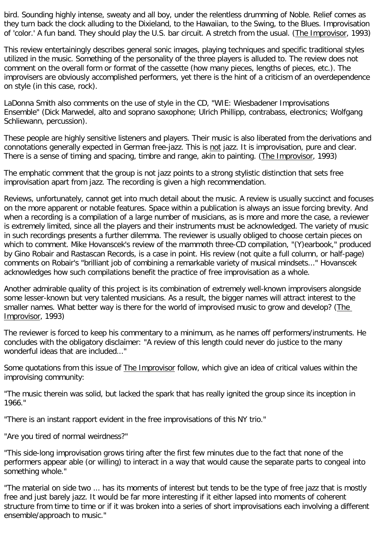bird. Sounding highly intense, sweaty and all boy, under the relentless drumming of Noble. Relief comes as they turn back the clock alluding to the Dixieland, to the Hawaiian, to the Swing, to the Blues. Improvisation of 'color.' A fun band. They should play the U.S. bar circuit. A stretch from the usual. (The Improvisor, 1993)

This review entertainingly describes general sonic images, playing techniques and specific traditional styles utilized in the music. Something of the personality of the three players is alluded to. The review does not comment on the overall form or format of the cassette (how many pieces, lengths of pieces, etc.). The improvisers are obviously accomplished performers, yet there is the hint of a criticism of an overdependence on style (in this case, rock).

LaDonna Smith also comments on the use of style in the CD, "WIE: Wiesbadener Improvisations Ensemble" (Dick Marwedel, alto and soprano saxophone; Ulrich Phillipp, contrabass, electronics; Wolfgang Schliewann, percussion).

These people are highly sensitive listeners and players. Their music is also liberated from the derivations and connotations generally expected in German free-jazz. This is not jazz. It is improvisation, pure and clear. There is a sense of timing and spacing, timbre and range, akin to painting. (The Improvisor, 1993)

The emphatic comment that the group is not jazz points to a strong stylistic distinction that sets free improvisation apart from jazz. The recording is given a high recommendation.

Reviews, unfortunately, cannot get into much detail about the music. A review is usually succinct and focuses on the more apparent or notable features. Space within a publication is always an issue forcing brevity. And when a recording is a compilation of a large number of musicians, as is more and more the case, a reviewer is extremely limited, since all the players and their instruments must be acknowledged. The variety of music in such recordings presents a further dilemma. The reviewer is usually obliged to choose certain pieces on which to comment. Mike Hovanscek's review of the mammoth three-CD compilation, "(Y)earbook," produced by Gino Robair and Rastascan Records, is a case in point. His review (not quite a full column, or half-page) comments on Robair's "brilliant job of combining a remarkable variety of musical mindsets..." Hovanscek acknowledges how such compilations benefit the practice of free improvisation as a whole.

Another admirable quality of this project is its combination of extremely well-known improvisers alongside some lesser-known but very talented musicians. As a result, the bigger names will attract interest to the smaller names. What better way is there for the world of improvised music to grow and develop? (The Improvisor, 1993)

The reviewer is forced to keep his commentary to a minimum, as he names off performers/instruments. He concludes with the obligatory disclaimer: "A review of this length could never do justice to the many wonderful ideas that are included..."

Some quotations from this issue of The Improvisor follow, which give an idea of critical values within the improvising community:

"The music therein was solid, but lacked the spark that has really ignited the group since its inception in 1966."

"There is an instant rapport evident in the free improvisations of this NY trio."

"Are you tired of normal weirdness?"

"This side-long improvisation grows tiring after the first few minutes due to the fact that none of the performers appear able (or willing) to interact in a way that would cause the separate parts to congeal into something whole."

"The material on side two ... has its moments of interest but tends to be the type of free jazz that is mostly free and just barely jazz. It would be far more interesting if it either lapsed into moments of coherent structure from time to time or if it was broken into a series of short improvisations each involving a different ensemble/approach to music."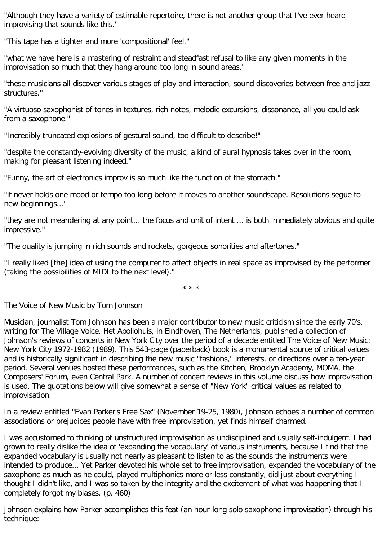"Although they have a variety of estimable repertoire, there is not another group that I've ever heard improvising that sounds like this."

"This tape has a tighter and more 'compositional' feel."

"what we have here is a mastering of restraint and steadfast refusal to like any given moments in the improvisation so much that they hang around too long in sound areas."

"these musicians all discover various stages of play and interaction, sound discoveries between free and jazz structures."

"A virtuoso saxophonist of tones in textures, rich notes, melodic excursions, dissonance, all you could ask from a saxophone."

"Incredibly truncated explosions of gestural sound, too difficult to describe!"

"despite the constantly-evolving diversity of the music, a kind of aural hypnosis takes over in the room, making for pleasant listening indeed."

"Funny, the art of electronics improv is so much like the function of the stomach."

"it never holds one mood or tempo too long before it moves to another soundscape. Resolutions segue to new beginnings..."

"they are not meandering at any point... the focus and unit of intent ... is both immediately obvious and quite impressive."

"The quality is jumping in rich sounds and rockets, gorgeous sonorities and aftertones."

"I really liked [the] idea of using the computer to affect objects in real space as improvised by the performer (taking the possibilities of MIDI to the next level)."

\* \* \*

## The Voice of New Music by Tom Johnson

Musician, journalist Tom Johnson has been a major contributor to new music criticism since the early 70's, writing for The Village Voice. Het Apollohuis, in Eindhoven, The Netherlands, published a collection of Johnson's reviews of concerts in New York City over the period of a decade entitled The Voice of New Music: New York City 1972-1982 (1989). This 543-page (paperback) book is a monumental source of critical values and is historically significant in describing the new music "fashions," interests, or directions over a ten-year period. Several venues hosted these performances, such as the Kitchen, Brooklyn Academy, MOMA, the Composers' Forum, even Central Park. A number of concert reviews in this volume discuss how improvisation is used. The quotations below will give somewhat a sense of "New York" critical values as related to improvisation.

In a review entitled "Evan Parker's Free Sax" (November 19-25, 1980), Johnson echoes a number of common associations or prejudices people have with free improvisation, yet finds himself charmed.

I was accustomed to thinking of unstructured improvisation as undisciplined and usually self-indulgent. I had grown to really dislike the idea of 'expanding the vocabulary' of various instruments, because I find that the expanded vocabulary is usually not nearly as pleasant to listen to as the sounds the instruments were intended to produce... Yet Parker devoted his whole set to free improvisation, expanded the vocabulary of the saxophone as much as he could, played multiphonics more or less constantly, did just about everything I thought I didn't like, and I was so taken by the integrity and the excitement of what was happening that I completely forgot my biases. (p. 460)

Johnson explains how Parker accomplishes this feat (an hour-long solo saxophone improvisation) through his technique: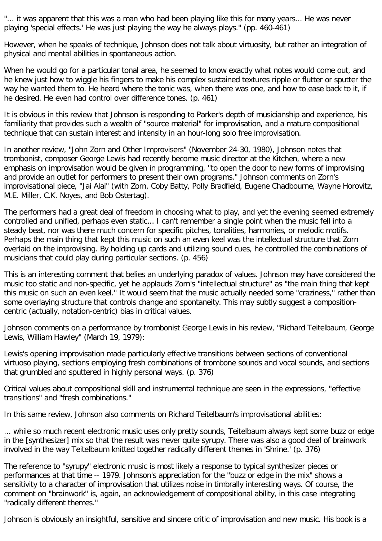"... it was apparent that this was a man who had been playing like this for many years... He was never playing 'special effects.' He was just playing the way he always plays." (pp. 460-461)

However, when he speaks of technique, Johnson does not talk about virtuosity, but rather an integration of physical and mental abilities in spontaneous action.

When he would go for a particular tonal area, he seemed to know exactly what notes would come out, and he knew just how to wiggle his fingers to make his complex sustained textures ripple or flutter or sputter the way he wanted them to. He heard where the tonic was, when there was one, and how to ease back to it, if he desired. He even had control over difference tones. (p. 461)

It is obvious in this review that Johnson is responding to Parker's depth of musicianship and experience, his familiarity that provides such a wealth of "source material" for improvisation, and a mature compositional technique that can sustain interest and intensity in an hour-long solo free improvisation.

In another review, "John Zorn and Other Improvisers" (November 24-30, 1980), Johnson notes that trombonist, composer George Lewis had recently become music director at the Kitchen, where a new emphasis on improvisation would be given in programming, "to open the door to new forms of improvising and provide an outlet for performers to present their own programs." Johnson comments on Zorn's improvisational piece, "Jai Alai" (with Zorn, Coby Batty, Polly Bradfield, Eugene Chadbourne, Wayne Horovitz, M.E. Miller, C.K. Noyes, and Bob Ostertag).

The performers had a great deal of freedom in choosing what to play, and yet the evening seemed extremely controlled and unified, perhaps even static... I can't remember a single point when the music fell into a steady beat, nor was there much concern for specific pitches, tonalities, harmonies, or melodic motifs. Perhaps the main thing that kept this music on such an even keel was the intellectual structure that Zorn overlaid on the improvising. By holding up cards and utilizing sound cues, he controlled the combinations of musicians that could play during particular sections. (p. 456)

This is an interesting comment that belies an underlying paradox of values. Johnson may have considered the music too static and non-specific, yet he applauds Zorn's "intellectual structure" as "the main thing that kept this music on such an even keel." It would seem that the music actually needed some "craziness," rather than some overlaying structure that controls change and spontaneity. This may subtly suggest a compositioncentric (actually, notation-centric) bias in critical values.

Johnson comments on a performance by trombonist George Lewis in his review, "Richard Teitelbaum, George Lewis, William Hawley" (March 19, 1979):

Lewis's opening improvisation made particularly effective transitions between sections of conventional virtuoso playing, sections employing fresh combinations of trombone sounds and vocal sounds, and sections that grumbled and sputtered in highly personal ways. (p. 376)

Critical values about compositional skill and instrumental technique are seen in the expressions, "effective transitions" and "fresh combinations."

In this same review, Johnson also comments on Richard Teitelbaum's improvisational abilities:

... while so much recent electronic music uses only pretty sounds, Teitelbaum always kept some buzz or edge in the [synthesizer] mix so that the result was never quite syrupy. There was also a good deal of brainwork involved in the way Teitelbaum knitted together radically different themes in 'Shrine.' (p. 376)

The reference to "syrupy" electronic music is most likely a response to typical synthesizer pieces or performances at that time -- 1979. Johnson's appreciation for the "buzz or edge in the mix" shows a sensitivity to a character of improvisation that utilizes noise in timbrally interesting ways. Of course, the comment on "brainwork" is, again, an acknowledgement of compositional ability, in this case integrating "radically different themes."

Johnson is obviously an insightful, sensitive and sincere critic of improvisation and new music. His book is a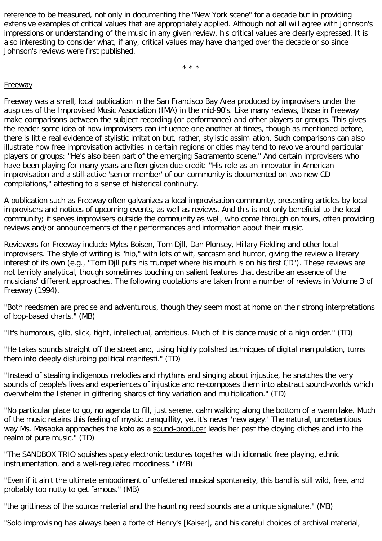reference to be treasured, not only in documenting the "New York scene" for a decade but in providing extensive examples of critical values that are appropriately applied. Although not all will agree with Johnson's impressions or understanding of the music in any given review, his critical values are clearly expressed. It is also interesting to consider what, if any, critical values may have changed over the decade or so since Johnson's reviews were first published.

\* \* \*

#### Freeway

Freeway was a small, local publication in the San Francisco Bay Area produced by improvisers under the auspices of the Improvised Music Association (IMA) in the mid-90's. Like many reviews, those in Freeway make comparisons between the subject recording (or performance) and other players or groups. This gives the reader some idea of how improvisers can influence one another at times, though as mentioned before, there is little real evidence of stylistic imitation but, rather, stylistic assimilation. Such comparisons can also illustrate how free improvisation activities in certain regions or cities may tend to revolve around particular players or groups: "He's also been part of the emerging Sacramento scene." And certain improvisers who have been playing for many years are ften given due credit: "His role as an innovator in American improvisation and a still-active 'senior member' of our community is documented on two new CD compilations," attesting to a sense of historical continuity.

A publication such as Freeway often galvanizes a local improvisation community, presenting articles by local improvisers and notices of upcoming events, as well as reviews. And this is not only beneficial to the local community; it serves improvisers outside the community as well, who come through on tours, often providing reviews and/or announcements of their performances and information about their music.

Reviewers for Freeway include Myles Boisen, Tom Djll, Dan Plonsey, Hillary Fielding and other local improvisers. The style of writing is "hip," with lots of wit, sarcasm and humor, giving the review a literary interest of its own (e.g., "Tom Djll puts his trumpet where his mouth is on his first CD"). These reviews are not terribly analytical, though sometimes touching on salient features that describe an essence of the musicians' different approaches. The following quotations are taken from a number of reviews in Volume 3 of Freeway (1994).

"Both reedsmen are precise and adventurous, though they seem most at home on their strong interpretations of bop-based charts." (MB)

"It's humorous, glib, slick, tight, intellectual, ambitious. Much of it is dance music of a high order." (TD)

"He takes sounds straight off the street and, using highly polished techniques of digital manipulation, turns them into deeply disturbing political manifesti." (TD)

"Instead of stealing indigenous melodies and rhythms and singing about injustice, he snatches the very sounds of people's lives and experiences of injustice and re-composes them into abstract sound-worlds which overwhelm the listener in glittering shards of tiny variation and multiplication." (TD)

"No particular place to go, no agenda to fill, just serene, calm walking along the bottom of a warm lake. Much of the music retains this feeling of mystic tranquillity, yet it's never 'new agey.' The natural, unpretentious way Ms. Masaoka approaches the koto as a sound-producer leads her past the cloying cliches and into the realm of pure music." (TD)

"The SANDBOX TRIO squishes spacy electronic textures together with idiomatic free playing, ethnic instrumentation, and a well-regulated moodiness." (MB)

"Even if it ain't the ultimate embodiment of unfettered musical spontaneity, this band is still wild, free, and probably too nutty to get famous." (MB)

"the grittiness of the source material and the haunting reed sounds are a unique signature." (MB)

"Solo improvising has always been a forte of Henry's [Kaiser], and his careful choices of archival material,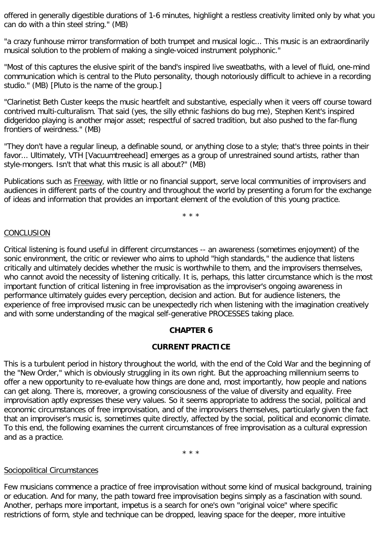offered in generally digestible durations of 1-6 minutes, highlight a restless creativity limited only by what you can do with a thin steel string." (MB)

"a crazy funhouse mirror transformation of both trumpet and musical logic... This music is an extraordinarily musical solution to the problem of making a single-voiced instrument polyphonic."

"Most of this captures the elusive spirit of the band's inspired live sweatbaths, with a level of fluid, one-mind communication which is central to the Pluto personality, though notoriously difficult to achieve in a recording studio." (MB) [Pluto is the name of the group.]

"Clarinetist Beth Custer keeps the music heartfelt and substantive, especially when it veers off course toward contrived multi-culturalism. That said (yes, the silly ethnic fashions do bug me), Stephen Kent's inspired didgeridoo playing is another major asset; respectful of sacred tradition, but also pushed to the far-flung frontiers of weirdness." (MB)

"They don't have a regular lineup, a definable sound, or anything close to a style; that's three points in their favor... Ultimately, VTH [Vacuumtreehead] emerges as a group of unrestrained sound artists, rather than style-mongers. Isn't that what this music is all about?" (MB)

Publications such as Freeway, with little or no financial support, serve local communities of improvisers and audiences in different parts of the country and throughout the world by presenting a forum for the exchange of ideas and information that provides an important element of the evolution of this young practice.

\* \* \*

## CONCLUSION

Critical listening is found useful in different circumstances -- an awareness (sometimes enjoyment) of the sonic environment, the critic or reviewer who aims to uphold "high standards," the audience that listens critically and ultimately decides whether the music is worthwhile to them, and the improvisers themselves, who cannot avoid the necessity of listening critically. It is, perhaps, this latter circumstance which is the most important function of critical listening in free improvisation as the improviser's ongoing awareness in performance ultimately guides every perception, decision and action. But for audience listeners, the experience of free improvised music can be unexpectedly rich when listening with the imagination creatively and with some understanding of the magical self-generative PROCESSES taking place.

## **CHAPTER 6**

## **CURRENT PRACTICE**

This is a turbulent period in history throughout the world, with the end of the Cold War and the beginning of the "New Order," which is obviously struggling in its own right. But the approaching millennium seems to offer a new opportunity to re-evaluate how things are done and, most importantly, how people and nations can get along. There is, moreover, a growing consciousness of the value of diversity and equality. Free improvisation aptly expresses these very values. So it seems appropriate to address the social, political and economic circumstances of free improvisation, and of the improvisers themselves, particularly given the fact that an improviser's music is, sometimes quite directly, affected by the social, political and economic climate. To this end, the following examines the current circumstances of free improvisation as a cultural expression and as a practice.

\* \* \*

## Sociopolitical Circumstances

Few musicians commence a practice of free improvisation without some kind of musical background, training or education. And for many, the path toward free improvisation begins simply as a fascination with sound. Another, perhaps more important, impetus is a search for one's own "original voice" where specific restrictions of form, style and technique can be dropped, leaving space for the deeper, more intuitive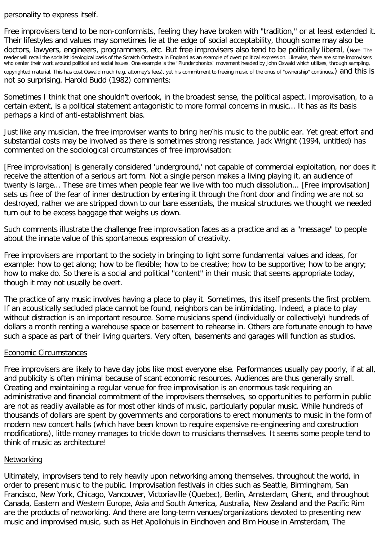## personality to express itself.

Free improvisers tend to be non-conformists, feeling they have broken with "tradition," or at least extended it. Their lifestyles and values may sometimes lie at the edge of social acceptability, though some may also be doctors, lawyers, engineers, programmers, etc. But free improvisers also tend to be politically liberal, (Note: The reader will recall the socialist ideological basis of the Scratch Orchestra in England as an example of overt political expression. Likewise, there are some improvisers who center their work around political and social issues. One example is the "Plunderphonics" movement headed by John Oswald which utilizes, through sampling, copyrighted material. This has cost Oswald much (e.g. attorney's fees), yet his commitment to freeing music of the onus of "ownership" continues.) and this is not so surprising. Harold Budd (1982) comments:

Sometimes I think that one shouldn't overlook, in the broadest sense, the political aspect. Improvisation, to a certain extent, is a political statement antagonistic to more formal concerns in music... It has as its basis perhaps a kind of anti-establishment bias.

Just like any musician, the free improviser wants to bring her/his music to the public ear. Yet great effort and substantial costs may be involved as there is sometimes strong resistance. Jack Wright (1994, untitled) has commented on the sociological circumstances of free improvisation:

[Free improvisation] is generally considered 'underground,' not capable of commercial exploitation, nor does it receive the attention of a serious art form. Not a single person makes a living playing it, an audience of twenty is large... These are times when people fear we live with too much dissolution... [Free improvisation] sets us free of the fear of inner destruction by entering it through the front door and finding we are not so destroyed, rather we are stripped down to our bare essentials, the musical structures we thought we needed turn out to be excess baggage that weighs us down.

Such comments illustrate the challenge free improvisation faces as a practice and as a "message" to people about the innate value of this spontaneous expression of creativity.

Free improvisers are important to the society in bringing to light some fundamental values and ideas, for example: how to get along; how to be flexible; how to be creative; how to be supportive; how to be angry; how to make do. So there is a social and political "content" in their music that seems appropriate today, though it may not usually be overt.

The practice of any music involves having a place to play it. Sometimes, this itself presents the first problem. If an acoustically secluded place cannot be found, neighbors can be intimidating. Indeed, a place to play without distraction is an important resource. Some musicians spend (individually or collectively) hundreds of dollars a month renting a warehouse space or basement to rehearse in. Others are fortunate enough to have such a space as part of their living quarters. Very often, basements and garages will function as studios.

## Economic Circumstances

Free improvisers are likely to have day jobs like most everyone else. Performances usually pay poorly, if at all, and publicity is often minimal because of scant economic resources. Audiences are thus generally small. Creating and maintaining a regular venue for free improvisation is an enormous task requiring an administrative and financial commitment of the improvisers themselves, so opportunities to perform in public are not as readily available as for most other kinds of music, particularly popular music. While hundreds of thousands of dollars are spent by governments and corporations to erect monuments to music in the form of modern new concert halls (which have been known to require expensive re-engineering and construction modifications), little money manages to trickle down to musicians themselves. It seems some people tend to think of music as architecture!

## Networking

Ultimately, improvisers tend to rely heavily upon networking among themselves, throughout the world, in order to present music to the public. Improvisation festivals in cities such as Seattle, Birmingham, San Francisco, New York, Chicago, Vancouver, Victoriaville (Quebec), Berlin, Amsterdam, Ghent, and throughout Canada, Eastern and Western Europe, Asia and South America, Australia, New Zealand and the Pacific Rim are the products of networking. And there are long-term venues/organizations devoted to presenting new music and improvised music, such as Het Apollohuis in Eindhoven and Bim House in Amsterdam, The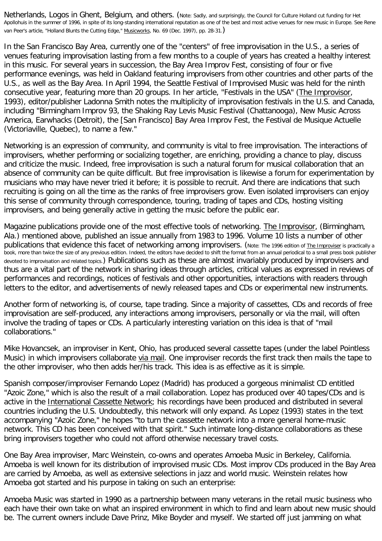Netherlands, Logos in Ghent, Belgium, and others. (Note: Sadly, and surprisingly, the Council for Culture Holland cut funding for Het Apollohuis in the summer of 1996, in spite of its long-standing international reputation as one of the best and most active venues for new music in Europe. See Rene van Peer's article, "Holland Blunts the Cutting Edge," Musicworks, No. 69 (Dec. 1997), pp. 28-31.)

In the San Francisco Bay Area, currently one of the "centers" of free improvisation in the U.S., a series of venues featuring improvisation lasting from a few months to a couple of years has created a healthy interest in this music. For several years in succession, the Bay Area Improv Fest, consisting of four or five performance evenings, was held in Oakland featuring improvisers from other countries and other parts of the U.S., as well as the Bay Area. In April 1994, the Seattle Festival of Improvised Music was held for the ninth consecutive year, featuring more than 20 groups. In her article, "Festivals in the USA" (The Improvisor, 1993), editor/publisher Ladonna Smith notes the multiplicity of improvisation festivals in the U.S. and Canada, including "Birmingham Improv 93, the Shaking Ray Levis Music Festival (Chattanooga), New Music Across America, Earwhacks (Detroit), the [San Francisco] Bay Area Improv Fest, the Festival de Musique Actuelle (Victoriaville, Quebec), to name a few."

Networking is an expression of community, and community is vital to free improvisation. The interactions of improvisers, whether performing or socializing together, are enriching, providing a chance to play, discuss and criticize the music. Indeed, free improvisation is such a natural forum for musical collaboration that an absence of community can be quite difficult. But free improvisation is likewise a forum for experimentation by musicians who may have never tried it before; it is possible to recruit. And there are indications that such recruiting is going on all the time as the ranks of free improvisers grow. Even isolated improvisers can enjoy this sense of community through correspondence, touring, trading of tapes and CDs, hosting visiting improvisers, and being generally active in getting the music before the public ear.

Magazine publications provide one of the most effective tools of networking. The Improvisor, (Birmingham, Ala.) mentioned above, published an issue annually from 1983 to 1996. Volume 10 lists a number of other publications that evidence this facet of networking among improvisers. (Note: The 1996 edition of The Improviser is practically a book, more than twice the size of any previous edition. Indeed, the editors have decided to shift the format from an annual periodical to a small press book publisher devoted to improvisation and related topics.) Publications such as these are almost invariably produced by improvisers and thus are a vital part of the network in sharing ideas through articles, critical values as expressed in reviews of performances and recordings, notices of festivals and other opportunities, interactions with readers through letters to the editor, and advertisements of newly released tapes and CDs or experimental new instruments.

Another form of networking is, of course, tape trading. Since a majority of cassettes, CDs and records of free improvisation are self-produced, any interactions among improvisers, personally or via the mail, will often involve the trading of tapes or CDs. A particularly interesting variation on this idea is that of "mail collaborations."

Mike Hovancsek, an improviser in Kent, Ohio, has produced several cassette tapes (under the label Pointless Music) in which improvisers collaborate via mail. One improviser records the first track then mails the tape to the other improviser, who then adds her/his track. This idea is as effective as it is simple.

Spanish composer/improviser Fernando Lopez (Madrid) has produced a gorgeous minimalist CD entitled "Azoic Zone," which is also the result of a mail collaboration. Lopez has produced over 40 tapes/CDs and is active in the International Cassette Network; his recordings have been produced and distributed in several countries including the U.S. Undoubtedly, this network will only expand. As Lopez (1993) states in the text accompanying "Azoic Zone," he hopes "to turn the cassette network into a more general home-music network. This CD has been conceived with that spirit." Such intimate long-distance collaborations as these bring improvisers together who could not afford otherwise necessary travel costs.

One Bay Area improviser, Marc Weinstein, co-owns and operates Amoeba Music in Berkeley, California. Amoeba is well known for its distribution of improvised music CDs. Most improv CDs produced in the Bay Area are carried by Amoeba, as well as extensive selections in jazz and world music. Weinstein relates how Amoeba got started and his purpose in taking on such an enterprise:

Amoeba Music was started in 1990 as a partnership between many veterans in the retail music business who each have their own take on what an inspired environment in which to find and learn about new music should be. The current owners include Dave Prinz, Mike Boyder and myself. We started off just jamming on what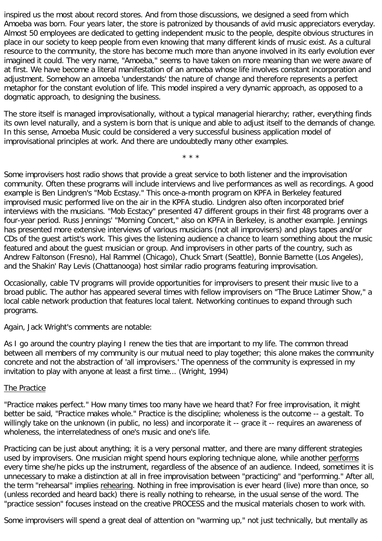inspired us the most about record stores. And from those discussions, we designed a seed from which Amoeba was born. Four years later, the store is patronized by thousands of avid music appreciators everyday. Almost 50 employees are dedicated to getting independent music to the people, despite obvious structures in place in our society to keep people from even knowing that many different kinds of music exist. As a cultural resource to the community, the store has become much more than anyone involved in its early evolution ever imagined it could. The very name, "Amoeba," seems to have taken on more meaning than we were aware of at first. We have become a literal manifestation of an amoeba whose life involves constant incorporation and adjustment. Somehow an amoeba 'understands' the nature of change and therefore represents a perfect metaphor for the constant evolution of life. This model inspired a very dynamic approach, as opposed to a dogmatic approach, to designing the business.

The store itself is managed improvisationally, without a typical managerial hierarchy; rather, everything finds its own level naturally, and a system is born that is unique and able to adjust itself to the demands of change. In this sense, Amoeba Music could be considered a very successful business application model of improvisational principles at work. And there are undoubtedly many other examples.

\* \* \*

Some improvisers host radio shows that provide a great service to both listener and the improvisation community. Often these programs will include interviews and live performances as well as recordings. A good example is Ben Lindgren's "Mob Ecstasy." This once-a-month program on KPFA in Berkeley featured improvised music performed live on the air in the KPFA studio. Lindgren also often incorporated brief interviews with the musicians. "Mob Ecstacy" presented 47 different groups in their first 48 programs over a four-year period. Russ Jennings' "Morning Concert," also on KPFA in Berkeley, is another example. Jennings has presented more extensive interviews of various musicians (not all improvisers) and plays tapes and/or CDs of the guest artist's work. This gives the listening audience a chance to learn something about the music featured and about the guest musician or group. And improvisers in other parts of the country, such as Andrew Faltonson (Fresno), Hal Rammel (Chicago), Chuck Smart (Seattle), Bonnie Barnette (Los Angeles), and the Shakin' Ray Levis (Chattanooga) host similar radio programs featuring improvisation.

Occasionally, cable TV programs will provide opportunities for improvisers to present their music live to a broad public. The author has appeared several times with fellow improvisers on "The Bruce Latimer Show," a local cable network production that features local talent. Networking continues to expand through such programs.

Again, Jack Wright's comments are notable:

As I go around the country playing I renew the ties that are important to my life. The common thread between all members of my community is our mutual need to play together; this alone makes the community concrete and not the abstraction of 'all improvisers.' The openness of the community is expressed in my invitation to play with anyone at least a first time... (Wright, 1994)

## **The Practice**

"Practice makes perfect." How many times too many have we heard that? For free improvisation, it might better be said, "Practice makes whole." Practice is the discipline; wholeness is the outcome -- a gestalt. To willingly take on the unknown (in public, no less) and incorporate it -- grace it -- requires an awareness of wholeness, the interrelatedness of one's music and one's life.

Practicing can be just about anything; it is a very personal matter, and there are many different strategies used by improvisers. One musician might spend hours exploring technique alone, while another performs every time she/he picks up the instrument, regardless of the absence of an audience. Indeed, sometimes it is unnecessary to make a distinction at all in free improvisation between "practicing" and "performing." After all, the term "rehearsal" implies rehearing. Nothing in free improvisation is ever heard (live) more than once, so (unless recorded and heard back) there is really nothing to rehearse, in the usual sense of the word. The "practice session" focuses instead on the creative PROCESS and the musical materials chosen to work with.

Some improvisers will spend a great deal of attention on "warming up," not just technically, but mentally as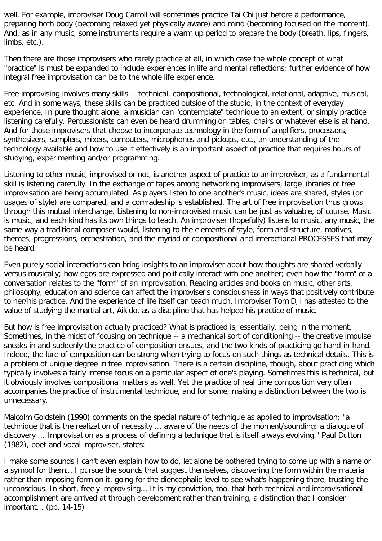well. For example, improviser Doug Carroll will sometimes practice Tai Chi just before a performance, preparing both body (becoming relaxed yet physically aware) and mind (becoming focused on the moment). And, as in any music, some instruments require a warm up period to prepare the body (breath, lips, fingers, limbs, etc.).

Then there are those improvisers who rarely practice at all, in which case the whole concept of what "practice" is must be expanded to include experiences in life and mental reflections; further evidence of how integral free improvisation can be to the whole life experience.

Free improvising involves many skills -- technical, compositional, technological, relational, adaptive, musical, etc. And in some ways, these skills can be practiced outside of the studio, in the context of everyday experience. In pure thought alone, a musician can "contemplate" technique to an extent, or simply practice listening carefully. Percussionists can even be heard drumming on tables, chairs or whatever else is at hand. And for those improvisers that choose to incorporate technology in the form of amplifiers, processors, synthesizers, samplers, mixers, computers, microphones and pickups, etc., an understanding of the technology available and how to use it effectively is an important aspect of practice that requires hours of studying, experimenting and/or programming.

Listening to other music, improvised or not, is another aspect of practice to an improviser, as a fundamental skill is listening carefully. In the exchange of tapes among networking improvisers, large libraries of free improvisation are being accumulated. As players listen to one another's music, ideas are shared, styles (or usages of style) are compared, and a comradeship is established. The art of free improvisation thus grows through this mutual interchange. Listening to non-improvised music can be just as valuable, of course. Music is music, and each kind has its own things to teach. An improviser (hopefully) listens to music, any music, the same way a traditional composer would, listening to the elements of style, form and structure, motives, themes, progressions, orchestration, and the myriad of compositional and interactional PROCESSES that may be heard.

Even purely social interactions can bring insights to an improviser about how thoughts are shared verbally versus musically; how egos are expressed and politically interact with one another; even how the "form" of a conversation relates to the "form" of an improvisation. Reading articles and books on music, other arts, philosophy, education and science can affect the improviser's consciousness in ways that positively contribute to her/his practice. And the experience of life itself can teach much. Improviser Tom Djll has attested to the value of studying the martial art, Aikido, as a discipline that has helped his practice of music.

But how is free improvisation actually practiced? What is practiced is, essentially, being in the moment. Sometimes, in the midst of focusing on technique -- a mechanical sort of conditioning -- the creative impulse sneaks in and suddenly the practice of composition ensues, and the two kinds of practicing go hand-in-hand. Indeed, the lure of composition can be strong when trying to focus on such things as technical details. This is a problem of unique degree in free improvisation. There is a certain discipline, though, about practicing which typically involves a fairly intense focus on a particular aspect of one's playing. Sometimes this is technical, but it obviously involves compositional matters as well. Yet the practice of real time composition very often accompanies the practice of instrumental technique, and for some, making a distinction between the two is unnecessary.

Malcolm Goldstein (1990) comments on the special nature of technique as applied to improvisation: "a technique that is the realization of necessity ... aware of the needs of the moment/sounding: a dialogue of discovery ... Improvisation as a process of defining a technique that is itself always evolving." Paul Dutton (1982), poet and vocal improviser, states:

I make some sounds I can't even explain how to do, let alone be bothered trying to come up with a name or a symbol for them... I pursue the sounds that suggest themselves, discovering the form within the material rather than imposing form on it, going for the diencephalic level to see what's happening there, trusting the unconscious. In short, freely improvising... It is my conviction, too, that both technical and improvisational accomplishment are arrived at through development rather than training, a distinction that I consider important... (pp. 14-15)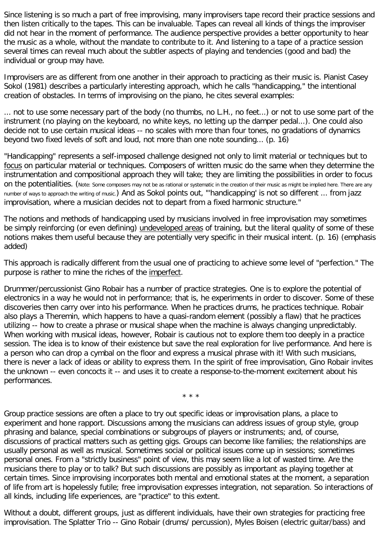Since listening is so much a part of free improvising, many improvisers tape record their practice sessions and then listen critically to the tapes. This can be invaluable. Tapes can reveal all kinds of things the improviser did not hear in the moment of performance. The audience perspective provides a better opportunity to hear the music as a whole, without the mandate to contribute to it. And listening to a tape of a practice session several times can reveal much about the subtler aspects of playing and tendencies (good and bad) the individual or group may have.

Improvisers are as different from one another in their approach to practicing as their music is. Pianist Casey Sokol (1981) describes a particularly interesting approach, which he calls "handicapping," the intentional creation of obstacles. In terms of improvising on the piano, he cites several examples:

... not to use some necessary part of the body (no thumbs, no L.H., no feet...) or not to use some part of the instrument (no playing on the keyboard, no white keys, no letting up the damper pedal...). One could also decide not to use certain musical ideas -- no scales with more than four tones, no gradations of dynamics beyond two fixed levels of soft and loud, not more than one note sounding... (p. 16)

"Handicapping" represents a self-imposed challenge designed not only to limit material or techniques but to focus on particular material or techniques. Composers of written music do the same when they determine the instrumentation and compositional approach they will take; they are limiting the possibilities in order to focus On the potentialities. (Note: Some composers may not be as rational or systematic in the creation of their music as might be implied here. There are any number of ways to approach the writing of music.) And as Sokol points out, "'handicapping' is not so different ... from jazz improvisation, where a musician decides not to depart from a fixed harmonic structure."

The notions and methods of handicapping used by musicians involved in free improvisation may sometimes be simply reinforcing (or even defining) undeveloped areas of training, but the literal quality of some of these notions makes them useful because they are potentially very specific in their musical intent. (p. 16) (emphasis added)

This approach is radically different from the usual one of practicing to achieve some level of "perfection." The purpose is rather to mine the riches of the imperfect.

Drummer/percussionist Gino Robair has a number of practice strategies. One is to explore the potential of electronics in a way he would not in performance; that is, he experiments in order to discover. Some of these discoveries then carry over into his performance. When he practices drums, he practices technique. Robair also plays a Theremin, which happens to have a quasi-random element (possibly a flaw) that he practices utilizing -- how to create a phrase or musical shape when the machine is always changing unpredictably. When working with musical ideas, however, Robair is cautious not to explore them too deeply in a practice session. The idea is to know of their existence but save the real exploration for live performance. And here is a person who can drop a cymbal on the floor and express a musical phrase with it! With such musicians, there is never a lack of ideas or ability to express them. In the spirit of free improvisation, Gino Robair invites the unknown -- even concocts it -- and uses it to create a response-to-the-moment excitement about his performances.

\* \* \*

Group practice sessions are often a place to try out specific ideas or improvisation plans, a place to experiment and hone rapport. Discussions among the musicians can address issues of group style, group phrasing and balance, special combinations or subgroups of players or instruments; and, of course, discussions of practical matters such as getting gigs. Groups can become like families; the relationships are usually personal as well as musical. Sometimes social or political issues come up in sessions; sometimes personal ones. From a "strictly business" point of view, this may seem like a lot of wasted time. Are the musicians there to play or to talk? But such discussions are possibly as important as playing together at certain times. Since improvising incorporates both mental and emotional states at the moment, a separation of life from art is hopelessly futile; free improvisation expresses integration, not separation. So interactions of all kinds, including life experiences, are "practice" to this extent.

Without a doubt, different groups, just as different individuals, have their own strategies for practicing free improvisation. The Splatter Trio -- Gino Robair (drums/ percussion), Myles Boisen (electric guitar/bass) and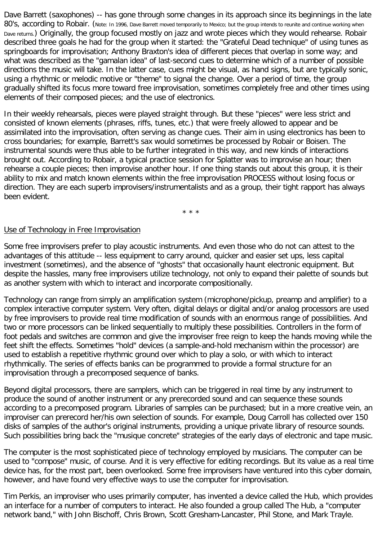Dave Barrett (saxophones) -- has gone through some changes in its approach since its beginnings in the late 80's, according to Robair. (Note: In 1996, Dave Barrett moved temporarily to Mexico; but the group intends to reunite and continue working when Dave returns.) Originally, the group focused mostly on jazz and wrote pieces which they would rehearse. Robair described three goals he had for the group when it started: the "Grateful Dead technique" of using tunes as springboards for improvisation; Anthony Braxton's idea of different pieces that overlap in some way; and what was described as the "gamalan idea" of last-second cues to determine which of a number of possible directions the music will take. In the latter case, cues might be visual, as hand signs, but are typically sonic, using a rhythmic or melodic motive or "theme" to signal the change. Over a period of time, the group gradually shifted its focus more toward free improvisation, sometimes completely free and other times using elements of their composed pieces; and the use of electronics.

In their weekly rehearsals, pieces were played straight through. But these "pieces" were less strict and consisted of known elements (phrases, riffs, tunes, etc.) that were freely allowed to appear and be assimilated into the improvisation, often serving as change cues. Their aim in using electronics has been to cross boundaries; for example, Barrett's sax would sometimes be processed by Robair or Boisen. The instrumental sounds were thus able to be further integrated in this way, and new kinds of interactions brought out. According to Robair, a typical practice session for Splatter was to improvise an hour; then rehearse a couple pieces; then improvise another hour. If one thing stands out about this group, it is their ability to mix and match known elements within the free improvisation PROCESS without losing focus or direction. They are each superb improvisers/instrumentalists and as a group, their tight rapport has always been evident.

\* \* \*

#### Use of Technology in Free Improvisation

Some free improvisers prefer to play acoustic instruments. And even those who do not can attest to the advantages of this attitude -- less equipment to carry around, quicker and easier set ups, less capital investment (sometimes), and the absence of "ghosts" that occasionally haunt electronic equipment. But despite the hassles, many free improvisers utilize technology, not only to expand their palette of sounds but as another system with which to interact and incorporate compositionally.

Technology can range from simply an amplification system (microphone/pickup, preamp and amplifier) to a complex interactive computer system. Very often, digital delays or digital and/or analog processors are used by free improvisers to provide real time modification of sounds with an enormous range of possibilities. And two or more processors can be linked sequentially to multiply these possibilities. Controllers in the form of foot pedals and switches are common and give the improviser free reign to keep the hands moving while the feet shift the effects. Sometimes "hold" devices (a sample-and-hold mechanism within the processor) are used to establish a repetitive rhythmic ground over which to play a solo, or with which to interact rhythmically. The series of effects banks can be programmed to provide a formal structure for an improvisation through a precomposed sequence of banks.

Beyond digital processors, there are samplers, which can be triggered in real time by any instrument to produce the sound of another instrument or any prerecorded sound and can sequence these sounds according to a precomposed program. Libraries of samples can be purchased; but in a more creative vein, an improviser can prerecord her/his own selection of sounds. For example, Doug Carroll has collected over 150 disks of samples of the author's original instruments, providing a unique private library of resource sounds. Such possibilities bring back the "musique concrete" strategies of the early days of electronic and tape music.

The computer is the most sophisticated piece of technology employed by musicians. The computer can be used to "compose" music, of course. And it is very effective for editing recordings. But its value as a real time device has, for the most part, been overlooked. Some free improvisers have ventured into this cyber domain, however, and have found very effective ways to use the computer for improvisation.

Tim Perkis, an improviser who uses primarily computer, has invented a device called the Hub, which provides an interface for a number of computers to interact. He also founded a group called The Hub, a "computer network band," with John Bischoff, Chris Brown, Scott Gresham-Lancaster, Phil Stone, and Mark Trayle.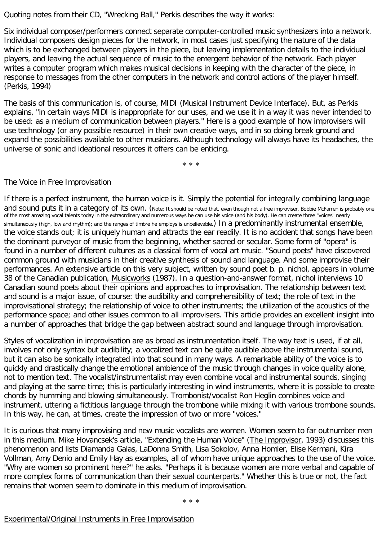Quoting notes from their CD, "Wrecking Ball," Perkis describes the way it works:

Six individual composer/performers connect separate computer-controlled music synthesizers into a network. Individual composers design pieces for the network, in most cases just specifying the nature of the data which is to be exchanged between players in the piece, but leaving implementation details to the individual players, and leaving the actual sequence of music to the emergent behavior of the network. Each player writes a computer program which makes musical decisions in keeping with the character of the piece, in response to messages from the other computers in the network and control actions of the player himself. (Perkis, 1994)

The basis of this communication is, of course, MIDI (Musical Instrument Device Interface). But, as Perkis explains, "in certain ways MIDI is inappropriate for our uses, and we use it in a way it was never intended to be used: as a medium of communication between players." Here is a good example of how improvisers will use technology (or any possible resource) in their own creative ways, and in so doing break ground and expand the possibilities available to other musicians. Although technology will always have its headaches, the universe of sonic and ideational resources it offers can be enticing.

\* \* \*

# The Voice in Free Improvisation

If there is a perfect instrument, the human voice is it. Simply the potential for integrally combining language and sound puts it in a category of its own. (Note: It should be noted that, even though not a free improviser, Bobbie McFarren is probably one of the most amazing vocal talents today in the extraordinary and numerous ways he can use his voice (and his body). He can create three "voices" nearly simultaneously (high, low and rhythm); and the ranges of timbre he employs is unbelievable.) In a predominantly instrumental ensemble, the voice stands out; it is uniquely human and attracts the ear readily. It is no accident that songs have been the dominant purveyor of music from the beginning, whether sacred or secular. Some form of "opera" is found in a number of different cultures as a classical form of vocal art music. "Sound poets" have discovered common ground with musicians in their creative synthesis of sound and language. And some improvise their performances. An extensive article on this very subject, written by sound poet b. p. nichol, appears in volume 38 of the Canadian publication, Musicworks (1987). In a question-and-answer format, nichol interviews 10 Canadian sound poets about their opinions and approaches to improvisation. The relationship between text and sound is a major issue, of course: the audibility and comprehensibility of text; the role of text in the improvisational strategy; the relationship of voice to other instruments; the utilization of the acoustics of the performance space; and other issues common to all improvisers. This article provides an excellent insight into a number of approaches that bridge the gap between abstract sound and language through improvisation.

Styles of vocalization in improvisation are as broad as instrumentation itself. The way text is used, if at all, involves not only syntax but audibility; a vocalized text can be quite audible above the instrumental sound, but it can also be sonically integrated into that sound in many ways. A remarkable ability of the voice is to quickly and drastically change the emotional ambience of the music through changes in voice quality alone, not to mention text. The vocalist/instrumentalist may even combine vocal and instrumental sounds, singing and playing at the same time; this is particularly interesting in wind instruments, where it is possible to create chords by humming and blowing simultaneously. Trombonist/vocalist Ron Heglin combines voice and instrument, uttering a fictitious language through the trombone while mixing it with various trombone sounds. In this way, he can, at times, create the impression of two or more "voices."

It is curious that many improvising and new music vocalists are women. Women seem to far outnumber men in this medium. Mike Hovancsek's article, "Extending the Human Voice" (The Improvisor, 1993) discusses this phenomenon and lists Diamanda Galas, LaDonna Smith, Lisa Sokolov, Anna Homler, Elise Kermani, Kira Vollman, Amy Denio and Emily Hay as examples, all of whom have unique approaches to the use of the voice. "Why are women so prominent here?" he asks. "Perhaps it is because women are more verbal and capable of more complex forms of communication than their sexual counterparts." Whether this is true or not, the fact remains that women seem to dominate in this medium of improvisation.

\* \* \*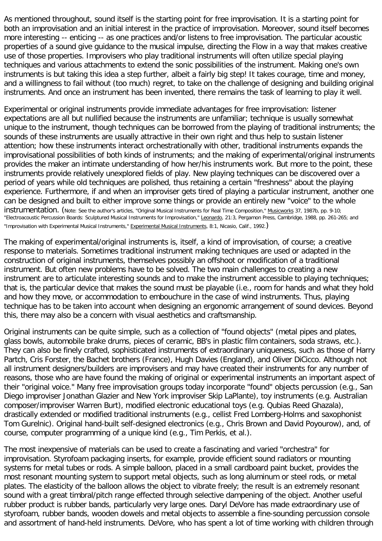As mentioned throughout, sound itself is the starting point for free improvisation. It is a starting point for both an improvisation and an initial interest in the practice of improvisation. Moreover, sound itself becomes more interesting -- enticing -- as one practices and/or listens to free improvisation. The particular acoustic properties of a sound give guidance to the musical impulse, directing the Flow in a way that makes creative use of those properties. Improvisers who play traditional instruments will often utilize special playing techniques and various attachments to extend the sonic possibilities of the instrument. Making one's own instruments is but taking this idea a step further, albeit a fairly big step! It takes courage, time and money, and a willingness to fail without (too much) regret, to take on the challenge of designing and building original instruments. And once an instrument has been invented, there remains the task of learning to play it well.

Experimental or original instruments provide immediate advantages for free improvisation: listener expectations are all but nullified because the instruments are unfamiliar; technique is usually somewhat unique to the instrument, though techniques can be borrowed from the playing of traditional instruments; the sounds of these instruments are usually attractive in their own right and thus help to sustain listener attention; how these instruments interact orchestrationally with other, traditional instruments expands the improvisational possibilities of both kinds of instruments; and the making of experimental/original instruments provides the maker an intimate understanding of how her/his instruments work. But more to the point, these instruments provide relatively unexplored fields of play. New playing techniques can be discovered over a period of years while old techniques are polished, thus retaining a certain "freshness" about the playing experience. Furthermore, if and when an improviser gets tired of playing a particular instrument, another one can be designed and built to either improve some things or provide an entirely new "voice" to the whole instrumentation. (Note: See the author's articles, "Original Musical Instruments for Real Time Composition," Musicworks 37, 1987b, pp. 9-10; "Electroacoustic Percussion Boards: Sculptured Musical Instruments for Improvisation," Leonardo, 21:3, Pergamon Press, Cambridge, 1988, pp. 261-265; and "Improvisation with Experimental Musical Instruments," Experimental Musical Instruments, 8:1, Nicasio, Calif., 1992.)

The making of experimental/original instruments is, itself, a kind of improvisation, of course; a creative response to materials. Sometimes traditional instrument making techniques are used or adapted in the construction of original instruments, themselves possibly an offshoot or modification of a traditional instrument. But often new problems have to be solved. The two main challenges to creating a new instrument are to articulate interesting sounds and to make the instrument accessible to playing techniques; that is, the particular device that makes the sound must be playable (i.e., room for hands and what they hold and how they move, or accommodation to embouchure in the case of wind instruments. Thus, playing technique has to be taken into account when designing an ergonomic arrangement of sound devices. Beyond this, there may also be a concern with visual aesthetics and craftsmanship.

Original instruments can be quite simple, such as a collection of "found objects" (metal pipes and plates, glass bowls, automobile brake drums, pieces of ceramic, BB's in plastic film containers, soda straws, etc.). They can also be finely crafted, sophisticated instruments of extraordinary uniqueness, such as those of Harry Partch, Cris Forster, the Bachet brothers (France), Hugh Davies (England), and Oliver DiCicco. Although not all instrument designers/builders are improvisers and may have created their instruments for any number of reasons, those who are have found the making of original or experimental instruments an important aspect of their "original voice." Many free improvisation groups today incorporate "found" objects percussion (e.g., San Diego improviser Jonathan Glazier and New York improviser Skip LaPlante), toy instruments (e.g. Australian composer/improviser Warren Burt), modified electronic educational toys (e.g. Qubias Reed Ghazala), drastically extended or modified traditional instruments (e.g., cellist Fred Lomberg-Holms and saxophonist Tom Gurelnic). Original hand-built self-designed electronics (e.g., Chris Brown and David Poyourow), and, of course, computer programming of a unique kind (e.g., Tim Perkis, et al.).

The most inexpensive of materials can be used to create a fascinating and varied "orchestra" for improvisation. Styrofoam packaging inserts, for example, provide efficient sound radiators or mounting systems for metal tubes or rods. A simple balloon, placed in a small cardboard paint bucket, provides the most resonant mounting system to support metal objects, such as long aluminum or steel rods, or metal plates. The elasticity of the balloon allows the object to vibrate freely; the result is an extremely resonant sound with a great timbral/pitch range effected through selective dampening of the object. Another useful rubber product is rubber bands, particularly very large ones. Daryl DeVore has made extraordinary use of styrofoam, rubber bands, wooden dowels and metal objects to assemble a fine-sounding percussion console and assortment of hand-held instruments. DeVore, who has spent a lot of time working with children through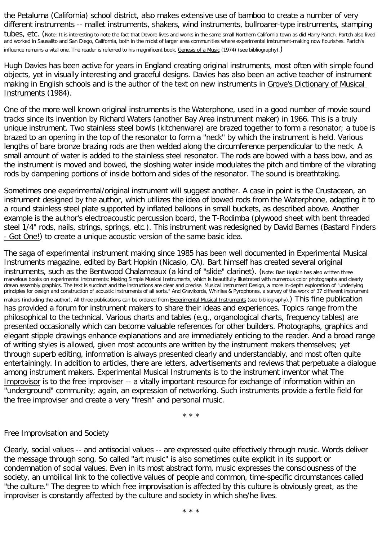the Petaluma (California) school district, also makes extensive use of bamboo to create a number of very different instruments -- mallet instruments, shakers, wind instruments, bullroarer-type instruments, stamping tubes, etc. (Note: It is interesting to note the fact that Devore lives and works in the same small Northern California town as did Harry Partch. Partch also lived

and worked in Sausalito and San Diego, California, both in the midst of larger area communities where experimental instrument-making now flourishes. Partch's influence remains a vital one. The reader is referred to his magnificent book, Genesis of a Music (1974) (see bibliography).)

Hugh Davies has been active for years in England creating original instruments, most often with simple found objects, yet in visually interesting and graceful designs. Davies has also been an active teacher of instrument making in English schools and is the author of the text on new instruments in Grove's Dictionary of Musical Instruments (1984).

One of the more well known original instruments is the Waterphone, used in a good number of movie sound tracks since its invention by Richard Waters (another Bay Area instrument maker) in 1966. This is a truly unique instrument. Two stainless steel bowls (kitchenware) are brazed together to form a resonator; a tube is brazed to an opening in the top of the resonator to form a "neck" by which the instrument is held. Various lengths of bare bronze brazing rods are then welded along the circumference perpendicular to the neck. A small amount of water is added to the stainless steel resonator. The rods are bowed with a bass bow, and as the instrument is moved and bowed, the sloshing water inside modulates the pitch and timbre of the vibrating rods by dampening portions of inside bottom and sides of the resonator. The sound is breathtaking.

Sometimes one experimental/original instrument will suggest another. A case in point is the Crustacean, an instrument designed by the author, which utilizes the idea of bowed rods from the Waterphone, adapting it to a round stainless steel plate supported by inflated balloons in small buckets, as described above. Another example is the author's electroacoustic percussion board, the T-Rodimba (plywood sheet with bent threaded steel 1/4" rods, nails, strings, springs, etc.). This instrument was redesigned by David Barnes (Bastard Finders - Got One!) to create a unique acoustic version of the same basic idea.

The saga of experimental instrument making since 1985 has been well documented in Experimental Musical Instruments magazine, edited by Bart Hopkin (Nicasio, CA). Bart himself has created several original instruments, such as the Bentwood Chalameaux (a kind of "slide" clarinet). (Note: Bart Hopkin has also written three marvelous books on experimental instruments: Making Simple Musical Instruments, which is beautifully illustrated with numerous color photographs and clearly drawn assembly graphics. The text is succinct and the instructions are clear and precise. Musical Instrument Design, a more in-depth exploration of "underlying principles for design and construction of acoustic instruments of all sorts." And Gravikords, Whirlies & Pyrophones, a survey of the work of 37 different instrument makers (including the author). All three publications can be ordered from Experimental Musical Instruments (see bibliography).) This fine publication has provided a forum for instrument makers to share their ideas and experiences. Topics range from the philosophical to the technical. Various charts and tables (e.g., organological charts, frequency tables) are presented occasionally which can become valuable references for other builders. Photographs, graphics and elegant stipple drawings enhance explanations and are immediately enticing to the reader. And a broad range of writing styles is allowed, given most accounts are written by the instrument makers themselves; yet through superb editing, information is always presented clearly and understandably, and most often quite entertainingly. In addition to articles, there are letters, advertisements and reviews that perpetuate a dialogue among instrument makers. Experimental Musical Instruments is to the instrument inventor what The Improvisor is to the free improviser -- a vitally important resource for exchange of information within an "underground" community; again, an expression of networking. Such instruments provide a fertile field for the free improviser and create a very "fresh" and personal music.

\* \* \*

## Free Improvisation and Society

Clearly, social values -- and antisocial values -- are expressed quite effectively through music. Words deliver the message through song. So called "art music" is also sometimes quite explicit in its support or condemnation of social values. Even in its most abstract form, music expresses the consciousness of the society, an umbilical link to the collective values of people and common, time-specific circumstances called "the culture." The degree to which free improvisation is affected by this culture is obviously great, as the improviser is constantly affected by the culture and society in which she/he lives.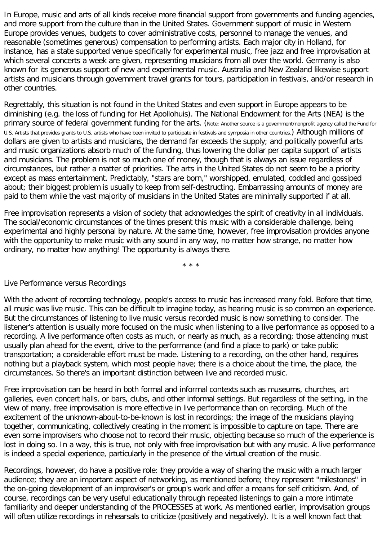In Europe, music and arts of all kinds receive more financial support from governments and funding agencies, and more support from the culture than in the United States. Government support of music in Western Europe provides venues, budgets to cover administrative costs, personnel to manage the venues, and reasonable (sometimes generous) compensation to performing artists. Each major city in Holland, for instance, has a state supported venue specifically for experimental music, free jazz and free improvisation at which several concerts a week are given, representing musicians from all over the world. Germany is also known for its generous support of new and experimental music. Australia and New Zealand likewise support artists and musicians through government travel grants for tours, participation in festivals, and/or research in other countries.

Regrettably, this situation is not found in the United States and even support in Europe appears to be diminishing (e.g. the loss of funding for Het Apollohuis). The National Endowment for the Arts (NEA) is the primary source of federal government funding for the arts. (Note: Another source is a government/nonprofit agency called the Fund for U.S. Artists that provides grants to U.S. artists who have been invited to participate in festivals and symposia in other countries.) Although millions of dollars are given to artists and musicians, the demand far exceeds the supply; and politically powerful arts and music organizations absorb much of the funding, thus lowering the dollar per capita support of artists and musicians. The problem is not so much one of money, though that is always an issue regardless of circumstances, but rather a matter of priorities. The arts in the United States do not seem to be a priority except as mass entertainment. Predictably, "stars are born," worshipped, emulated, coddled and gossiped about; their biggest problem is usually to keep from self-destructing. Embarrassing amounts of money are paid to them while the vast majority of musicians in the United States are minimally supported if at all.

Free improvisation represents a vision of society that acknowledges the spirit of creativity in all individuals. The social/economic circumstances of the times present this music with a considerable challenge, being experimental and highly personal by nature. At the same time, however, free improvisation provides anyone with the opportunity to make music with any sound in any way, no matter how strange, no matter how ordinary, no matter how anything! The opportunity is always there.

\* \* \*

#### Live Performance versus Recordings

With the advent of recording technology, people's access to music has increased many fold. Before that time, all music was live music. This can be difficult to imagine today, as hearing music is so common an experience. But the circumstances of listening to live music versus recorded music is now something to consider. The listener's attention is usually more focused on the music when listening to a live performance as opposed to a recording. A live performance often costs as much, or nearly as much, as a recording; those attending must usually plan ahead for the event, drive to the performance (and find a place to park) or take public transportation; a considerable effort must be made. Listening to a recording, on the other hand, requires nothing but a playback system, which most people have; there is a choice about the time, the place, the circumstances. So there's an important distinction between live and recorded music.

Free improvisation can be heard in both formal and informal contexts such as museums, churches, art galleries, even concert halls, or bars, clubs, and other informal settings. But regardless of the setting, in the view of many, free improvisation is more effective in live performance than on recording. Much of the excitement of the unknown-about-to-be-known is lost in recordings; the image of the musicians playing together, communicating, collectively creating in the moment is impossible to capture on tape. There are even some improvisers who choose not to record their music, objecting because so much of the experience is lost in doing so. In a way, this is true, not only with free improvisation but with any music. A live performance is indeed a special experience, particularly in the presence of the virtual creation of the music.

Recordings, however, do have a positive role: they provide a way of sharing the music with a much larger audience; they are an important aspect of networking, as mentioned before; they represent "milestones" in the on-going development of an improviser's or group's work and offer a means for self criticism. And, of course, recordings can be very useful educationally through repeated listenings to gain a more intimate familiarity and deeper understanding of the PROCESSES at work. As mentioned earlier, improvisation groups will often utilize recordings in rehearsals to criticize (positively and negatively). It is a well known fact that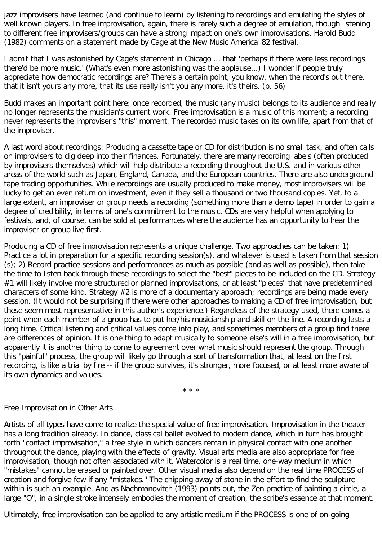jazz improvisers have learned (and continue to learn) by listening to recordings and emulating the styles of well known players. In free improvisation, again, there is rarely such a degree of emulation, though listening to different free improvisers/groups can have a strong impact on one's own improvisations. Harold Budd (1982) comments on a statement made by Cage at the New Music America '82 festival.

I admit that I was astonished by Cage's statement in Chicago ... that 'perhaps if there were less recordings there'd be more music.' (What's even more astonishing was the applause...) I wonder if people truly appreciate how democratic recordings are? There's a certain point, you know, when the record's out there, that it isn't yours any more, that its use really isn't you any more, it's theirs. (p. 56)

Budd makes an important point here: once recorded, the music (any music) belongs to its audience and really no longer represents the musician's current work. Free improvisation is a music of this moment; a recording never represents the improviser's "this" moment. The recorded music takes on its own life, apart from that of the improviser.

A last word about recordings: Producing a cassette tape or CD for distribution is no small task, and often calls on improvisers to dig deep into their finances. Fortunately, there are many recording labels (often produced by improvisers themselves) which will help distribute a recording throughout the U.S. and in various other areas of the world such as Japan, England, Canada, and the European countries. There are also underground tape trading opportunities. While recordings are usually produced to make money, most improvisers will be lucky to get an even return on investment, even if they sell a thousand or two thousand copies. Yet, to a large extent, an improviser or group needs a recording (something more than a demo tape) in order to gain a degree of credibility, in terms of one's commitment to the music. CDs are very helpful when applying to festivals, and, of course, can be sold at performances where the audience has an opportunity to hear the improviser or group live first.

Producing a CD of free improvisation represents a unique challenge. Two approaches can be taken: 1) Practice a lot in preparation for a specific recording session(s), and whatever is used is taken from that session (s); 2) Record practice sessions and performances as much as possible (and as well as possible), then take the time to listen back through these recordings to select the "best" pieces to be included on the CD. Strategy #1 will likely involve more structured or planned improvisations, or at least "pieces" that have predetermined characters of some kind. Strategy #2 is more of a documentary approach; recordings are being made every session. (It would not be surprising if there were other approaches to making a CD of free improvisation, but these seem most representative in this author's experience.) Regardless of the strategy used, there comes a point when each member of a group has to put her/his musicianship and skill on the line. A recording lasts a long time. Critical listening and critical values come into play, and sometimes members of a group find there are differences of opinion. It is one thing to adapt musically to someone else's will in a free improvisation, but apparently it is another thing to come to agreement over what music should represent the group. Through this "painful" process, the group will likely go through a sort of transformation that, at least on the first recording, is like a trial by fire -- if the group survives, it's stronger, more focused, or at least more aware of its own dynamics and values.

\* \* \*

## Free Improvisation in Other Arts

Artists of all types have come to realize the special value of free improvisation. Improvisation in the theater has a long tradition already. In dance, classical ballet evolved to modern dance, which in turn has brought forth "contact improvisation," a free style in which dancers remain in physical contact with one another throughout the dance, playing with the effects of gravity. Visual arts media are also appropriate for free improvisation, though not often associated with it. Watercolor is a real time, one-way medium in which "mistakes" cannot be erased or painted over. Other visual media also depend on the real time PROCESS of creation and forgive few if any "mistakes." The chipping away of stone in the effort to find the sculpture within is such an example. And as Nachmanovitch (1993) points out, the Zen practice of painting a circle, a large "O", in a single stroke intensely embodies the moment of creation, the scribe's essence at that moment.

Ultimately, free improvisation can be applied to any artistic medium if the PROCESS is one of on-going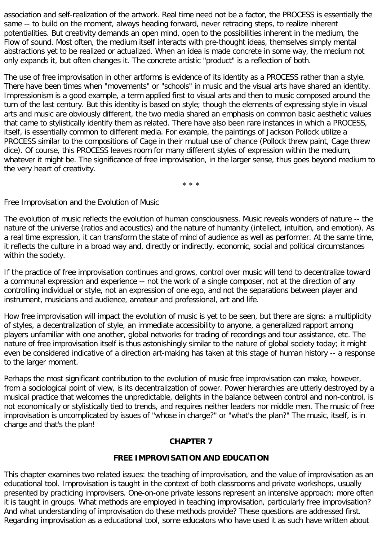association and self-realization of the artwork. Real time need not be a factor, the PROCESS is essentially the same -- to build on the moment, always heading forward, never retracing steps, to realize inherent potentialities. But creativity demands an open mind, open to the possibilities inherent in the medium, the Flow of sound. Most often, the medium itself interacts with pre-thought ideas, themselves simply mental abstractions yet to be realized or actualized. When an idea is made concrete in some way, the medium not only expands it, but often changes it. The concrete artistic "product" is a reflection of both.

The use of free improvisation in other artforms is evidence of its identity as a PROCESS rather than a style. There have been times when "movements" or "schools" in music and the visual arts have shared an identity. Impressionism is a good example, a term applied first to visual arts and then to music composed around the turn of the last century. But this identity is based on style; though the elements of expressing style in visual arts and music are obviously different, the two media shared an emphasis on common basic aesthetic values that came to stylistically identify them as related. There have also been rare instances in which a PROCESS, itself, is essentially common to different media. For example, the paintings of Jackson Pollock utilize a PROCESS similar to the compositions of Cage in their mutual use of chance (Pollock threw paint, Cage threw dice). Of course, this PROCESS leaves room for many different styles of expression within the medium, whatever it might be. The significance of free improvisation, in the larger sense, thus goes beyond medium to the very heart of creativity.

\* \* \*

#### Free Improvisation and the Evolution of Music

The evolution of music reflects the evolution of human consciousness. Music reveals wonders of nature -- the nature of the universe (ratios and acoustics) and the nature of humanity (intellect, intuition, and emotion). As a real time expression, it can transform the state of mind of audience as well as performer. At the same time, it reflects the culture in a broad way and, directly or indirectly, economic, social and political circumstances within the society.

If the practice of free improvisation continues and grows, control over music will tend to decentralize toward a communal expression and experience -- not the work of a single composer, not at the direction of any controlling individual or style, not an expression of one ego, and not the separations between player and instrument, musicians and audience, amateur and professional, art and life.

How free improvisation will impact the evolution of music is yet to be seen, but there are signs: a multiplicity of styles, a decentralization of style, an immediate accessibility to anyone, a generalized rapport among players unfamiliar with one another, global networks for trading of recordings and tour assistance, etc. The nature of free improvisation itself is thus astonishingly similar to the nature of global society today; it might even be considered indicative of a direction art-making has taken at this stage of human history -- a response to the larger moment.

Perhaps the most significant contribution to the evolution of music free improvisation can make, however, from a sociological point of view, is its decentralization of power. Power hierarchies are utterly destroyed by a musical practice that welcomes the unpredictable, delights in the balance between control and non-control, is not economically or stylistically tied to trends, and requires neither leaders nor middle men. The music of free improvisation is uncomplicated by issues of "whose in charge?" or "what's the plan?" The music, itself, is in charge and that's the plan!

## **CHAPTER 7**

## **FREE IMPROVISATION AND EDUCATION**

This chapter examines two related issues: the teaching of improvisation, and the value of improvisation as an educational tool. Improvisation is taught in the context of both classrooms and private workshops, usually presented by practicing improvisers. One-on-one private lessons represent an intensive approach; more often it is taught in groups. What methods are employed in teaching improvisation, particularly free improvisation? And what understanding of improvisation do these methods provide? These questions are addressed first. Regarding improvisation as a educational tool, some educators who have used it as such have written about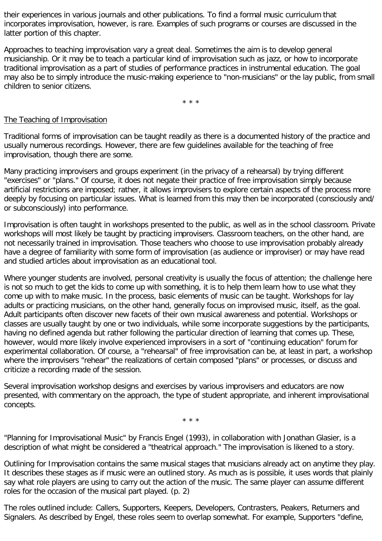their experiences in various journals and other publications. To find a formal music curriculum that incorporates improvisation, however, is rare. Examples of such programs or courses are discussed in the latter portion of this chapter.

Approaches to teaching improvisation vary a great deal. Sometimes the aim is to develop general musicianship. Or it may be to teach a particular kind of improvisation such as jazz, or how to incorporate traditional improvisation as a part of studies of performance practices in instrumental education. The goal may also be to simply introduce the music-making experience to "non-musicians" or the lay public, from small children to senior citizens.

\* \* \*

# The Teaching of Improvisation

Traditional forms of improvisation can be taught readily as there is a documented history of the practice and usually numerous recordings. However, there are few guidelines available for the teaching of free improvisation, though there are some.

Many practicing improvisers and groups experiment (in the privacy of a rehearsal) by trying different "exercises" or "plans." Of course, it does not negate their practice of free improvisation simply because artificial restrictions are imposed; rather, it allows improvisers to explore certain aspects of the process more deeply by focusing on particular issues. What is learned from this may then be incorporated (consciously and/ or subconsciously) into performance.

Improvisation is often taught in workshops presented to the public, as well as in the school classroom. Private workshops will most likely be taught by practicing improvisers. Classroom teachers, on the other hand, are not necessarily trained in improvisation. Those teachers who choose to use improvisation probably already have a degree of familiarity with some form of improvisation (as audience or improviser) or may have read and studied articles about improvisation as an educational tool.

Where younger students are involved, personal creativity is usually the focus of attention; the challenge here is not so much to get the kids to come up with something, it is to help them learn how to use what they come up with to make music. In the process, basic elements of music can be taught. Workshops for lay adults or practicing musicians, on the other hand, generally focus on improvised music, itself, as the goal. Adult participants often discover new facets of their own musical awareness and potential. Workshops or classes are usually taught by one or two individuals, while some incorporate suggestions by the participants, having no defined agenda but rather following the particular direction of learning that comes up. These, however, would more likely involve experienced improvisers in a sort of "continuing education" forum for experimental collaboration. Of course, a "rehearsal" of free improvisation can be, at least in part, a workshop where the improvisers "rehear" the realizations of certain composed "plans" or processes, or discuss and criticize a recording made of the session.

Several improvisation workshop designs and exercises by various improvisers and educators are now presented, with commentary on the approach, the type of student appropriate, and inherent improvisational concepts.

\* \* \*

"Planning for Improvisational Music" by Francis Engel (1993), in collaboration with Jonathan Glasier, is a description of what might be considered a "theatrical approach." The improvisation is likened to a story.

Outlining for Improvisation contains the same musical stages that musicians already act on anytime they play. It describes these stages as if music were an outlined story. As much as is possible, it uses words that plainly say what role players are using to carry out the action of the music. The same player can assume different roles for the occasion of the musical part played. (p. 2)

The roles outlined include: Callers, Supporters, Keepers, Developers, Contrasters, Peakers, Returners and Signalers. As described by Engel, these roles seem to overlap somewhat. For example, Supporters "define,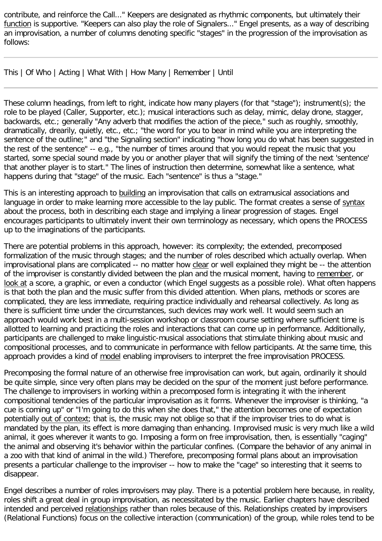contribute, and reinforce the Call..." Keepers are designated as rhythmic components, but ultimately their function is supportive. "Keepers can also play the role of Signalers..." Engel presents, as a way of describing an improvisation, a number of columns denoting specific "stages" in the progression of the improvisation as follows:

This | Of Who | Acting | What With | How Many | Remember | Until

These column headings, from left to right, indicate how many players (for that "stage"); instrument(s); the role to be played (Caller, Supporter, etc.); musical interactions such as delay, mimic, delay drone, stagger, backwards, etc.; generally "Any adverb that modifies the action of the piece," such as roughly, smoothly, dramatically, drearily, quietly, etc., etc.; "the word for you to bear in mind while you are interpreting the sentence of the outline;" and "the Signaling section" indicating "how long you do what has been suggested in the rest of the sentence" -- e.g., "the number of times around that you would repeat the music that you started, some special sound made by you or another player that will signify the timing of the next 'sentence' that another player is to start." The lines of instruction then determine, somewhat like a sentence, what happens during that "stage" of the music. Each "sentence" is thus a "stage."

This is an interesting approach to building an improvisation that calls on extramusical associations and language in order to make learning more accessible to the lay public. The format creates a sense of syntax about the process, both in describing each stage and implying a linear progression of stages. Engel encourages participants to ultimately invent their own terminology as necessary, which opens the PROCESS up to the imaginations of the participants.

There are potential problems in this approach, however: its complexity; the extended, precomposed formalization of the music through stages; and the number of roles described which actually overlap. When improvisational plans are complicated -- no matter how clear or well explained they might be -- the attention of the improviser is constantly divided between the plan and the musical moment, having to remember, or look at a score, a graphic, or even a conductor (which Engel suggests as a possible role). What often happens is that both the plan and the music suffer from this divided attention. When plans, methods or scores are complicated, they are less immediate, requiring practice individually and rehearsal collectively. As long as there is sufficient time under the circumstances, such devices may work well. It would seem such an approach would work best in a multi-session workshop or classroom course setting where sufficient time is allotted to learning and practicing the roles and interactions that can come up in performance. Additionally, participants are challenged to make linguistic-musical associations that stimulate thinking about music and compositional processes, and to communicate in performance with fellow participants. At the same time, this approach provides a kind of model enabling improvisers to interpret the free improvisation PROCESS.

Precomposing the formal nature of an otherwise free improvisation can work, but again, ordinarily it should be quite simple, since very often plans may be decided on the spur of the moment just before performance. The challenge to improvisers in working within a precomposed form is integrating it with the inherent compositional tendencies of the particular improvisation as it forms. Whenever the improviser is thinking, "a cue is coming up" or "I'm going to do this when she does that," the attention becomes one of expectation potentially out of context; that is, the music may not oblige so that if the improviser tries to do what is mandated by the plan, its effect is more damaging than enhancing. Improvised music is very much like a wild animal, it goes wherever it wants to go. Imposing a form on free improvisation, then, is essentially "caging" the animal and observing it's behavior within the particular confines. (Compare the behavior of any animal in a zoo with that kind of animal in the wild.) Therefore, precomposing formal plans about an improvisation presents a particular challenge to the improviser -- how to make the "cage" so interesting that it seems to disappear.

Engel describes a number of roles improvisers may play. There is a potential problem here because, in reality, roles shift a great deal in group improvisation, as necessitated by the music. Earlier chapters have described intended and perceived relationships rather than roles because of this. Relationships created by improvisers (Relational Functions) focus on the collective interaction (communication) of the group, while roles tend to be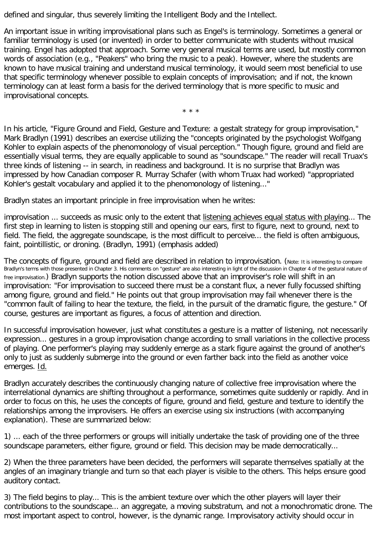defined and singular, thus severely limiting the Intelligent Body and the Intellect.

An important issue in writing improvisational plans such as Engel's is terminology. Sometimes a general or familiar terminology is used (or invented) in order to better communicate with students without musical training. Engel has adopted that approach. Some very general musical terms are used, but mostly common words of association (e.g., "Peakers" who bring the music to a peak). However, where the students are known to have musical training and understand musical terminology, it would seem most beneficial to use that specific terminology whenever possible to explain concepts of improvisation; and if not, the known terminology can at least form a basis for the derived terminology that is more specific to music and improvisational concepts.

\* \* \*

In his article, "Figure Ground and Field, Gesture and Texture: a gestalt strategy for group improvisation," Mark Bradlyn (1991) describes an exercise utilizing the "concepts originated by the psychologist Wolfgang Kohler to explain aspects of the phenomonology of visual perception." Though figure, ground and field are essentially visual terms, they are equally applicable to sound as "soundscape." The reader will recall Truax's three kinds of listening -- in search, in readiness and background. It is no surprise that Bradlyn was impressed by how Canadian composer R. Murray Schafer (with whom Truax had worked) "appropriated Kohler's gestalt vocabulary and applied it to the phenomonology of listening..."

Bradlyn states an important principle in free improvisation when he writes:

improvisation ... succeeds as music only to the extent that listening achieves equal status with playing... The first step in learning to listen is stopping still and opening our ears, first to figure, next to ground, next to field. The field, the aggregate soundscape, is the most difficult to perceive... the field is often ambiguous, faint, pointillistic, or droning. (Bradlyn, 1991) (emphasis added)

The concepts of figure, ground and field are described in relation to improvisation. (Note: It is interesting to compare Bradlyn's terms with those presented in Chapter 3. His comments on "gesture" are also interesting in light of the discussion in Chapter 4 of the gestural nature of free improvisation.) Bradlyn supports the notion discussed above that an improviser's role will shift in an improvisation: "For improvisation to succeed there must be a constant flux, a never fully focussed shifting among figure, ground and field." He points out that group improvisation may fail whenever there is the "common fault of failing to hear the texture, the field, in the pursuit of the dramatic figure, the gesture." Of course, gestures are important as figures, a focus of attention and direction.

In successful improvisation however, just what constitutes a gesture is a matter of listening, not necessarily expression... gestures in a group improvisation change according to small variations in the collective process of playing. One performer's playing may suddenly emerge as a stark figure against the ground of another's only to just as suddenly submerge into the ground or even farther back into the field as another voice emerges. Id.

Bradlyn accurately describes the continuously changing nature of collective free improvisation where the interrelational dynamics are shifting throughout a performance, sometimes quite suddenly or rapidly. And in order to focus on this, he uses the concepts of figure, ground and field, gesture and texture to identify the relationships among the improvisers. He offers an exercise using six instructions (with accompanying explanation). These are summarized below:

1) ... each of the three performers or groups will initially undertake the task of providing one of the three soundscape parameters, either figure, ground or field. This decision may be made democratically...

2) When the three parameters have been decided, the performers will separate themselves spatially at the angles of an imaginary triangle and turn so that each player is visible to the others. This helps ensure good auditory contact.

3) The field begins to play... This is the ambient texture over which the other players will layer their contributions to the soundscape... an aggregate, a moving substratum, and not a monochromatic drone. The most important aspect to control, however, is the dynamic range. Improvisatory activity should occur in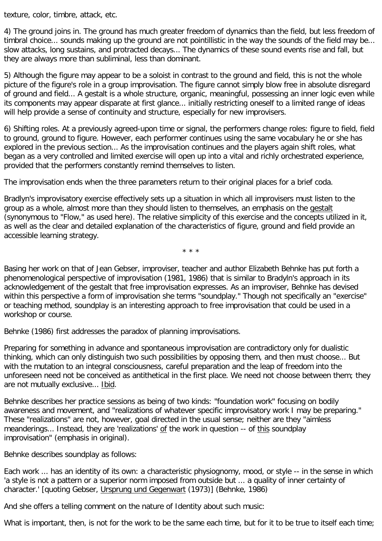texture, color, timbre, attack, etc.

4) The ground joins in. The ground has much greater freedom of dynamics than the field, but less freedom of timbral choice... sounds making up the ground are not pointillistic in the way the sounds of the field may be... slow attacks, long sustains, and protracted decays... The dynamics of these sound events rise and fall, but they are always more than subliminal, less than dominant.

5) Although the figure may appear to be a soloist in contrast to the ground and field, this is not the whole picture of the figure's role in a group improvisation. The figure cannot simply blow free in absolute disregard of ground and field... A gestalt is a whole structure, organic, meaningful, possessing an inner logic even while its components may appear disparate at first glance... initially restricting oneself to a limited range of ideas will help provide a sense of continuity and structure, especially for new improvisers.

6) Shifting roles. At a previously agreed-upon time or signal, the performers change roles: figure to field, field to ground, ground to figure. However, each performer continues using the same vocabulary he or she has explored in the previous section... As the improvisation continues and the players again shift roles, what began as a very controlled and limited exercise will open up into a vital and richly orchestrated experience, provided that the performers constantly remind themselves to listen.

The improvisation ends when the three parameters return to their original places for a brief coda.

Bradlyn's improvisatory exercise effectively sets up a situation in which all improvisers must listen to the group as a whole, almost more than they should listen to themselves, an emphasis on the gestalt (synonymous to "Flow," as used here). The relative simplicity of this exercise and the concepts utilized in it, as well as the clear and detailed explanation of the characteristics of figure, ground and field provide an accessible learning strategy.

\* \* \*

Basing her work on that of Jean Gebser, improviser, teacher and author Elizabeth Behnke has put forth a phenomenological perspective of improvisation (1981, 1986) that is similar to Bradyln's approach in its acknowledgement of the gestalt that free improvisation expresses. As an improviser, Behnke has devised within this perspective a form of improvisation she terms "soundplay." Though not specifically an "exercise" or teaching method, soundplay is an interesting approach to free improvisation that could be used in a workshop or course.

Behnke (1986) first addresses the paradox of planning improvisations.

Preparing for something in advance and spontaneous improvisation are contradictory only for dualistic thinking, which can only distinguish two such possibilities by opposing them, and then must choose... But with the mutation to an integral consciousness, careful preparation and the leap of freedom into the unforeseen need not be conceived as antithetical in the first place. We need not choose between them; they are not mutually exclusive... Ibid.

Behnke describes her practice sessions as being of two kinds: "foundation work" focusing on bodily awareness and movement, and "realizations of whatever specific improvisatory work I may be preparing." These "realizations" are not, however, goal directed in the usual sense; neither are they "aimless meanderings... Instead, they are 'realizations' of the work in question -- of this soundplay improvisation" (emphasis in original).

Behnke describes soundplay as follows:

Each work ... has an identity of its own: a characteristic physiognomy, mood, or style -- in the sense in which 'a style is not a pattern or a superior norm imposed from outside but ... a quality of inner certainty of character.' [quoting Gebser, Ursprung und Gegenwart (1973)] (Behnke, 1986)

And she offers a telling comment on the nature of Identity about such music:

What is important, then, is not for the work to be the same each time, but for it to be true to itself each time;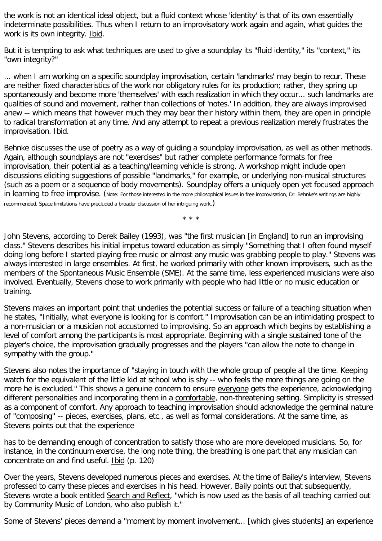the work is not an identical ideal object, but a fluid context whose 'identity' is that of its own essentially indeterminate possibilities. Thus when I return to an improvisatory work again and again, what guides the work is its own integrity. Ibid.

But it is tempting to ask what techniques are used to give a soundplay its "fluid identity," its "context," its "own integrity?"

... when I am working on a specific soundplay improvisation, certain 'landmarks' may begin to recur. These are neither fixed characteristics of the work nor obligatory rules for its production; rather, they spring up spontaneously and become more 'themselves' with each realization in which they occur... such landmarks are qualities of sound and movement, rather than collections of 'notes.' In addition, they are always improvised anew -- which means that however much they may bear their history within them, they are open in principle to radical transformation at any time. And any attempt to repeat a previous realization merely frustrates the improvisation. Ibid.

Behnke discusses the use of poetry as a way of guiding a soundplay improvisation, as well as other methods. Again, although soundplays are not "exercises" but rather complete performance formats for free improvisation, their potential as a teaching/learning vehicle is strong. A workshop might include open discussions eliciting suggestions of possible "landmarks," for example, or underlying non-musical structures (such as a poem or a sequence of body movements). Soundplay offers a uniquely open yet focused approach in learning to free improvise. (Note: For those interested in the more philosophical issues in free improvisation, Dr. Behnke's writings are highly recommended. Space limitations have precluded a broader discussion of her intriguing work.)

\* \* \*

John Stevens, according to Derek Bailey (1993), was "the first musician [in England] to run an improvising class." Stevens describes his initial impetus toward education as simply "Something that I often found myself doing long before I started playing free music or almost any music was grabbing people to play." Stevens was always interested in large ensembles. At first, he worked primarily with other known improvisers, such as the members of the Spontaneous Music Ensemble (SME). At the same time, less experienced musicians were also involved. Eventually, Stevens chose to work primarily with people who had little or no music education or training.

Stevens makes an important point that underlies the potential success or failure of a teaching situation when he states, "Initially, what everyone is looking for is comfort." Improvisation can be an intimidating prospect to a non-musician or a musician not accustomed to improvising. So an approach which begins by establishing a level of comfort among the participants is most appropriate. Beginning with a single sustained tone of the player's choice, the improvisation gradually progresses and the players "can allow the note to change in sympathy with the group."

Stevens also notes the importance of "staying in touch with the whole group of people all the time. Keeping watch for the equivalent of the little kid at school who is shy -- who feels the more things are going on the more he is excluded." This shows a genuine concern to ensure everyone gets the experience, acknowledging different personalities and incorporating them in a comfortable, non-threatening setting. Simplicity is stressed as a component of comfort. Any approach to teaching improvisation should acknowledge the germinal nature of "composing" -- pieces, exercises, plans, etc., as well as formal considerations. At the same time, as Stevens points out that the experience

has to be demanding enough of concentration to satisfy those who are more developed musicians. So, for instance, in the continuum exercise, the long note thing, the breathing is one part that any musician can concentrate on and find useful. Ibid (p. 120)

Over the years, Stevens developed numerous pieces and exercises. At the time of Bailey's interview, Stevens professed to carry these pieces and exercises in his head. However, Baily points out that subsequently, Stevens wrote a book entitled Search and Reflect, "which is now used as the basis of all teaching carried out by Community Music of London, who also publish it."

Some of Stevens' pieces demand a "moment by moment involvement... [which gives students] an experience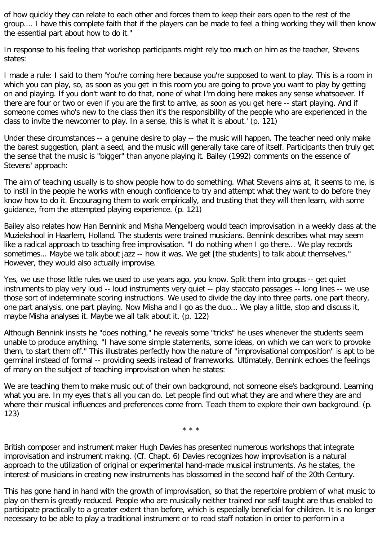of how quickly they can relate to each other and forces them to keep their ears open to the rest of the group.... I have this complete faith that if the players can be made to feel a thing working they will then know the essential part about how to do it."

In response to his feeling that workshop participants might rely too much on him as the teacher, Stevens states:

I made a rule: I said to them 'You're coming here because you're supposed to want to play. This is a room in which you can play, so, as soon as you get in this room you are going to prove you want to play by getting on and playing. If you don't want to do that, none of what I'm doing here makes any sense whatsoever. If there are four or two or even if you are the first to arrive, as soon as you get here -- start playing. And if someone comes who's new to the class then it's the responsibility of the people who are experienced in the class to invite the newcomer to play. In a sense, this is what it is about.' (p. 121)

Under these circumstances -- a genuine desire to play -- the music will happen. The teacher need only make the barest suggestion, plant a seed, and the music will generally take care of itself. Participants then truly get the sense that the music is "bigger" than anyone playing it. Bailey (1992) comments on the essence of Stevens' approach:

The aim of teaching usually is to show people how to do something. What Stevens aims at, it seems to me, is to instil in the people he works with enough confidence to try and attempt what they want to do before they know how to do it. Encouraging them to work empirically, and trusting that they will then learn, with some guidance, from the attempted playing experience. (p. 121)

Bailey also relates how Han Bennink and Misha Mengelberg would teach improvisation in a weekly class at the Muziekshool in Haarlem, Holland. The students were trained musicians. Bennink describes what may seem like a radical approach to teaching free improvisation. "I do nothing when I go there... We play records sometimes... Maybe we talk about jazz -- how it was. We get [the students] to talk about themselves." However, they would also actually improvise.

Yes, we use those little rules we used to use years ago, you know. Split them into groups -- get quiet instruments to play very loud -- loud instruments very quiet -- play staccato passages -- long lines -- we use those sort of indeterminate scoring instructions. We used to divide the day into three parts, one part theory, one part analysis, one part playing. Now Misha and I go as the duo... We play a little, stop and discuss it, maybe Misha analyses it. Maybe we all talk about it. (p. 122)

Although Bennink insists he "does nothing," he reveals some "tricks" he uses whenever the students seem unable to produce anything. "I have some simple statements, some ideas, on which we can work to provoke them, to start them off." This illustrates perfectly how the nature of "improvisational composition" is apt to be germinal instead of formal -- providing seeds instead of frameworks. Ultimately, Bennink echoes the feelings of many on the subject of teaching improvisation when he states:

We are teaching them to make music out of their own background, not someone else's background. Learning what you are. In my eyes that's all you can do. Let people find out what they are and where they are and where their musical influences and preferences come from. Teach them to explore their own background. (p. 123)

\* \* \*

British composer and instrument maker Hugh Davies has presented numerous workshops that integrate improvisation and instrument making. (Cf. Chapt. 6) Davies recognizes how improvisation is a natural approach to the utilization of original or experimental hand-made musical instruments. As he states, the interest of musicians in creating new instruments has blossomed in the second half of the 20th Century.

This has gone hand in hand with the growth of improvisation, so that the repertoire problem of what music to play on them is greatly reduced. People who are musically neither trained nor self-taught are thus enabled to participate practically to a greater extent than before, which is especially beneficial for children. It is no longer necessary to be able to play a traditional instrument or to read staff notation in order to perform in a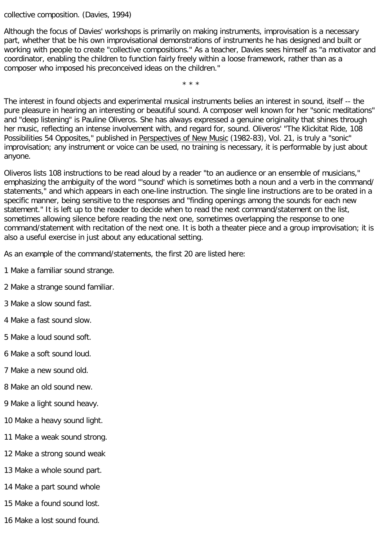collective composition. (Davies, 1994)

Although the focus of Davies' workshops is primarily on making instruments, improvisation is a necessary part, whether that be his own improvisational demonstrations of instruments he has designed and built or working with people to create "collective compositions." As a teacher, Davies sees himself as "a motivator and coordinator, enabling the children to function fairly freely within a loose framework, rather than as a composer who imposed his preconceived ideas on the children."

\* \* \*

The interest in found objects and experimental musical instruments belies an interest in sound, itself -- the pure pleasure in hearing an interesting or beautiful sound. A composer well known for her "sonic meditations" and "deep listening" is Pauline Oliveros. She has always expressed a genuine originality that shines through her music, reflecting an intense involvement with, and regard for, sound. Oliveros' "The Klickitat Ride, 108 Possibilities 54 Opposites," published in Perspectives of New Music (1982-83), Vol. 21, is truly a "sonic" improvisation; any instrument or voice can be used, no training is necessary, it is performable by just about anyone.

Oliveros lists 108 instructions to be read aloud by a reader "to an audience or an ensemble of musicians," emphasizing the ambiguity of the word "'sound' which is sometimes both a noun and a verb in the command/ statements," and which appears in each one-line instruction. The single line instructions are to be orated in a specific manner, being sensitive to the responses and "finding openings among the sounds for each new statement." It is left up to the reader to decide when to read the next command/statement on the list, sometimes allowing silence before reading the next one, sometimes overlapping the response to one command/statement with recitation of the next one. It is both a theater piece and a group improvisation; it is also a useful exercise in just about any educational setting.

As an example of the command/statements, the first 20 are listed here:

- 1 Make a familiar sound strange.
- 2 Make a strange sound familiar.
- 3 Make a slow sound fast.
- 4 Make a fast sound slow.
- 5 Make a loud sound soft.
- 6 Make a soft sound loud.
- 7 Make a new sound old.
- 8 Make an old sound new.
- 9 Make a light sound heavy.
- 10 Make a heavy sound light.
- 11 Make a weak sound strong.
- 12 Make a strong sound weak
- 13 Make a whole sound part.
- 14 Make a part sound whole
- 15 Make a found sound lost.
- 16 Make a lost sound found.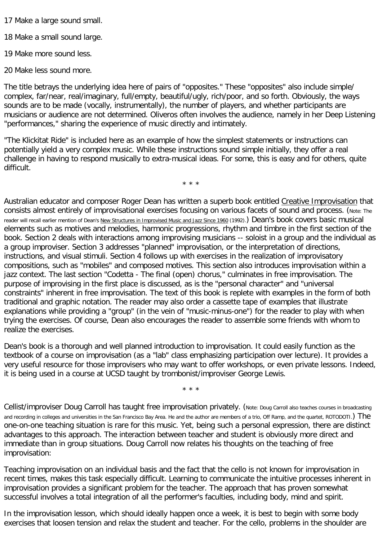17 Make a large sound small.

18 Make a small sound large.

19 Make more sound less.

20 Make less sound more.

The title betrays the underlying idea here of pairs of "opposites." These "opposites" also include simple/ complex, far/near, real/imaginary, full/empty, beautiful/ugly, rich/poor, and so forth. Obviously, the ways sounds are to be made (vocally, instrumentally), the number of players, and whether participants are musicians or audience are not determined. Oliveros often involves the audience, namely in her Deep Listening "performances," sharing the experience of music directly and intimately.

"The Klickitat Ride" is included here as an example of how the simplest statements or instructions can potentially yield a very complex music. While these instructions sound simple initially, they offer a real challenge in having to respond musically to extra-musical ideas. For some, this is easy and for others, quite difficult.

\* \* \*

Australian educator and composer Roger Dean has written a superb book entitled Creative Improvisation that consists almost entirely of improvisational exercises focusing on various facets of sound and process. (Note: The reader will recall earlier mention of Dean's New Structures in Improvised Music and Jazz Since 1960 (1992).) Dean's book covers basic musical elements such as motives and melodies, harmonic progressions, rhythm and timbre in the first section of the book. Section 2 deals with interactions among improvising musicians -- soloist in a group and the individual as a group improviser. Section 3 addresses "planned" improvisation, or the interpretation of directions, instructions, and visual stimuli. Section 4 follows up with exercises in the realization of improvisatory compositions, such as "mobiles" and composed motives. This section also introduces improvisation within a jazz context. The last section "Codetta - The final (open) chorus," culminates in free improvisation. The purpose of improvising in the first place is discussed, as is the "personal character" and "universal constraints" inherent in free improvisation. The text of this book is replete with examples in the form of both traditional and graphic notation. The reader may also order a cassette tape of examples that illustrate explanations while providing a "group" (in the vein of "music-minus-one") for the reader to play with when trying the exercises. Of course, Dean also encourages the reader to assemble some friends with whom to realize the exercises.

Dean's book is a thorough and well planned introduction to improvisation. It could easily function as the textbook of a course on improvisation (as a "lab" class emphasizing participation over lecture). It provides a very useful resource for those improvisers who may want to offer workshops, or even private lessons. Indeed, it is being used in a course at UCSD taught by trombonist/improviser George Lewis.

\* \* \*

Cellist/improviser Doug Carroll has taught free improvisation privately. (Note: Doug Carroll also teaches courses in broadcasting and recording in colleges and universities in the San Francisco Bay Area. He and the author are members of a trio, Off Ramp, and the quartet, ROTODOTI.) The one-on-one teaching situation is rare for this music. Yet, being such a personal expression, there are distinct advantages to this approach. The interaction between teacher and student is obviously more direct and immediate than in group situations. Doug Carroll now relates his thoughts on the teaching of free improvisation:

Teaching improvisation on an individual basis and the fact that the cello is not known for improvisation in recent times, makes this task especially difficult. Learning to communicate the intuitive processes inherent in improvisation provides a significant problem for the teacher. The approach that has proven somewhat successful involves a total integration of all the performer's faculties, including body, mind and spirit.

In the improvisation lesson, which should ideally happen once a week, it is best to begin with some body exercises that loosen tension and relax the student and teacher. For the cello, problems in the shoulder are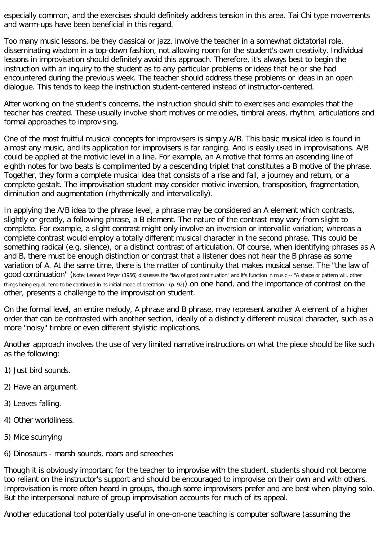especially common, and the exercises should definitely address tension in this area. Tai Chi type movements and warm-ups have been beneficial in this regard.

Too many music lessons, be they classical or jazz, involve the teacher in a somewhat dictatorial role, disseminating wisdom in a top-down fashion, not allowing room for the student's own creativity. Individual lessons in improvisation should definitely avoid this approach. Therefore, it's always best to begin the instruction with an inquiry to the student as to any particular problems or ideas that he or she had encountered during the previous week. The teacher should address these problems or ideas in an open dialogue. This tends to keep the instruction student-centered instead of instructor-centered.

After working on the student's concerns, the instruction should shift to exercises and examples that the teacher has created. These usually involve short motives or melodies, timbral areas, rhythm, articulations and formal approaches to improvising.

One of the most fruitful musical concepts for improvisers is simply A/B. This basic musical idea is found in almost any music, and its application for improvisers is far ranging. And is easily used in improvisations. A/B could be applied at the motivic level in a line. For example, an A motive that forms an ascending line of eighth notes for two beats is complimented by a descending triplet that constitutes a B motive of the phrase. Together, they form a complete musical idea that consists of a rise and fall, a journey and return, or a complete gestalt. The improvisation student may consider motivic inversion, transposition, fragmentation, diminution and augmentation (rhythmically and intervalically).

In applying the A/B idea to the phrase level, a phrase may be considered an A element which contrasts, slightly or greatly, a following phrase, a B element. The nature of the contrast may vary from slight to complete. For example, a slight contrast might only involve an inversion or intervallic variation; whereas a complete contrast would employ a totally different musical character in the second phrase. This could be something radical (e.g. silence), or a distinct contrast of articulation. Of course, when identifying phrases as A and B, there must be enough distinction or contrast that a listener does not hear the B phrase as some variation of A. At the same time, there is the matter of continuity that makes musical sense. The "the law of good continuation" (Note: Leonard Meyer (1956) discusses the "law of good continuation" and it's function in music -- "A shape or pattern will, other things being equal, tend to be continued in its initial mode of operation." (p. 92)) on one hand, and the importance of contrast on the other, presents a challenge to the improvisation student.

On the formal level, an entire melody, A phrase and B phrase, may represent another A element of a higher order that can be contrasted with another section, ideally of a distinctly different musical character, such as a more "noisy" timbre or even different stylistic implications.

Another approach involves the use of very limited narrative instructions on what the piece should be like such as the following:

- 1) Just bird sounds.
- 2) Have an argument.
- 3) Leaves falling.
- 4) Other worldliness.
- 5) Mice scurrying
- 6) Dinosaurs marsh sounds, roars and screeches

Though it is obviously important for the teacher to improvise with the student, students should not become too reliant on the instructor's support and should be encouraged to improvise on their own and with others. Improvisation is more often heard in groups, though some improvisers prefer and are best when playing solo. But the interpersonal nature of group improvisation accounts for much of its appeal.

Another educational tool potentially useful in one-on-one teaching is computer software (assuming the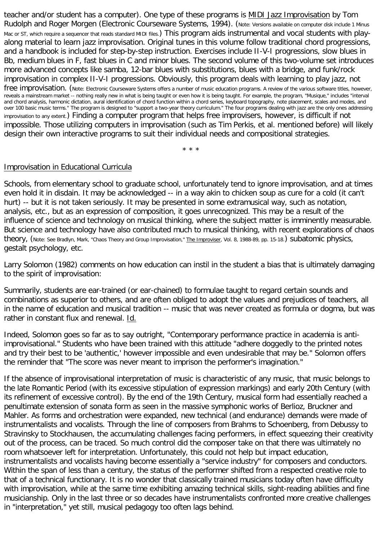teacher and/or student has a computer). One type of these programs is MIDI Jazz Improvisation by Tom Rudolph and Roger Morgen (Electronic Courseware Systems, 1994). (Note: Versions available on computer disk include 1 Minus Mac or ST, which require a sequencer that reads standard MIDI files.) This program aids instrumental and vocal students with playalong material to learn jazz improvisation. Original tunes in this volume follow traditional chord progressions, and a handbook is included for step-by-step instruction. Exercises include II-V-I progressions, slow blues in Bb, medium blues in F, fast blues in C and minor blues. The second volume of this two-volume set introduces more advanced concepts like samba, 12-bar blues with substitutions, blues with a bridge, and funk/rock improvisation in complex II-V-I progressions. Obviously, this program deals with learning to play jazz, not free improvisation. (Note: Electronic Courseware Systems offers a number of music education programs. A review of the various software titles, however, reveals a mainstream market -- nothing really new in what is being taught or even how it is being taught. For example, the program, "Musique," includes "interval and chord analysis, harmonic dictation, aural identification of chord function within a chord series, keyboard topography, note placement, scales and modes, and over 100 basic music terms." The program is designed to "support a two-year theory curriculum." The four programs dealing with jazz are the only ones addressing improvisation to any extent.) Finding a computer program that helps free improvisers, however, is difficult if not impossible. Those utilizing computers in improvisation (such as Tim Perkis, et al. mentioned before) will likely design their own interactive programs to suit their individual needs and compositional strategies.

\* \* \*

#### Improvisation in Educational Curricula

Schools, from elementary school to graduate school, unfortunately tend to ignore improvisation, and at times even hold it in disdain. It may be acknowledged -- in a way akin to chicken soup as cure for a cold (it can't hurt) -- but it is not taken seriously. It may be presented in some extramusical way, such as notation, analysis, etc., but as an expression of composition, it goes unrecognized. This may be a result of the influence of science and technology on musical thinking, where the subject matter is imminently measurable. But science and technology have also contributed much to musical thinking, with recent explorations of chaos theory, (Note: See Bradlyn, Mark, "Chaos Theory and Group Improvisation," The Improviser, Vol. 8, 1988-89, pp. 15-18.) subatomic physics, gestalt psychology, etc.

Larry Solomon (1982) comments on how education can instil in the student a bias that is ultimately damaging to the spirit of improvisation:

Summarily, students are ear-trained (or ear-chained) to formulae taught to regard certain sounds and combinations as superior to others, and are often obliged to adopt the values and prejudices of teachers, all in the name of education and musical tradition -- music that was never created as formula or dogma, but was rather in constant flux and renewal. Id.

Indeed, Solomon goes so far as to say outright, "Contemporary performance practice in academia is antiimprovisational." Students who have been trained with this attitude "adhere doggedly to the printed notes and try their best to be 'authentic,' however impossible and even undesirable that may be." Solomon offers the reminder that "The score was never meant to imprison the performer's imagination."

If the absence of improvisational interpretation of music is characteristic of any music, that music belongs to the late Romantic Period (with its excessive stipulation of expression markings) and early 20th Century (with its refinement of excessive control). By the end of the 19th Century, musical form had essentially reached a penultimate extension of sonata form as seen in the massive symphonic works of Berlioz, Bruckner and Mahler. As forms and orchestration were expanded, new technical (and endurance) demands were made of instrumentalists and vocalists. Through the line of composers from Brahms to Schoenberg, from Debussy to Stravinsky to Stockhausen, the accumulating challenges facing performers, in effect squeezing their creativity out of the process, can be traced. So much control did the composer take on that there was ultimately no room whatsoever left for interpretation. Unfortunately, this could not help but impact education, instrumentalists and vocalists having become essentially a "service industry" for composers and conductors. Within the span of less than a century, the status of the performer shifted from a respected creative role to that of a technical functionary. It is no wonder that classically trained musicians today often have difficulty with improvisation, while at the same time exhibiting amazing technical skills, sight-reading abilities and fine musicianship. Only in the last three or so decades have instrumentalists confronted more creative challenges in "interpretation," yet still, musical pedagogy too often lags behind.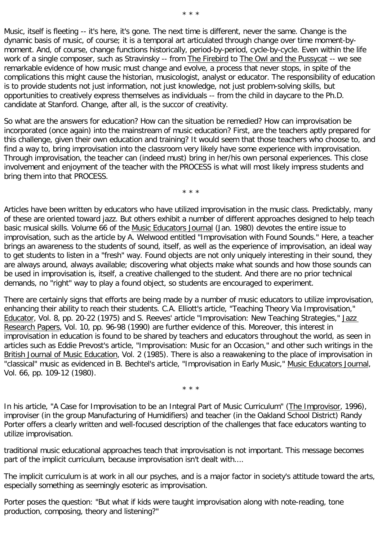Music, itself is fleeting -- it's here, it's gone. The next time is different, never the same. Change is the dynamic basis of music, of course; it is a temporal art articulated through change over time moment-bymoment. And, of course, change functions historically, period-by-period, cycle-by-cycle. Even within the life work of a single composer, such as Stravinsky -- from The Firebird to The Owl and the Pussycat -- we see remarkable evidence of how music must change and evolve, a process that never stops, in spite of the complications this might cause the historian, musicologist, analyst or educator. The responsibility of education is to provide students not just information, not just knowledge, not just problem-solving skills, but opportunities to creatively express themselves as individuals -- from the child in daycare to the Ph.D. candidate at Stanford. Change, after all, is the succor of creativity.

So what are the answers for education? How can the situation be remedied? How can improvisation be incorporated (once again) into the mainstream of music education? First, are the teachers aptly prepared for this challenge, given their own education and training? It would seem that those teachers who choose to, and find a way to, bring improvisation into the classroom very likely have some experience with improvisation. Through improvisation, the teacher can (indeed must) bring in her/his own personal experiences. This close involvement and enjoyment of the teacher with the PROCESS is what will most likely impress students and bring them into that PROCESS.

\* \* \*

Articles have been written by educators who have utilized improvisation in the music class. Predictably, many of these are oriented toward jazz. But others exhibit a number of different approaches designed to help teach basic musical skills. Volume 66 of the Music Educators Journal (Jan. 1980) devotes the entire issue to improvisation, such as the article by A. Welwood entitled "Improvisation with Found Sounds." Here, a teacher brings an awareness to the students of sound, itself, as well as the experience of improvisation, an ideal way to get students to listen in a "fresh" way. Found objects are not only uniquely interesting in their sound, they are always around, always available; discovering what objects make what sounds and how those sounds can be used in improvisation is, itself, a creative challenged to the student. And there are no prior technical demands, no "right" way to play a found object, so students are encouraged to experiment.

There are certainly signs that efforts are being made by a number of music educators to utilize improvisation, enhancing their ability to reach their students. C.A. Elliott's article, "Teaching Theory Via Improvisation," Educator, Vol. 8, pp. 20-22 (1975) and S. Reeves' article "Improvisation: New Teaching Strategies," Jazz Research Papers, Vol. 10, pp. 96-98 (1990) are further evidence of this. Moreover, this interest in improvisation in education is found to be shared by teachers and educators throughout the world, as seen in articles such as Eddie Prevost's article, "Improvisation: Music for an Occasion," and other such writings in the British Journal of Music Education, Vol. 2 (1985). There is also a reawakening to the place of improvisation in "classical" music as evidenced in B. Bechtel's article, "Improvisation in Early Music," Music Educators Journal, Vol. 66, pp. 109-12 (1980).

\* \* \*

In his article, "A Case for Improvisation to be an Integral Part of Music Curriculum" (The Improvisor, 1996), improviser (in the group Manufacturing of Humidifiers) and teacher (in the Oakland School District) Randy Porter offers a clearly written and well-focused description of the challenges that face educators wanting to utilize improvisation.

traditional music educational approaches teach that improvisation is not important. This message becomes part of the implicit curriculum, because improvisation isn't dealt with....

The implicit curriculum is at work in all our psyches, and is a major factor in society's attitude toward the arts, especially something as seemingly esoteric as improvisation.

Porter poses the question: "But what if kids were taught improvisation along with note-reading, tone production, composing, theory and listening?"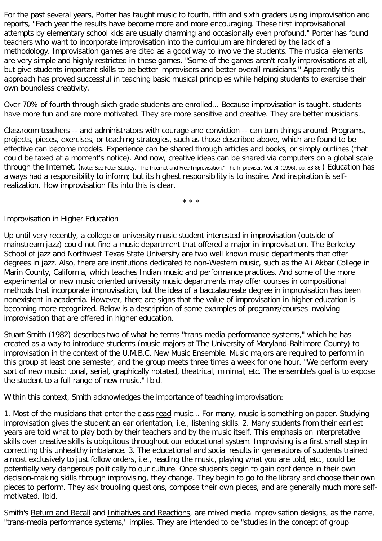For the past several years, Porter has taught music to fourth, fifth and sixth graders using improvisation and reports, "Each year the results have become more and more encouraging. These first improvisational attempts by elementary school kids are usually charming and occasionally even profound." Porter has found teachers who want to incorporate improvisation into the curriculum are hindered by the lack of a methodology. Improvisation games are cited as a good way to involve the students. The musical elements are very simple and highly restricted in these games. "Some of the games aren't really improvisations at all, but give students important skills to be better improvisers and better overall musicians." Apparently this approach has proved successful in teaching basic musical principles while helping students to exercise their own boundless creativity.

Over 70% of fourth through sixth grade students are enrolled... Because improvisation is taught, students have more fun and are more motivated. They are more sensitive and creative. They are better musicians.

Classroom teachers -- and administrators with courage and conviction -- can turn things around. Programs, projects, pieces, exercises, or teaching strategies, such as those described above, which are found to be effective can become models. Experience can be shared through articles and books, or simply outlines (that could be faxed at a moment's notice). And now, creative ideas can be shared via computers on a global scale through the Internet. (Note: See Peter Stubley, "The Internet and Free Improvisation," The Improviser, Vol. XI (1996), pp. 83-86.) Education has always had a responsibility to inform; but its highest responsibility is to inspire. And inspiration is selfrealization. How improvisation fits into this is clear.

\* \* \*

## Improvisation in Higher Education

Up until very recently, a college or university music student interested in improvisation (outside of mainstream jazz) could not find a music department that offered a major in improvisation. The Berkeley School of jazz and Northwest Texas State University are two well known music departments that offer degrees in jazz. Also, there are institutions dedicated to non-Western music, such as the Ali Akbar College in Marin County, California, which teaches Indian music and performance practices. And some of the more experimental or new music oriented university music departments may offer courses in compositional methods that incorporate improvisation, but the idea of a baccalaureate degree in improvisation has been nonexistent in academia. However, there are signs that the value of improvisation in higher education is becoming more recognized. Below is a description of some examples of programs/courses involving improvisation that are offered in higher education.

Stuart Smith (1982) describes two of what he terms "trans-media performance systems," which he has created as a way to introduce students (music majors at The University of Maryland-Baltimore County) to improvisation in the context of the U.M.B.C. New Music Ensemble. Music majors are required to perform in this group at least one semester, and the group meets three times a week for one hour. "We perform every sort of new music: tonal, serial, graphically notated, theatrical, minimal, etc. The ensemble's goal is to expose the student to a full range of new music." Ibid.

Within this context, Smith acknowledges the importance of teaching improvisation:

1. Most of the musicians that enter the class read music... For many, music is something on paper. Studying improvisation gives the student an ear orientation, i.e., listening skills. 2. Many students from their earliest years are told what to play both by their teachers and by the music itself. This emphasis on interpretative skills over creative skills is ubiquitous throughout our educational system. Improvising is a first small step in correcting this unhealthy imbalance. 3. The educational and social results in generations of students trained almost exclusively to just follow orders, i.e., reading the music, playing what you are told, etc., could be potentially very dangerous politically to our culture. Once students begin to gain confidence in their own decision-making skills through improvising, they change. They begin to go to the library and choose their own pieces to perform. They ask troubling questions, compose their own pieces, and are generally much more selfmotivated. Ibid.

Smith's Return and Recall and Initiatives and Reactions, are mixed media improvisation designs, as the name, "trans-media performance systems," implies. They are intended to be "studies in the concept of group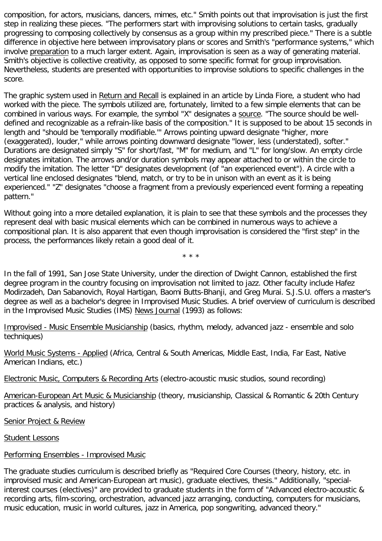composition, for actors, musicians, dancers, mimes, etc." Smith points out that improvisation is just the first step in realizing these pieces. "The performers start with improvising solutions to certain tasks, gradually progressing to composing collectively by consensus as a group within my prescribed piece." There is a subtle difference in objective here between improvisatory plans or scores and Smith's "performance systems," which involve preparation to a much larger extent. Again, improvisation is seen as a way of generating material. Smith's objective is collective creativity, as opposed to some specific format for group improvisation. Nevertheless, students are presented with opportunities to improvise solutions to specific challenges in the score.

The graphic system used in Return and Recall is explained in an article by Linda Fiore, a student who had worked with the piece. The symbols utilized are, fortunately, limited to a few simple elements that can be combined in various ways. For example, the symbol "X" designates a source. "The source should be welldefined and recognizable as a refrain-like basis of the composition." It is supposed to be about 15 seconds in length and "should be 'temporally modifiable.'" Arrows pointing upward designate "higher, more (exaggerated), louder," while arrows pointing downward designate "lower, less (understated), softer." Durations are designated simply "S" for short/fast, "M" for medium, and "L" for long/slow. An empty circle designates imitation. The arrows and/or duration symbols may appear attached to or within the circle to modify the imitation. The letter "D" designates development (of "an experienced event"). A circle with a vertical line enclosed designates "blend, match, or try to be in unison with an event as it is being experienced." "Z" designates "choose a fragment from a previously experienced event forming a repeating pattern."

Without going into a more detailed explanation, it is plain to see that these symbols and the processes they represent deal with basic musical elements which can be combined in numerous ways to achieve a compositional plan. It is also apparent that even though improvisation is considered the "first step" in the process, the performances likely retain a good deal of it.

\* \* \*

In the fall of 1991, San Jose State University, under the direction of Dwight Cannon, established the first degree program in the country focusing on improvisation not limited to jazz. Other faculty include Hafez Modirzadeh, Dan Sabanovich, Royal Hartigan, Baomi Butts-Bhanji, and Greg Murai. S.J.S.U. offers a master's degree as well as a bachelor's degree in Improvised Music Studies. A brief overview of curriculum is described in the Improvised Music Studies (IMS) News Journal (1993) as follows:

Improvised - Music Ensemble Musicianship (basics, rhythm, melody, advanced jazz - ensemble and solo techniques)

World Music Systems - Applied (Africa, Central & South Americas, Middle East, India, Far East, Native American Indians, etc.)

Electronic Music, Computers & Recording Arts (electro-acoustic music studios, sound recording)

American-European Art Music & Musicianship (theory, musicianship, Classical & Romantic & 20th Century practices & analysis, and history)

Senior Project & Review

Student Lessons

# Performing Ensembles - Improvised Music

The graduate studies curriculum is described briefly as "Required Core Courses (theory, history, etc. in improvised music and American-European art music), graduate electives, thesis." Additionally, "specialinterest courses (electives)" are provided to graduate students in the form of "Advanced electro-acoustic & recording arts, film-scoring, orchestration, advanced jazz arranging, conducting, computers for musicians, music education, music in world cultures, jazz in America, pop songwriting, advanced theory."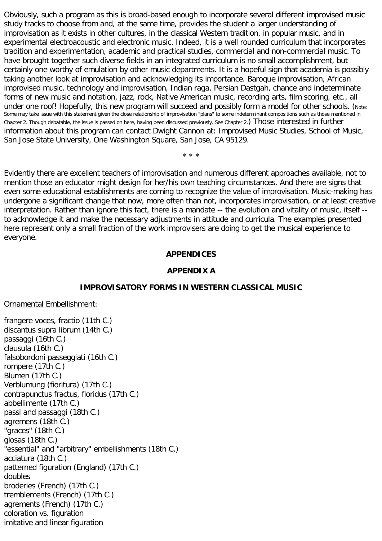Obviously, such a program as this is broad-based enough to incorporate several different improvised music study tracks to choose from and, at the same time, provides the student a larger understanding of improvisation as it exists in other cultures, in the classical Western tradition, in popular music, and in experimental electroacoustic and electronic music. Indeed, it is a well rounded curriculum that incorporates tradition and experimentation, academic and practical studies, commercial and non-commercial music. To have brought together such diverse fields in an integrated curriculum is no small accomplishment, but certainly one worthy of emulation by other music departments. It is a hopeful sign that academia is possibly taking another look at improvisation and acknowledging its importance. Baroque improvisation, African improvised music, technology and improvisation, Indian raga, Persian Dastgah, chance and indeterminate forms of new music and notation, jazz, rock, Native American music, recording arts, film scoring, etc., all under one roof! Hopefully, this new program will succeed and possibly form a model for other schools. (Note: Some may take issue with this statement given the close relationship of improvisation "plans" to some indeterminant compositions such as those mentioned in Chapter 2. Though debatable, the issue is passed on here, having been discussed previously. See Chapter 2.) Those interested in further information about this program can contact Dwight Cannon at: Improvised Music Studies, School of Music, San Jose State University, One Washington Square, San Jose, CA 95129.

\* \* \*

Evidently there are excellent teachers of improvisation and numerous different approaches available, not to mention those an educator might design for her/his own teaching circumstances. And there are signs that even some educational establishments are coming to recognize the value of improvisation. Music-making has undergone a significant change that now, more often than not, incorporates improvisation, or at least creative interpretation. Rather than ignore this fact, there is a mandate -- the evolution and vitality of music, itself - to acknowledge it and make the necessary adjustments in attitude and curricula. The examples presented here represent only a small fraction of the work improvisers are doing to get the musical experience to everyone.

#### **APPENDICES**

#### **APPENDIX A**

#### **IMPROVISATORY FORMS IN WESTERN CLASSICAL MUSIC**

Ornamental Embellishment:

frangere voces, fractio (11th C.) discantus supra librum (14th C.) passaggi (16th C.) clausula (16th C.) falsobordoni passeggiati (16th C.) rompere (17th C.) Blumen (17th C.) Verblumung (fioritura) (17th C.) contrapunctus fractus, floridus (17th C.) abbellimente (17th C.) passi and passaggi (18th C.) agremens (18th C.) "graces" (18th C.) glosas (18th C.) "essential" and "arbitrary" embellishments (18th C.) acciatura (18th C.) patterned figuration (England) (17th C.) doubles broderies (French) (17th C.) tremblements (French) (17th C.) agrements (French) (17th C.) coloration vs. figuration imitative and linear figuration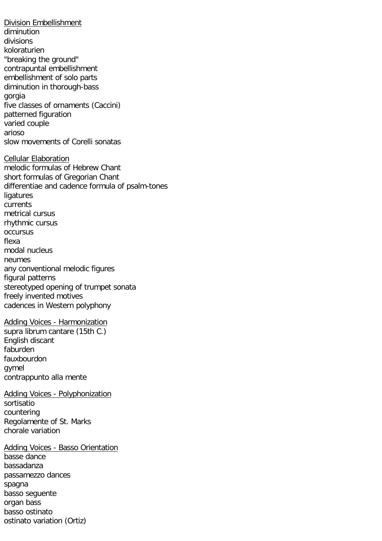Division Embellishment diminution divisions koloraturien "breaking the ground" contrapuntal embellishment embellishment of solo parts diminution in thorough-bass gorgia five classes of ornaments (Caccini) patterned figuration varied couple arioso slow movements of Corelli sonatas Cellular Elaboration melodic formulas of Hebrew Chant short formulas of Gregorian Chant differentiae and cadence formula of psalm-tones ligatures currents metrical cursus rhythmic cursus occursus flexa modal nucleus neumes any conventional melodic figures figural patterns stereotyped opening of trumpet sonata freely invented motives cadences in Western polyphony Adding Voices - Harmonization supra librum cantare (15th C.) English discant faburden fauxbourdon gymel contrappunto alla mente Adding Voices - Polyphonization sortisatio countering Regolamente of St. Marks chorale variation Adding Voices - Basso Orientation basse dance bassadanza passamezzo dances spagna basso seguente organ bass basso ostinato

ostinato variation (Ortiz)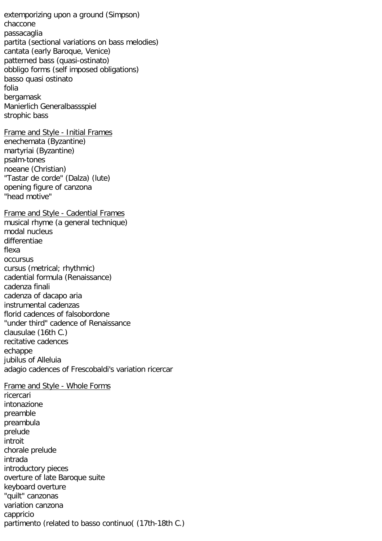extemporizing upon a ground (Simpson) chaccone passacaglia partita (sectional variations on bass melodies) cantata (early Baroque, Venice) patterned bass (quasi-ostinato) obbligo forms (self imposed obligations) basso quasi ostinato folia bergamask Manierlich Generalbassspiel strophic bass Frame and Style - Initial Frames enechemata (Byzantine) martyriai (Byzantine) psalm-tones noeane (Christian) "Tastar de corde" (Dalza) (lute) opening figure of canzona "head motive" Frame and Style - Cadential Frames musical rhyme (a general technique) modal nucleus differentiae flexa occursus cursus (metrical; rhythmic) cadential formula (Renaissance) cadenza finali cadenza of dacapo aria instrumental cadenzas florid cadences of falsobordone "under third" cadence of Renaissance clausulae (16th C.) recitative cadences echappe jubilus of Alleluia adagio cadences of Frescobaldi's variation ricercar Frame and Style - Whole Forms ricercari intonazione preamble preambula prelude introit chorale prelude intrada introductory pieces overture of late Baroque suite keyboard overture "quilt" canzonas variation canzona cappricio partimento (related to basso continuo( (17th-18th C.)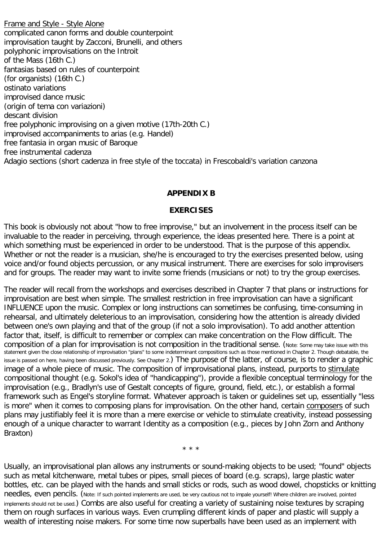Frame and Style - Style Alone complicated canon forms and double counterpoint improvisation taught by Zacconi, Brunelli, and others polyphonic improvisations on the Introit of the Mass (16th C.) fantasias based on rules of counterpoint (for organists) (16th C.) ostinato variations improvised dance music (origin of tema con variazioni) descant division free polyphonic improvising on a given motive (17th-20th C.) improvised accompaniments to arias (e.g. Handel) free fantasia in organ music of Baroque free instrumental cadenza Adagio sections (short cadenza in free style of the toccata) in Frescobaldi's variation canzona

## **APPENDIX B**

#### **EXERCISES**

This book is obviously not about "how to free improvise," but an involvement in the process itself can be invaluable to the reader in perceiving, through experience, the ideas presented here. There is a point at which something must be experienced in order to be understood. That is the purpose of this appendix. Whether or not the reader is a musician, she/he is encouraged to try the exercises presented below, using voice and/or found objects percussion, or any musical instrument. There are exercises for solo improvisers and for groups. The reader may want to invite some friends (musicians or not) to try the group exercises.

The reader will recall from the workshops and exercises described in Chapter 7 that plans or instructions for improvisation are best when simple. The smallest restriction in free improvisation can have a significant INFLUENCE upon the music. Complex or long instructions can sometimes be confusing, time-consuming in rehearsal, and ultimately deleterious to an improvisation, considering how the attention is already divided between one's own playing and that of the group (if not a solo improvisation). To add another attention factor that, itself, is difficult to remember or complex can make concentration on the Flow difficult. The composition of a plan for improvisation is not composition in the traditional sense. (Note: Some may take issue with this statement given the close relationship of improvisation "plans" to some indeterminant compositions such as those mentioned in Chapter 2. Though debatable, the issue is passed on here, having been discussed previously. See Chapter 2.) The purpose of the latter, of course, is to render a graphic image of a whole piece of music. The composition of improvisational plans, instead, purports to stimulate compositional thought (e.g. Sokol's idea of "handicapping"), provide a flexible conceptual terminology for the improvisation (e.g., Bradlyn's use of Gestalt concepts of figure, ground, field, etc.), or establish a formal framework such as Engel's storyline format. Whatever approach is taken or guidelines set up, essentially "less is more" when it comes to composing plans for improvisation. On the other hand, certain composers of such plans may justifiably feel it is more than a mere exercise or vehicle to stimulate creativity, instead possessing enough of a unique character to warrant Identity as a composition (e.g., pieces by John Zorn and Anthony Braxton)

\* \* \*

Usually, an improvisational plan allows any instruments or sound-making objects to be used; "found" objects such as metal kitchenware, metal tubes or pipes, small pieces of board (e.g. scraps), large plastic water bottles, etc. can be played with the hands and small sticks or rods, such as wood dowel, chopsticks or knitting needles, even pencils. (Note: If such pointed implements are used, be very cautious not to impale yourself! Where children are involved, pointed implements should not be used.) Combs are also useful for creating a variety of sustaining noise textures by scraping them on rough surfaces in various ways. Even crumpling different kinds of paper and plastic will supply a wealth of interesting noise makers. For some time now superballs have been used as an implement with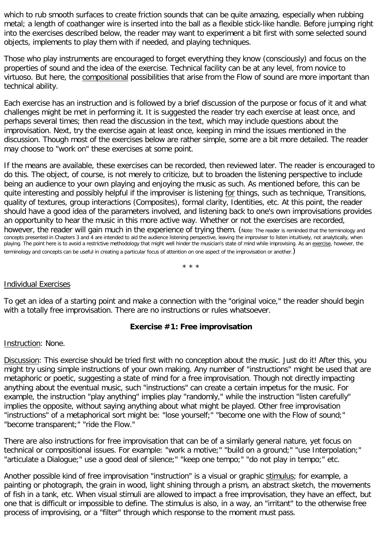which to rub smooth surfaces to create friction sounds that can be quite amazing, especially when rubbing metal; a length of coathanger wire is inserted into the ball as a flexible stick-like handle. Before jumping right into the exercises described below, the reader may want to experiment a bit first with some selected sound objects, implements to play them with if needed, and playing techniques.

Those who play instruments are encouraged to forget everything they know (consciously) and focus on the properties of sound and the idea of the exercise. Technical facility can be at any level, from novice to virtuoso. But here, the compositional possibilities that arise from the Flow of sound are more important than technical ability.

Each exercise has an instruction and is followed by a brief discussion of the purpose or focus of it and what challenges might be met in performing it. It is suggested the reader try each exercise at least once, and perhaps several times; then read the discussion in the text, which may include questions about the improvisation. Next, try the exercise again at least once, keeping in mind the issues mentioned in the discussion. Though most of the exercises below are rather simple, some are a bit more detailed. The reader may choose to "work on" these exercises at some point.

If the means are available, these exercises can be recorded, then reviewed later. The reader is encouraged to do this. The object, of course, is not merely to criticize, but to broaden the listening perspective to include being an audience to your own playing and enjoying the music as such. As mentioned before, this can be quite interesting and possibly helpful if the improviser is listening for things, such as technique, Transitions, quality of textures, group interactions (Composites), formal clarity, Identities, etc. At this point, the reader should have a good idea of the parameters involved, and listening back to one's own improvisations provides an opportunity to hear the music in this more active way. Whether or not the exercises are recorded, however, the reader will gain much in the experience of trying them. (Note: The reader is reminded that the terminology and concepts presented in Chapters 3 and 4 are intended to aid the audience listening perspective, leaving the improviser to listen intuitively, not analytically, when playing. The point here is to avoid a restrictive methodology that might well hinder the musician's state of mind while improvising. As an exercise, however, the terminology and concepts can be useful in creating a particular focus of attention on one aspect of the improvisation or another.)

\* \* \*

## Individual Exercises

To get an idea of a starting point and make a connection with the "original voice," the reader should begin with a totally free improvisation. There are no instructions or rules whatsoever.

## **Exercise #1: Free improvisation**

#### Instruction: None.

Discussion: This exercise should be tried first with no conception about the music. Just do it! After this, you might try using simple instructions of your own making. Any number of "instructions" might be used that are metaphoric or poetic, suggesting a state of mind for a free improvisation. Though not directly impacting anything about the eventual music, such "instructions" can create a certain impetus for the music. For example, the instruction "play anything" implies play "randomly," while the instruction "listen carefully" implies the opposite, without saying anything about what might be played. Other free improvisation "instructions" of a metaphorical sort might be: "lose yourself;" "become one with the Flow of sound;" "become transparent;" "ride the Flow."

There are also instructions for free improvisation that can be of a similarly general nature, yet focus on technical or compositional issues. For example: "work a motive;" "build on a ground;" "use Interpolation;" "articulate a Dialogue;" use a good deal of silence;" "keep one tempo;" "do not play in tempo;" etc.

Another possible kind of free improvisation "instruction" is a visual or graphic stimulus; for example, a painting or photograph, the grain in wood, light shining through a prism, an abstract sketch, the movements of fish in a tank, etc. When visual stimuli are allowed to impact a free improvisation, they have an effect, but one that is difficult or impossible to define. The stimulus is also, in a way, an "irritant" to the otherwise free process of improvising, or a "filter" through which response to the moment must pass.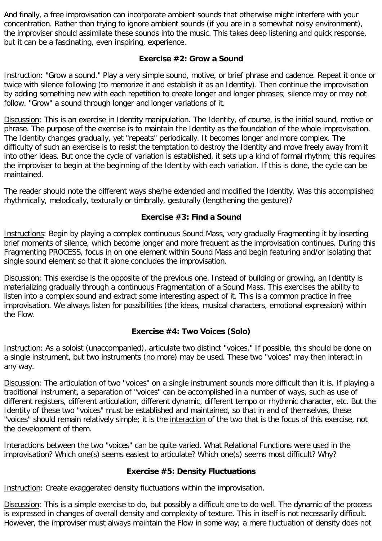And finally, a free improvisation can incorporate ambient sounds that otherwise might interfere with your concentration. Rather than trying to ignore ambient sounds (if you are in a somewhat noisy environment), the improviser should assimilate these sounds into the music. This takes deep listening and quick response, but it can be a fascinating, even inspiring, experience.

## **Exercise #2: Grow a Sound**

Instruction: "Grow a sound." Play a very simple sound, motive, or brief phrase and cadence. Repeat it once or twice with silence following (to memorize it and establish it as an Identity). Then continue the improvisation by adding something new with each repetition to create longer and longer phrases; silence may or may not follow. "Grow" a sound through longer and longer variations of it.

Discussion: This is an exercise in Identity manipulation. The Identity, of course, is the initial sound, motive or phrase. The purpose of the exercise is to maintain the Identity as the foundation of the whole improvisation. The Identity changes gradually, yet "repeats" periodically. It becomes longer and more complex. The difficulty of such an exercise is to resist the temptation to destroy the Identity and move freely away from it into other ideas. But once the cycle of variation is established, it sets up a kind of formal rhythm; this requires the improviser to begin at the beginning of the Identity with each variation. If this is done, the cycle can be maintained.

The reader should note the different ways she/he extended and modified the Identity. Was this accomplished rhythmically, melodically, texturally or timbrally, gesturally (lengthening the gesture)?

## **Exercise #3: Find a Sound**

Instructions: Begin by playing a complex continuous Sound Mass, very gradually Fragmenting it by inserting brief moments of silence, which become longer and more frequent as the improvisation continues. During this Fragmenting PROCESS, focus in on one element within Sound Mass and begin featuring and/or isolating that single sound element so that it alone concludes the improvisation.

Discussion: This exercise is the opposite of the previous one. Instead of building or growing, an Identity is materializing gradually through a continuous Fragmentation of a Sound Mass. This exercises the ability to listen into a complex sound and extract some interesting aspect of it. This is a common practice in free improvisation. We always listen for possibilities (the ideas, musical characters, emotional expression) within the Flow.

## **Exercise #4: Two Voices (Solo)**

Instruction: As a soloist (unaccompanied), articulate two distinct "voices." If possible, this should be done on a single instrument, but two instruments (no more) may be used. These two "voices" may then interact in any way.

Discussion: The articulation of two "voices" on a single instrument sounds more difficult than it is. If playing a traditional instrument, a separation of "voices" can be accomplished in a number of ways, such as use of different registers, different articulation, different dynamic, different tempo or rhythmic character, etc. But the Identity of these two "voices" must be established and maintained, so that in and of themselves, these "voices" should remain relatively simple; it is the interaction of the two that is the focus of this exercise, not the development of them.

Interactions between the two "voices" can be quite varied. What Relational Functions were used in the improvisation? Which one(s) seems easiest to articulate? Which one(s) seems most difficult? Why?

## **Exercise #5: Density Fluctuations**

Instruction: Create exaggerated density fluctuations within the improvisation.

Discussion: This is a simple exercise to do, but possibly a difficult one to do well. The dynamic of the process is expressed in changes of overall density and complexity of texture. This in itself is not necessarily difficult. However, the improviser must always maintain the Flow in some way; a mere fluctuation of density does not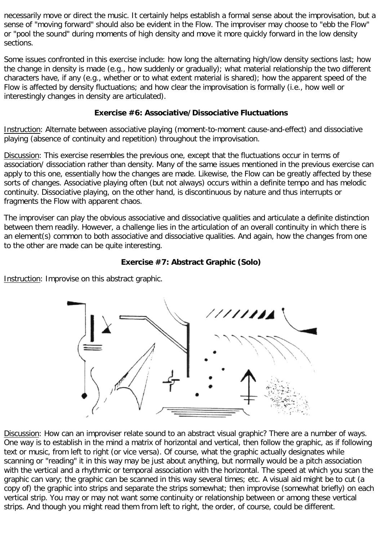necessarily move or direct the music. It certainly helps establish a formal sense about the improvisation, but a sense of "moving forward" should also be evident in the Flow. The improviser may choose to "ebb the Flow" or "pool the sound" during moments of high density and move it more quickly forward in the low density sections.

Some issues confronted in this exercise include: how long the alternating high/low density sections last; how the change in density is made (e.g., how suddenly or gradually); what material relationship the two different characters have, if any (e.g., whether or to what extent material is shared); how the apparent speed of the Flow is affected by density fluctuations; and how clear the improvisation is formally (i.e., how well or interestingly changes in density are articulated).

## **Exercise #6: Associative/Dissociative Fluctuations**

Instruction: Alternate between associative playing (moment-to-moment cause-and-effect) and dissociative playing (absence of continuity and repetition) throughout the improvisation.

Discussion: This exercise resembles the previous one, except that the fluctuations occur in terms of association/ dissociation rather than density. Many of the same issues mentioned in the previous exercise can apply to this one, essentially how the changes are made. Likewise, the Flow can be greatly affected by these sorts of changes. Associative playing often (but not always) occurs within a definite tempo and has melodic continuity. Dissociative playing, on the other hand, is discontinuous by nature and thus interrupts or fragments the Flow with apparent chaos.

The improviser can play the obvious associative and dissociative qualities and articulate a definite distinction between them readily. However, a challenge lies in the articulation of an overall continuity in which there is an element(s) common to both associative and dissociative qualities. And again, how the changes from one to the other are made can be quite interesting.

## **Exercise #7: Abstract Graphic (Solo)**

Instruction: Improvise on this abstract graphic.



Discussion: How can an improviser relate sound to an abstract visual graphic? There are a number of ways. One way is to establish in the mind a matrix of horizontal and vertical, then follow the graphic, as if following text or music, from left to right (or vice versa). Of course, what the graphic actually designates while scanning or "reading" it in this way may be just about anything, but normally would be a pitch association with the vertical and a rhythmic or temporal association with the horizontal. The speed at which you scan the graphic can vary; the graphic can be scanned in this way several times; etc. A visual aid might be to cut (a copy of) the graphic into strips and separate the strips somewhat; then improvise (somewhat briefly) on each vertical strip. You may or may not want some continuity or relationship between or among these vertical strips. And though you might read them from left to right, the order, of course, could be different.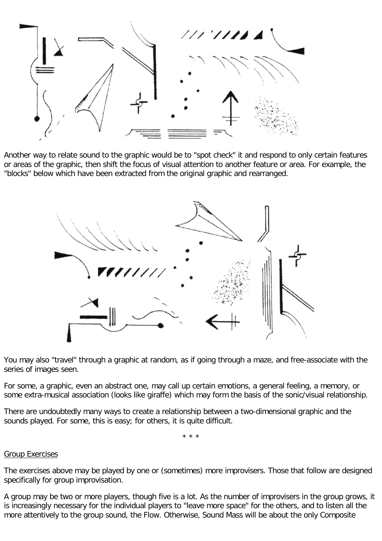

Another way to relate sound to the graphic would be to "spot check" it and respond to only certain features or areas of the graphic, then shift the focus of visual attention to another feature or area. For example, the "blocks" below which have been extracted from the original graphic and rearranged.



You may also "travel" through a graphic at random, as if going through a maze, and free-associate with the series of images seen.

For some, a graphic, even an abstract one, may call up certain emotions, a general feeling, a memory, or some extra-musical association (looks like giraffe) which may form the basis of the sonic/visual relationship.

There are undoubtedly many ways to create a relationship between a two-dimensional graphic and the sounds played. For some, this is easy; for others, it is quite difficult.

\* \* \*

#### Group Exercises

The exercises above may be played by one or (sometimes) more improvisers. Those that follow are designed specifically for group improvisation.

A group may be two or more players, though five is a lot. As the number of improvisers in the group grows, it is increasingly necessary for the individual players to "leave more space" for the others, and to listen all the more attentively to the group sound, the Flow. Otherwise, Sound Mass will be about the only Composite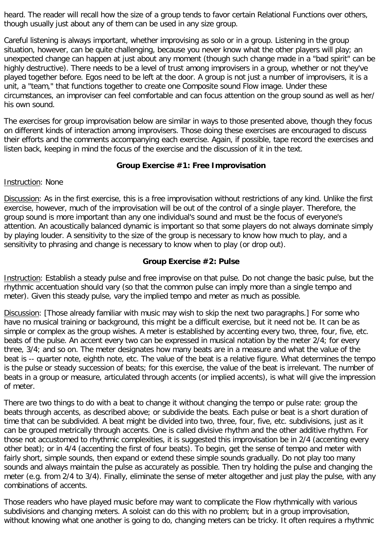heard. The reader will recall how the size of a group tends to favor certain Relational Functions over others, though usually just about any of them can be used in any size group.

Careful listening is always important, whether improvising as solo or in a group. Listening in the group situation, however, can be quite challenging, because you never know what the other players will play; an unexpected change can happen at just about any moment (though such change made in a "bad spirit" can be highly destructive). There needs to be a level of trust among improvisers in a group, whether or not they've played together before. Egos need to be left at the door. A group is not just a number of improvisers, it is a unit, a "team," that functions together to create one Composite sound Flow image. Under these circumstances, an improviser can feel comfortable and can focus attention on the group sound as well as her/ his own sound.

The exercises for group improvisation below are similar in ways to those presented above, though they focus on different kinds of interaction among improvisers. Those doing these exercises are encouraged to discuss their efforts and the comments accompanying each exercise. Again, if possible, tape record the exercises and listen back, keeping in mind the focus of the exercise and the discussion of it in the text.

## **Group Exercise #1: Free Improvisation**

## **Instruction: None**

Discussion: As in the first exercise, this is a free improvisation without restrictions of any kind. Unlike the first exercise, however, much of the improvisation will be out of the control of a single player. Therefore, the group sound is more important than any one individual's sound and must be the focus of everyone's attention. An acoustically balanced dynamic is important so that some players do not always dominate simply by playing louder. A sensitivity to the size of the group is necessary to know how much to play, and a sensitivity to phrasing and change is necessary to know when to play (or drop out).

## **Group Exercise #2: Pulse**

Instruction: Establish a steady pulse and free improvise on that pulse. Do not change the basic pulse, but the rhythmic accentuation should vary (so that the common pulse can imply more than a single tempo and meter). Given this steady pulse, vary the implied tempo and meter as much as possible.

Discussion: [Those already familiar with music may wish to skip the next two paragraphs.] For some who have no musical training or background, this might be a difficult exercise, but it need not be. It can be as simple or complex as the group wishes. A meter is established by accenting every two, three, four, five, etc. beats of the pulse. An accent every two can be expressed in musical notation by the meter 2/4; for every three, 3/4; and so on. The meter designates how many beats are in a measure and what the value of the beat is -- quarter note, eighth note, etc. The value of the beat is a relative figure. What determines the tempo is the pulse or steady succession of beats; for this exercise, the value of the beat is irrelevant. The number of beats in a group or measure, articulated through accents (or implied accents), is what will give the impression of meter.

There are two things to do with a beat to change it without changing the tempo or pulse rate: group the beats through accents, as described above; or subdivide the beats. Each pulse or beat is a short duration of time that can be subdivided. A beat might be divided into two, three, four, five, etc. subdivisions, just as it can be grouped metrically through accents. One is called divisive rhythm and the other additive rhythm. For those not accustomed to rhythmic complexities, it is suggested this improvisation be in 2/4 (accenting every other beat); or in 4/4 (accenting the first of four beats). To begin, get the sense of tempo and meter with fairly short, simple sounds, then expand or extend these simple sounds gradually. Do not play too many sounds and always maintain the pulse as accurately as possible. Then try holding the pulse and changing the meter (e.g. from 2/4 to 3/4). Finally, eliminate the sense of meter altogether and just play the pulse, with any combinations of accents.

Those readers who have played music before may want to complicate the Flow rhythmically with various subdivisions and changing meters. A soloist can do this with no problem; but in a group improvisation, without knowing what one another is going to do, changing meters can be tricky. It often requires a rhythmic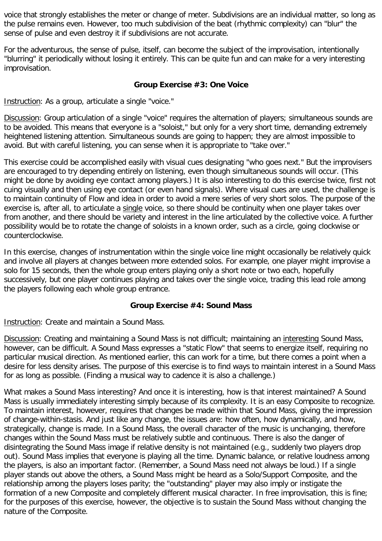voice that strongly establishes the meter or change of meter. Subdivisions are an individual matter, so long as the pulse remains even. However, too much subdivision of the beat (rhythmic complexity) can "blur" the sense of pulse and even destroy it if subdivisions are not accurate.

For the adventurous, the sense of pulse, itself, can become the subject of the improvisation, intentionally "blurring" it periodically without losing it entirely. This can be quite fun and can make for a very interesting improvisation.

## **Group Exercise #3: One Voice**

Instruction: As a group, articulate a single "voice."

Discussion: Group articulation of a single "voice" requires the alternation of players; simultaneous sounds are to be avoided. This means that everyone is a "soloist," but only for a very short time, demanding extremely heightened listening attention. Simultaneous sounds are going to happen; they are almost impossible to avoid. But with careful listening, you can sense when it is appropriate to "take over."

This exercise could be accomplished easily with visual cues designating "who goes next." But the improvisers are encouraged to try depending entirely on listening, even though simultaneous sounds will occur. (This might be done by avoiding eye contact among players.) It is also interesting to do this exercise twice, first not cuing visually and then using eye contact (or even hand signals). Where visual cues are used, the challenge is to maintain continuity of Flow and idea in order to avoid a mere series of very short solos. The purpose of the exercise is, after all, to articulate a single voice, so there should be continuity when one player takes over from another, and there should be variety and interest in the line articulated by the collective voice. A further possibility would be to rotate the change of soloists in a known order, such as a circle, going clockwise or counterclockwise.

In this exercise, changes of instrumentation within the single voice line might occasionally be relatively quick and involve all players at changes between more extended solos. For example, one player might improvise a solo for 15 seconds, then the whole group enters playing only a short note or two each, hopefully successively, but one player continues playing and takes over the single voice, trading this lead role among the players following each whole group entrance.

## **Group Exercise #4: Sound Mass**

Instruction: Create and maintain a Sound Mass.

Discussion: Creating and maintaining a Sound Mass is not difficult; maintaining an interesting Sound Mass, however, can be difficult. A Sound Mass expresses a "static Flow" that seems to energize itself, requiring no particular musical direction. As mentioned earlier, this can work for a time, but there comes a point when a desire for less density arises. The purpose of this exercise is to find ways to maintain interest in a Sound Mass for as long as possible. (Finding a musical way to cadence it is also a challenge.)

What makes a Sound Mass interesting? And once it is interesting, how is that interest maintained? A Sound Mass is usually immediately interesting simply because of its complexity. It is an easy Composite to recognize. To maintain interest, however, requires that changes be made within that Sound Mass, giving the impression of change-within-stasis. And just like any change, the issues are: how often, how dynamically, and how, strategically, change is made. In a Sound Mass, the overall character of the music is unchanging, therefore changes within the Sound Mass must be relatively subtle and continuous. There is also the danger of disintegrating the Sound Mass image if relative density is not maintained (e.g., suddenly two players drop out). Sound Mass implies that everyone is playing all the time. Dynamic balance, or relative loudness among the players, is also an important factor. (Remember, a Sound Mass need not always be loud.) If a single player stands out above the others, a Sound Mass might be heard as a Solo/Support Composite, and the relationship among the players loses parity; the "outstanding" player may also imply or instigate the formation of a new Composite and completely different musical character. In free improvisation, this is fine; for the purposes of this exercise, however, the objective is to sustain the Sound Mass without changing the nature of the Composite.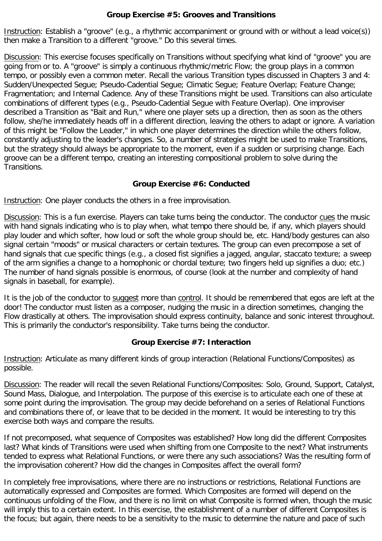## **Group Exercise #5: Grooves and Transitions**

Instruction: Establish a "groove" (e.g., a rhythmic accompaniment or ground with or without a lead voice(s)) then make a Transition to a different "groove." Do this several times.

Discussion: This exercise focuses specifically on Transitions without specifying what kind of "groove" you are going from or to. A "groove" is simply a continuous rhythmic/metric Flow; the group plays in a common tempo, or possibly even a common meter. Recall the various Transition types discussed in Chapters 3 and 4: Sudden/Unexpected Segue; Pseudo-Cadential Segue; Climatic Segue; Feature Overlap; Feature Change; Fragmentation; and Internal Cadence. Any of these Transitions might be used. Transitions can also articulate combinations of different types (e.g., Pseudo-Cadential Segue with Feature Overlap). One improviser described a Transition as "Bait and Run," where one player sets up a direction, then as soon as the others follow, she/he immediately heads off in a different direction, leaving the others to adapt or ignore. A variation of this might be "Follow the Leader," in which one player determines the direction while the others follow, constantly adjusting to the leader's changes. So, a number of strategies might be used to make Transitions, but the strategy should always be appropriate to the moment, even if a sudden or surprising change. Each groove can be a different tempo, creating an interesting compositional problem to solve during the Transitions.

## **Group Exercise #6: Conducted**

Instruction: One player conducts the others in a free improvisation.

Discussion: This is a fun exercise. Players can take turns being the conductor. The conductor cues the music with hand signals indicating who is to play when, what tempo there should be, if any, which players should play louder and which softer, how loud or soft the whole group should be, etc. Hand/body gestures can also signal certain "moods" or musical characters or certain textures. The group can even precompose a set of hand signals that cue specific things (e.g., a closed fist signifies a jagged, angular, staccato texture; a sweep of the arm signifies a change to a homophonic or chordal texture; two fingers held up signifies a duo; etc.) The number of hand signals possible is enormous, of course (look at the number and complexity of hand signals in baseball, for example).

It is the job of the conductor to suggest more than control. It should be remembered that egos are left at the door! The conductor must listen as a composer, nudging the music in a direction sometimes, changing the Flow drastically at others. The improvisation should express continuity, balance and sonic interest throughout. This is primarily the conductor's responsibility. Take turns being the conductor.

## **Group Exercise #7: Interaction**

Instruction: Articulate as many different kinds of group interaction (Relational Functions/Composites) as possible.

Discussion: The reader will recall the seven Relational Functions/Composites: Solo, Ground, Support, Catalyst, Sound Mass, Dialogue, and Interpolation. The purpose of this exercise is to articulate each one of these at some point during the improvisation. The group may decide beforehand on a series of Relational Functions and combinations there of, or leave that to be decided in the moment. It would be interesting to try this exercise both ways and compare the results.

If not precomposed, what sequence of Composites was established? How long did the different Composites last? What kinds of Transitions were used when shifting from one Composite to the next? What instruments tended to express what Relational Functions, or were there any such associations? Was the resulting form of the improvisation coherent? How did the changes in Composites affect the overall form?

In completely free improvisations, where there are no instructions or restrictions, Relational Functions are automatically expressed and Composites are formed. Which Composites are formed will depend on the continuous unfolding of the Flow, and there is no limit on what Composite is formed when, though the music will imply this to a certain extent. In this exercise, the establishment of a number of different Composites is the focus; but again, there needs to be a sensitivity to the music to determine the nature and pace of such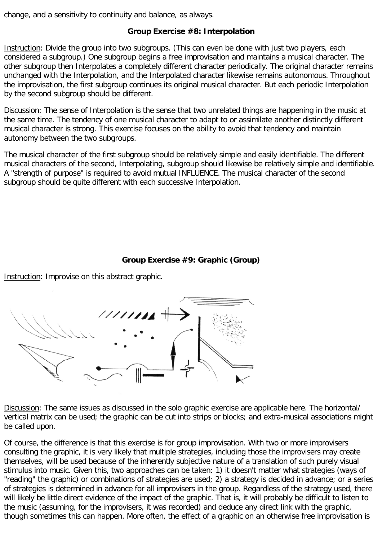change, and a sensitivity to continuity and balance, as always.

## **Group Exercise #8: Interpolation**

Instruction: Divide the group into two subgroups. (This can even be done with just two players, each considered a subgroup.) One subgroup begins a free improvisation and maintains a musical character. The other subgroup then Interpolates a completely different character periodically. The original character remains unchanged with the Interpolation, and the Interpolated character likewise remains autonomous. Throughout the improvisation, the first subgroup continues its original musical character. But each periodic Interpolation by the second subgroup should be different.

Discussion: The sense of Interpolation is the sense that two unrelated things are happening in the music at the same time. The tendency of one musical character to adapt to or assimilate another distinctly different musical character is strong. This exercise focuses on the ability to avoid that tendency and maintain autonomy between the two subgroups.

The musical character of the first subgroup should be relatively simple and easily identifiable. The different musical characters of the second, Interpolating, subgroup should likewise be relatively simple and identifiable. A "strength of purpose" is required to avoid mutual INFLUENCE. The musical character of the second subgroup should be quite different with each successive Interpolation.

## **Group Exercise #9: Graphic (Group)**

Instruction: Improvise on this abstract graphic.



Discussion: The same issues as discussed in the solo graphic exercise are applicable here. The horizontal/ vertical matrix can be used; the graphic can be cut into strips or blocks; and extra-musical associations might be called upon.

Of course, the difference is that this exercise is for group improvisation. With two or more improvisers consulting the graphic, it is very likely that multiple strategies, including those the improvisers may create themselves, will be used because of the inherently subjective nature of a translation of such purely visual stimulus into music. Given this, two approaches can be taken: 1) it doesn't matter what strategies (ways of "reading" the graphic) or combinations of strategies are used; 2) a strategy is decided in advance; or a series of strategies is determined in advance for all improvisers in the group. Regardless of the strategy used, there will likely be little direct evidence of the impact of the graphic. That is, it will probably be difficult to listen to the music (assuming, for the improvisers, it was recorded) and deduce any direct link with the graphic, though sometimes this can happen. More often, the effect of a graphic on an otherwise free improvisation is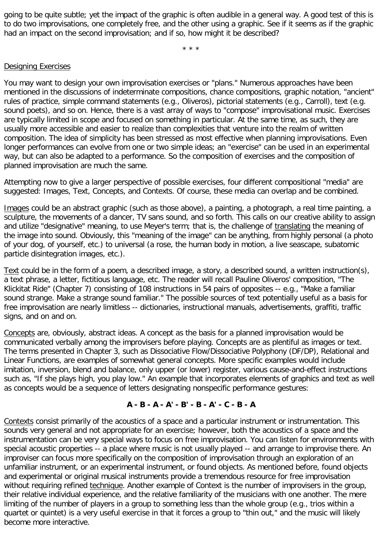going to be quite subtle; yet the impact of the graphic is often audible in a general way. A good test of this is to do two improvisations, one completely free, and the other using a graphic. See if it seems as if the graphic had an impact on the second improvisation; and if so, how might it be described?

\* \* \*

### Designing Exercises

You may want to design your own improvisation exercises or "plans." Numerous approaches have been mentioned in the discussions of indeterminate compositions, chance compositions, graphic notation, "ancient" rules of practice, simple command statements (e.g., Oliveros), pictorial statements (e.g., Carroll), text (e.g. sound poets), and so on. Hence, there is a vast array of ways to "compose" improvisational music. Exercises are typically limited in scope and focused on something in particular. At the same time, as such, they are usually more accessible and easier to realize than complexities that venture into the realm of written composition. The idea of simplicity has been stressed as most effective when planning improvisations. Even longer performances can evolve from one or two simple ideas; an "exercise" can be used in an experimental way, but can also be adapted to a performance. So the composition of exercises and the composition of planned improvisation are much the same.

Attempting now to give a larger perspective of possible exercises, four different compositional "media" are suggested: Images, Text, Concepts, and Contexts. Of course, these media can overlap and be combined.

Images could be an abstract graphic (such as those above), a painting, a photograph, a real time painting, a sculpture, the movements of a dancer, TV sans sound, and so forth. This calls on our creative ability to assign and utilize "designative" meaning, to use Meyer's term; that is, the challenge of translating the meaning of the image into sound. Obviously, this "meaning of the image" can be anything, from highly personal (a photo of your dog, of yourself, etc.) to universal (a rose, the human body in motion, a live seascape, subatomic particle disintegration images, etc.).

Text could be in the form of a poem, a described image, a story, a described sound, a written instruction(s), a text phrase, a letter, fictitious language, etc. The reader will recall Pauline Oliveros' composition, "The Klickitat Ride" (Chapter 7) consisting of 108 instructions in 54 pairs of opposites -- e.g., "Make a familiar sound strange. Make a strange sound familiar." The possible sources of text potentially useful as a basis for free improvisation are nearly limitless -- dictionaries, instructional manuals, advertisements, graffiti, traffic signs, and on and on.

Concepts are, obviously, abstract ideas. A concept as the basis for a planned improvisation would be communicated verbally among the improvisers before playing. Concepts are as plentiful as images or text. The terms presented in Chapter 3, such as Dissociative Flow/Dissociative Polyphony (DF/DP), Relational and Linear Functions, are examples of somewhat general concepts. More specific examples would include imitation, inversion, blend and balance, only upper (or lower) register, various cause-and-effect instructions such as, "If she plays high, you play low." An example that incorporates elements of graphics and text as well as concepts would be a sequence of letters designating nonspecific performance gestures:

### **A - B - A - A' - B' - B - A' - C - B - A**

Contexts consist primarily of the acoustics of a space and a particular instrument or instrumentation. This sounds very general and not appropriate for an exercise; however, both the acoustics of a space and the instrumentation can be very special ways to focus on free improvisation. You can listen for environments with special acoustic properties -- a place where music is not usually played -- and arrange to improvise there. An improviser can focus more specifically on the composition of improvisation through an exploration of an unfamiliar instrument, or an experimental instrument, or found objects. As mentioned before, found objects and experimental or original musical instruments provide a tremendous resource for free improvisation without requiring refined technique. Another example of Context is the number of improvisers in the group, their relative individual experience, and the relative familiarity of the musicians with one another. The mere limiting of the number of players in a group to something less than the whole group (e.g., trios within a quartet or quintet) is a very useful exercise in that it forces a group to "thin out," and the music will likely become more interactive.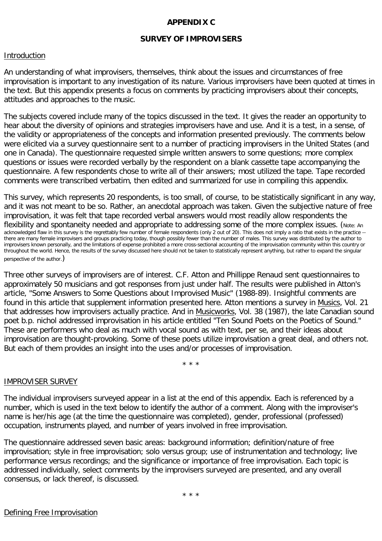## **APPENDIX C**

## **SURVEY OF IMPROVISERS**

### Introduction

An understanding of what improvisers, themselves, think about the issues and circumstances of free improvisation is important to any investigation of its nature. Various improvisers have been quoted at times in the text. But this appendix presents a focus on comments by practicing improvisers about their concepts, attitudes and approaches to the music.

The subjects covered include many of the topics discussed in the text. It gives the reader an opportunity to hear about the diversity of opinions and strategies improvisers have and use. And it is a test, in a sense, of the validity or appropriateness of the concepts and information presented previously. The comments below were elicited via a survey questionnaire sent to a number of practicing improvisers in the United States (and one in Canada). The questionnaire requested simple written answers to some questions; more complex questions or issues were recorded verbally by the respondent on a blank cassette tape accompanying the questionnaire. A few respondents chose to write all of their answers; most utilized the tape. Tape recorded comments were transcribed verbatim, then edited and summarized for use in compiling this appendix.

This survey, which represents 20 respondents, is too small, of course, to be statistically significant in any way, and it was not meant to be so. Rather, an anecdotal approach was taken. Given the subjective nature of free improvisation, it was felt that tape recorded verbal answers would most readily allow respondents the flexibility and spontaneity needed and appropriate to addressing some of the more complex issues. (Note: An acknowledged flaw in this survey is the regrettably few number of female respondents (only 2 out of 20). This does not imply a ratio that exists in the practice - there are many female improvisers and groups practicing today, though possibly fewer than the number of males. This survey was distributed by the author to improvisers known personally, and the limitations of expense prohibited a more cross-sectional accounting of the improvisation community within this country or throughout the world. Hence, the results of the survey discussed here should not be taken to statistically represent anything, but rather to expand the singular perspective of the author.)

Three other surveys of improvisers are of interest. C.F. Atton and Phillippe Renaud sent questionnaires to approximately 50 musicians and got responses from just under half. The results were published in Atton's article, "Some Answers to Some Questions about Improvised Music" (1988-89). Insightful comments are found in this article that supplement information presented here. Atton mentions a survey in Musics, Vol. 21 that addresses how improvisers actually practice. And in Musicworks, Vol. 38 (1987), the late Canadian sound poet b.p. nichol addressed improvisation in his article entitled "Ten Sound Poets on the Poetics of Sound." These are performers who deal as much with vocal sound as with text, per se, and their ideas about improvisation are thought-provoking. Some of these poets utilize improvisation a great deal, and others not. But each of them provides an insight into the uses and/or processes of improvisation.

\* \* \*

#### IMPROVISER SURVEY

The individual improvisers surveyed appear in a list at the end of this appendix. Each is referenced by a number, which is used in the text below to identify the author of a comment. Along with the improviser's name is her/his age (at the time the questionnaire was completed), gender, professional (professed) occupation, instruments played, and number of years involved in free improvisation.

The questionnaire addressed seven basic areas: background information; definition/nature of free improvisation; style in free improvisation; solo versus group; use of instrumentation and technology; live performance versus recordings; and the significance or importance of free improvisation. Each topic is addressed individually, select comments by the improvisers surveyed are presented, and any overall consensus, or lack thereof, is discussed.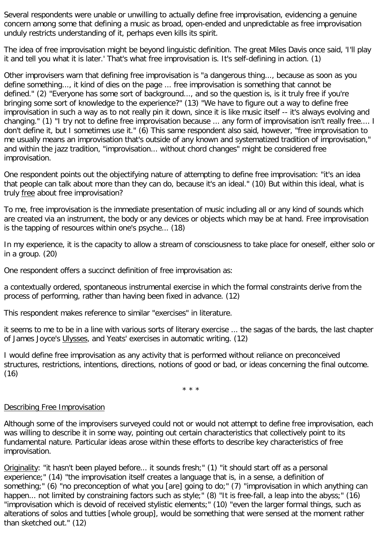Several respondents were unable or unwilling to actually define free improvisation, evidencing a genuine concern among some that defining a music as broad, open-ended and unpredictable as free improvisation unduly restricts understanding of it, perhaps even kills its spirit.

The idea of free improvisation might be beyond linguistic definition. The great Miles Davis once said, 'I'll play it and tell you what it is later.' That's what free improvisation is. It's self-defining in action. (1)

Other improvisers warn that defining free improvisation is "a dangerous thing..., because as soon as you define something..., it kind of dies on the page ... free improvisation is something that cannot be defined." (2) "Everyone has some sort of background..., and so the question is, is it truly free if you're bringing some sort of knowledge to the experience?" (13) "We have to figure out a way to define free improvisation in such a way as to not really pin it down, since it is like music itself -- it's always evolving and changing." (1) "I try not to define free improvisation because ... any form of improvisation isn't really free.... I don't define it, but I sometimes use it." (6) This same respondent also said, however, "free improvisation to me usually means an improvisation that's outside of any known and systematized tradition of improvisation," and within the jazz tradition, "improvisation... without chord changes" might be considered free improvisation.

One respondent points out the objectifying nature of attempting to define free improvisation: "it's an idea that people can talk about more than they can do, because it's an ideal." (10) But within this ideal, what is truly free about free improvisation?

To me, free improvisation is the immediate presentation of music including all or any kind of sounds which are created via an instrument, the body or any devices or objects which may be at hand. Free improvisation is the tapping of resources within one's psyche... (18)

In my experience, it is the capacity to allow a stream of consciousness to take place for oneself, either solo or in a group. (20)

One respondent offers a succinct definition of free improvisation as:

a contextually ordered, spontaneous instrumental exercise in which the formal constraints derive from the process of performing, rather than having been fixed in advance. (12)

This respondent makes reference to similar "exercises" in literature.

it seems to me to be in a line with various sorts of literary exercise ... the sagas of the bards, the last chapter of James Joyce's Ulysses, and Yeats' exercises in automatic writing. (12)

I would define free improvisation as any activity that is performed without reliance on preconceived structures, restrictions, intentions, directions, notions of good or bad, or ideas concerning the final outcome. (16)

\* \* \*

## Describing Free Improvisation

Although some of the improvisers surveyed could not or would not attempt to define free improvisation, each was willing to describe it in some way, pointing out certain characteristics that collectively point to its fundamental nature. Particular ideas arose within these efforts to describe key characteristics of free improvisation.

Originality: "it hasn't been played before... it sounds fresh;" (1) "it should start off as a personal experience;" (14) "the improvisation itself creates a language that is, in a sense, a definition of something;" (6) "no preconception of what you [are] going to do;" (7) "improvisation in which anything can happen... not limited by constraining factors such as style;" (8) "It is free-fall, a leap into the abyss;" (16) "improvisation which is devoid of received stylistic elements;" (10) "even the larger formal things, such as alterations of solos and tutties [whole group], would be something that were sensed at the moment rather than sketched out." (12)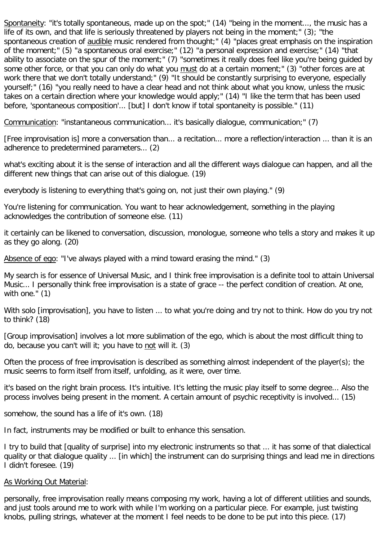Spontaneity: "it's totally spontaneous, made up on the spot;" (14) "being in the moment..., the music has a life of its own, and that life is seriously threatened by players not being in the moment;" (3); "the spontaneous creation of audible music rendered from thought;" (4) "places great emphasis on the inspiration of the moment;" (5) "a spontaneous oral exercise;" (12) "a personal expression and exercise;" (14) "that ability to associate on the spur of the moment;" (7) "sometimes it really does feel like you're being guided by some other force, or that you can only do what you must do at a certain moment;" (3) "other forces are at work there that we don't totally understand;" (9) "It should be constantly surprising to everyone, especially yourself;" (16) "you really need to have a clear head and not think about what you know, unless the music takes on a certain direction where your knowledge would apply;" (14) "I like the term that has been used before, 'spontaneous composition'... [but] I don't know if total spontaneity is possible." (11)

Communication: "instantaneous communication... it's basically dialogue, communication;" (7)

[Free improvisation is] more a conversation than... a recitation... more a reflection/interaction ... than it is an adherence to predetermined parameters... (2)

what's exciting about it is the sense of interaction and all the different ways dialogue can happen, and all the different new things that can arise out of this dialogue. (19)

everybody is listening to everything that's going on, not just their own playing." (9)

You're listening for communication. You want to hear acknowledgement, something in the playing acknowledges the contribution of someone else. (11)

it certainly can be likened to conversation, discussion, monologue, someone who tells a story and makes it up as they go along. (20)

Absence of ego: "I've always played with a mind toward erasing the mind." (3)

My search is for essence of Universal Music, and I think free improvisation is a definite tool to attain Universal Music... I personally think free improvisation is a state of grace -- the perfect condition of creation. At one, with one." (1)

With solo [improvisation], you have to listen ... to what you're doing and try not to think. How do you try not to think? (18)

[Group improvisation] involves a lot more sublimation of the ego, which is about the most difficult thing to do, because you can't will it; you have to not will it. (3)

Often the process of free improvisation is described as something almost independent of the player(s); the music seems to form itself from itself, unfolding, as it were, over time.

it's based on the right brain process. It's intuitive. It's letting the music play itself to some degree... Also the process involves being present in the moment. A certain amount of psychic receptivity is involved... (15)

somehow, the sound has a life of it's own. (18)

In fact, instruments may be modified or built to enhance this sensation.

I try to build that [quality of surprise] into my electronic instruments so that ... it has some of that dialectical quality or that dialogue quality ... [in which] the instrument can do surprising things and lead me in directions I didn't foresee. (19)

#### As Working Out Material:

personally, free improvisation really means composing my work, having a lot of different utilities and sounds, and just tools around me to work with while I'm working on a particular piece. For example, just twisting knobs, pulling strings, whatever at the moment I feel needs to be done to be put into this piece. (17)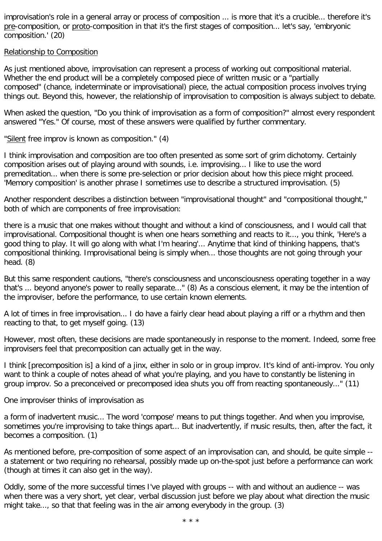improvisation's role in a general array or process of composition ... is more that it's a crucible... therefore it's pre-composition, or proto-composition in that it's the first stages of composition... let's say, 'embryonic composition.' (20)

### Relationship to Composition

As just mentioned above, improvisation can represent a process of working out compositional material. Whether the end product will be a completely composed piece of written music or a "partially composed" (chance, indeterminate or improvisational) piece, the actual composition process involves trying things out. Beyond this, however, the relationship of improvisation to composition is always subject to debate.

When asked the question, "Do you think of improvisation as a form of composition?" almost every respondent answered "Yes." Of course, most of these answers were qualified by further commentary.

"Silent free improv is known as composition." (4)

I think improvisation and composition are too often presented as some sort of grim dichotomy. Certainly composition arises out of playing around with sounds, i.e. improvising... I like to use the word premeditation... when there is some pre-selection or prior decision about how this piece might proceed. 'Memory composition' is another phrase I sometimes use to describe a structured improvisation. (5)

Another respondent describes a distinction between "improvisational thought" and "compositional thought," both of which are components of free improvisation:

there is a music that one makes without thought and without a kind of consciousness, and I would call that improvisational. Compositional thought is when one hears something and reacts to it..., you think, 'Here's a good thing to play. It will go along with what I'm hearing'... Anytime that kind of thinking happens, that's compositional thinking. Improvisational being is simply when... those thoughts are not going through your head. (8)

But this same respondent cautions, "there's consciousness and unconsciousness operating together in a way that's ... beyond anyone's power to really separate..." (8) As a conscious element, it may be the intention of the improviser, before the performance, to use certain known elements.

A lot of times in free improvisation... I do have a fairly clear head about playing a riff or a rhythm and then reacting to that, to get myself going. (13)

However, most often, these decisions are made spontaneously in response to the moment. Indeed, some free improvisers feel that precomposition can actually get in the way.

I think [precomposition is] a kind of a jinx, either in solo or in group improv. It's kind of anti-improv. You only want to think a couple of notes ahead of what you're playing, and you have to constantly be listening in group improv. So a preconceived or precomposed idea shuts you off from reacting spontaneously..." (11)

One improviser thinks of improvisation as

a form of inadvertent music... The word 'compose' means to put things together. And when you improvise, sometimes you're improvising to take things apart... But inadvertently, if music results, then, after the fact, it becomes a composition. (1)

As mentioned before, pre-composition of some aspect of an improvisation can, and should, be quite simple - a statement or two requiring no rehearsal, possibly made up on-the-spot just before a performance can work (though at times it can also get in the way).

Oddly, some of the more successful times I've played with groups -- with and without an audience -- was when there was a very short, yet clear, verbal discussion just before we play about what direction the music might take..., so that that feeling was in the air among everybody in the group. (3)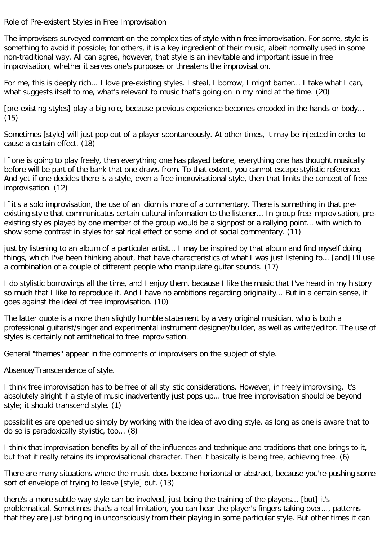## Role of Pre-existent Styles in Free Improvisation

The improvisers surveyed comment on the complexities of style within free improvisation. For some, style is something to avoid if possible; for others, it is a key ingredient of their music, albeit normally used in some non-traditional way. All can agree, however, that style is an inevitable and important issue in free improvisation, whether it serves one's purposes or threatens the improvisation.

For me, this is deeply rich... I love pre-existing styles. I steal, I borrow, I might barter... I take what I can, what suggests itself to me, what's relevant to music that's going on in my mind at the time. (20)

[pre-existing styles] play a big role, because previous experience becomes encoded in the hands or body... (15)

Sometimes [style] will just pop out of a player spontaneously. At other times, it may be injected in order to cause a certain effect. (18)

If one is going to play freely, then everything one has played before, everything one has thought musically before will be part of the bank that one draws from. To that extent, you cannot escape stylistic reference. And yet if one decides there is a style, even a free improvisational style, then that limits the concept of free improvisation. (12)

If it's a solo improvisation, the use of an idiom is more of a commentary. There is something in that preexisting style that communicates certain cultural information to the listener... In group free improvisation, preexisting styles played by one member of the group would be a signpost or a rallying point... with which to show some contrast in styles for satirical effect or some kind of social commentary. (11)

just by listening to an album of a particular artist... I may be inspired by that album and find myself doing things, which I've been thinking about, that have characteristics of what I was just listening to... [and] I'll use a combination of a couple of different people who manipulate guitar sounds. (17)

I do stylistic borrowings all the time, and I enjoy them, because I like the music that I've heard in my history so much that I like to reproduce it. And I have no ambitions regarding originality... But in a certain sense, it goes against the ideal of free improvisation. (10)

The latter quote is a more than slightly humble statement by a very original musician, who is both a professional guitarist/singer and experimental instrument designer/builder, as well as writer/editor. The use of styles is certainly not antithetical to free improvisation.

General "themes" appear in the comments of improvisers on the subject of style.

## Absence/Transcendence of style.

I think free improvisation has to be free of all stylistic considerations. However, in freely improvising, it's absolutely alright if a style of music inadvertently just pops up... true free improvisation should be beyond style; it should transcend style. (1)

possibilities are opened up simply by working with the idea of avoiding style, as long as one is aware that to do so is paradoxically stylistic, too... (8)

I think that improvisation benefits by all of the influences and technique and traditions that one brings to it, but that it really retains its improvisational character. Then it basically is being free, achieving free. (6)

There are many situations where the music does become horizontal or abstract, because you're pushing some sort of envelope of trying to leave [style] out. (13)

there's a more subtle way style can be involved, just being the training of the players... [but] it's problematical. Sometimes that's a real limitation, you can hear the player's fingers taking over..., patterns that they are just bringing in unconsciously from their playing in some particular style. But other times it can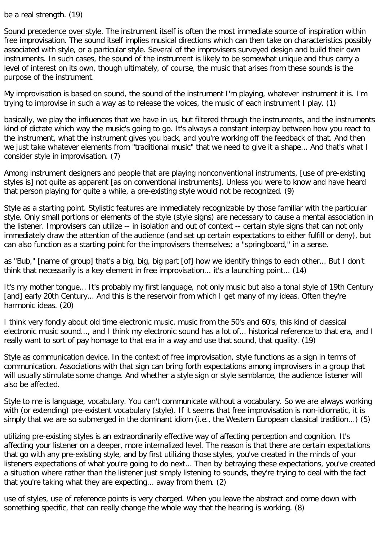be a real strength. (19)

Sound precedence over style. The instrument itself is often the most immediate source of inspiration within free improvisation. The sound itself implies musical directions which can then take on characteristics possibly associated with style, or a particular style. Several of the improvisers surveyed design and build their own instruments. In such cases, the sound of the instrument is likely to be somewhat unique and thus carry a level of interest on its own, though ultimately, of course, the music that arises from these sounds is the purpose of the instrument.

My improvisation is based on sound, the sound of the instrument I'm playing, whatever instrument it is. I'm trying to improvise in such a way as to release the voices, the music of each instrument I play. (1)

basically, we play the influences that we have in us, but filtered through the instruments, and the instruments kind of dictate which way the music's going to go. It's always a constant interplay between how you react to the instrument, what the instrument gives you back, and you're working off the feedback of that. And then we just take whatever elements from "traditional music" that we need to give it a shape... And that's what I consider style in improvisation. (7)

Among instrument designers and people that are playing nonconventional instruments, [use of pre-existing styles is] not quite as apparent [as on conventional instruments]. Unless you were to know and have heard that person playing for quite a while, a pre-existing style would not be recognized. (9)

Style as a starting point. Stylistic features are immediately recognizable by those familiar with the particular style. Only small portions or elements of the style (style signs) are necessary to cause a mental association in the listener. Improvisers can utilize -- in isolation and out of context -- certain style signs that can not only immediately draw the attention of the audience (and set up certain expectations to either fulfill or deny), but can also function as a starting point for the improvisers themselves; a "springboard," in a sense.

as "Bub," [name of group] that's a big, big, big part [of] how we identify things to each other... But I don't think that necessarily is a key element in free improvisation... it's a launching point... (14)

It's my mother tongue... It's probably my first language, not only music but also a tonal style of 19th Century [and] early 20th Century... And this is the reservoir from which I get many of my ideas. Often they're harmonic ideas. (20)

I think very fondly about old time electronic music, music from the 50's and 60's, this kind of classical electronic music sound..., and I think my electronic sound has a lot of... historical reference to that era, and I really want to sort of pay homage to that era in a way and use that sound, that quality. (19)

Style as communication device. In the context of free improvisation, style functions as a sign in terms of communication. Associations with that sign can bring forth expectations among improvisers in a group that will usually stimulate some change. And whether a style sign or style semblance, the audience listener will also be affected.

Style to me is language, vocabulary. You can't communicate without a vocabulary. So we are always working with (or extending) pre-existent vocabulary (style). If it seems that free improvisation is non-idiomatic, it is simply that we are so submerged in the dominant idiom (i.e., the Western European classical tradition...) (5)

utilizing pre-existing styles is an extraordinarily effective way of affecting perception and cognition. It's affecting your listener on a deeper, more internalized level. The reason is that there are certain expectations that go with any pre-existing style, and by first utilizing those styles, you've created in the minds of your listeners expectations of what you're going to do next... Then by betraying these expectations, you've created a situation where rather than the listener just simply listening to sounds, they're trying to deal with the fact that you're taking what they are expecting... away from them. (2)

use of styles, use of reference points is very charged. When you leave the abstract and come down with something specific, that can really change the whole way that the hearing is working. (8)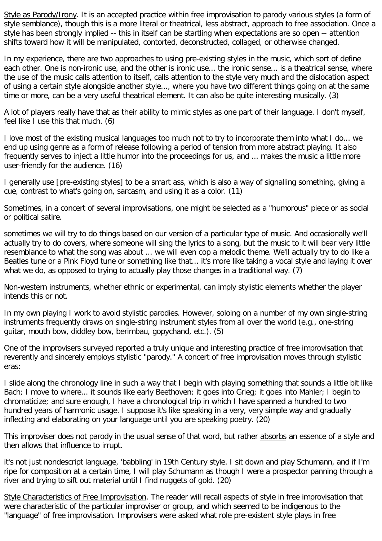Style as Parody/Irony. It is an accepted practice within free improvisation to parody various styles (a form of style semblance), though this is a more literal or theatrical, less abstract, approach to free association. Once a style has been strongly implied -- this in itself can be startling when expectations are so open -- attention shifts toward how it will be manipulated, contorted, deconstructed, collaged, or otherwise changed.

In my experience, there are two approaches to using pre-existing styles in the music, which sort of define each other. One is non-ironic use, and the other is ironic use... the ironic sense... is a theatrical sense, where the use of the music calls attention to itself, calls attention to the style very much and the dislocation aspect of using a certain style alongside another style..., where you have two different things going on at the same time or more, can be a very useful theatrical element. It can also be quite interesting musically. (3)

A lot of players really have that as their ability to mimic styles as one part of their language. I don't myself, feel like I use this that much. (6)

I love most of the existing musical languages too much not to try to incorporate them into what I do... we end up using genre as a form of release following a period of tension from more abstract playing. It also frequently serves to inject a little humor into the proceedings for us, and ... makes the music a little more user-friendly for the audience. (16)

I generally use [pre-existing styles] to be a smart ass, which is also a way of signalling something, giving a cue, contrast to what's going on, sarcasm, and using it as a color. (11)

Sometimes, in a concert of several improvisations, one might be selected as a "humorous" piece or as social or political satire.

sometimes we will try to do things based on our version of a particular type of music. And occasionally we'll actually try to do covers, where someone will sing the lyrics to a song, but the music to it will bear very little resemblance to what the song was about ... we will even cop a melodic theme. We'll actually try to do like a Beatles tune or a Pink Floyd tune or something like that... it's more like taking a vocal style and laying it over what we do, as opposed to trying to actually play those changes in a traditional way. (7)

Non-western instruments, whether ethnic or experimental, can imply stylistic elements whether the player intends this or not.

In my own playing I work to avoid stylistic parodies. However, soloing on a number of my own single-string instruments frequently draws on single-string instrument styles from all over the world (e.g., one-string guitar, mouth bow, diddley bow, berimbau, gopychand, etc.). (5)

One of the improvisers surveyed reported a truly unique and interesting practice of free improvisation that reverently and sincerely employs stylistic "parody." A concert of free improvisation moves through stylistic eras:

I slide along the chronology line in such a way that I begin with playing something that sounds a little bit like Bach; I move to where... it sounds like early Beethoven; it goes into Grieg; it goes into Mahler; I begin to chromaticize; and sure enough, I have a chronological trip in which I have spanned a hundred to two hundred years of harmonic usage. I suppose it's like speaking in a very, very simple way and gradually inflecting and elaborating on your language until you are speaking poetry. (20)

This improviser does not parody in the usual sense of that word, but rather absorbs an essence of a style and then allows that influence to irrupt.

it's not just nondescript language, 'babbling' in 19th Century style. I sit down and play Schumann, and if I'm ripe for composition at a certain time, I will play Schumann as though I were a prospector panning through a river and trying to sift out material until I find nuggets of gold. (20)

Style Characteristics of Free Improvisation. The reader will recall aspects of style in free improvisation that were characteristic of the particular improviser or group, and which seemed to be indigenous to the "language" of free improvisation. Improvisers were asked what role pre-existent style plays in free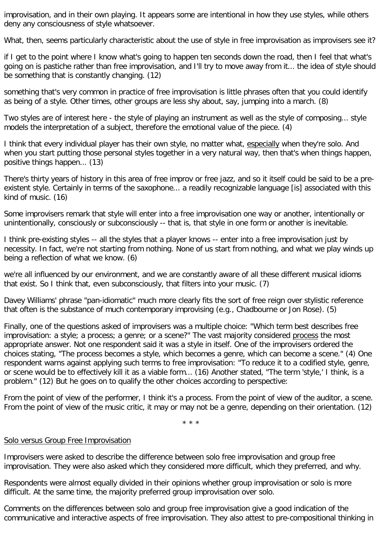improvisation, and in their own playing. It appears some are intentional in how they use styles, while others deny any consciousness of style whatsoever.

What, then, seems particularly characteristic about the use of style in free improvisation as improvisers see it?

if I get to the point where I know what's going to happen ten seconds down the road, then I feel that what's going on is pastiche rather than free improvisation, and I'll try to move away from it... the idea of style should be something that is constantly changing. (12)

something that's very common in practice of free improvisation is little phrases often that you could identify as being of a style. Other times, other groups are less shy about, say, jumping into a march. (8)

Two styles are of interest here - the style of playing an instrument as well as the style of composing... style models the interpretation of a subject, therefore the emotional value of the piece. (4)

I think that every individual player has their own style, no matter what, especially when they're solo. And when you start putting those personal styles together in a very natural way, then that's when things happen, positive things happen... (13)

There's thirty years of history in this area of free improv or free jazz, and so it itself could be said to be a preexistent style. Certainly in terms of the saxophone... a readily recognizable language [is] associated with this kind of music. (16)

Some improvisers remark that style will enter into a free improvisation one way or another, intentionally or unintentionally, consciously or subconsciously -- that is, that style in one form or another is inevitable.

I think pre-existing styles -- all the styles that a player knows -- enter into a free improvisation just by necessity. In fact, we're not starting from nothing. None of us start from nothing, and what we play winds up being a reflection of what we know. (6)

we're all influenced by our environment, and we are constantly aware of all these different musical idioms that exist. So I think that, even subconsciously, that filters into your music. (7)

Davey Williams' phrase "pan-idiomatic" much more clearly fits the sort of free reign over stylistic reference that often is the substance of much contemporary improvising (e.g., Chadbourne or Jon Rose). (5)

Finally, one of the questions asked of improvisers was a multiple choice: "Which term best describes free improvisation: a style; a process; a genre; or a scene?" The vast majority considered process the most appropriate answer. Not one respondent said it was a style in itself. One of the improvisers ordered the choices stating, "The process becomes a style, which becomes a genre, which can become a scene." (4) One respondent warns against applying such terms to free improvisation: "To reduce it to a codified style, genre, or scene would be to effectively kill it as a viable form... (16) Another stated, "The term 'style,' I think, is a problem." (12) But he goes on to qualify the other choices according to perspective:

From the point of view of the performer, I think it's a process. From the point of view of the auditor, a scene. From the point of view of the music critic, it may or may not be a genre, depending on their orientation. (12)

\* \* \*

#### Solo versus Group Free Improvisation

Improvisers were asked to describe the difference between solo free improvisation and group free improvisation. They were also asked which they considered more difficult, which they preferred, and why.

Respondents were almost equally divided in their opinions whether group improvisation or solo is more difficult. At the same time, the majority preferred group improvisation over solo.

Comments on the differences between solo and group free improvisation give a good indication of the communicative and interactive aspects of free improvisation. They also attest to pre-compositional thinking in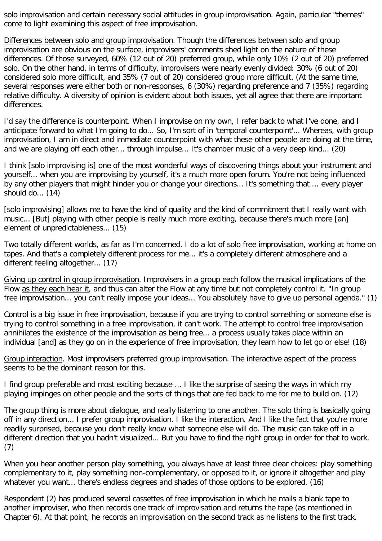solo improvisation and certain necessary social attitudes in group improvisation. Again, particular "themes" come to light examining this aspect of free improvisation.

Differences between solo and group improvisation. Though the differences between solo and group improvisation are obvious on the surface, improvisers' comments shed light on the nature of these differences. Of those surveyed, 60% (12 out of 20) preferred group, while only 10% (2 out of 20) preferred solo. On the other hand, in terms of difficulty, improvisers were nearly evenly divided: 30% (6 out of 20) considered solo more difficult, and 35% (7 out of 20) considered group more difficult. (At the same time, several responses were either both or non-responses, 6 (30%) regarding preference and 7 (35%) regarding relative difficulty. A diversity of opinion is evident about both issues, yet all agree that there are important differences.

I'd say the difference is counterpoint. When I improvise on my own, I refer back to what I've done, and I anticipate forward to what I'm going to do... So, I'm sort of in 'temporal counterpoint'... Whereas, with group improvisation, I am in direct and immediate counterpoint with what these other people are doing at the time, and we are playing off each other... through impulse... It's chamber music of a very deep kind... (20)

I think [solo improvising is] one of the most wonderful ways of discovering things about your instrument and yourself... when you are improvising by yourself, it's a much more open forum. You're not being influenced by any other players that might hinder you or change your directions... It's something that ... every player should do... (14)

[solo improvising] allows me to have the kind of quality and the kind of commitment that I really want with music... [But] playing with other people is really much more exciting, because there's much more [an] element of unpredictableness... (15)

Two totally different worlds, as far as I'm concerned. I do a lot of solo free improvisation, working at home on tapes. And that's a completely different process for me... it's a completely different atmosphere and a different feeling altogether... (17)

Giving up control in group improvisation. Improvisers in a group each follow the musical implications of the Flow as they each hear it, and thus can alter the Flow at any time but not completely control it. "In group free improvisation... you can't really impose your ideas... You absolutely have to give up personal agenda." (1)

Control is a big issue in free improvisation, because if you are trying to control something or someone else is trying to control something in a free improvisation, it can't work. The attempt to control free improvisation annihilates the existence of the improvisation as being free... a process usually takes place within an individual [and] as they go on in the experience of free improvisation, they learn how to let go or else! (18)

Group interaction. Most improvisers preferred group improvisation. The interactive aspect of the process seems to be the dominant reason for this.

I find group preferable and most exciting because ... I like the surprise of seeing the ways in which my playing impinges on other people and the sorts of things that are fed back to me for me to build on. (12)

The group thing is more about dialogue, and really listening to one another. The solo thing is basically going off in any direction... I prefer group improvisation. I like the interaction. And I like the fact that you're more readily surprised, because you don't really know what someone else will do. The music can take off in a different direction that you hadn't visualized... But you have to find the right group in order for that to work. (7)

When you hear another person play something, you always have at least three clear choices: play something complementary to it, play something non-complementary, or opposed to it, or ignore it altogether and play whatever you want... there's endless degrees and shades of those options to be explored. (16)

Respondent (2) has produced several cassettes of free improvisation in which he mails a blank tape to another improviser, who then records one track of improvisation and returns the tape (as mentioned in Chapter 6). At that point, he records an improvisation on the second track as he listens to the first track.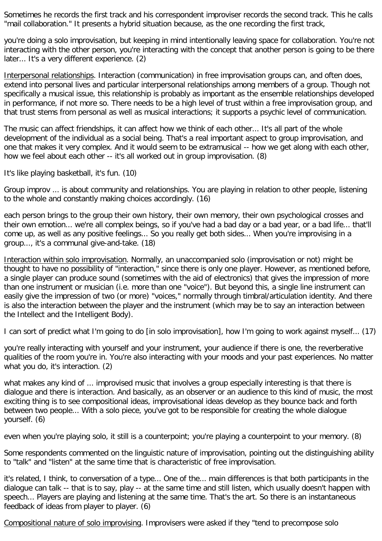Sometimes he records the first track and his correspondent improviser records the second track. This he calls "mail collaboration." It presents a hybrid situation because, as the one recording the first track,

you're doing a solo improvisation, but keeping in mind intentionally leaving space for collaboration. You're not interacting with the other person, you're interacting with the concept that another person is going to be there later... It's a very different experience. (2)

Interpersonal relationships. Interaction (communication) in free improvisation groups can, and often does, extend into personal lives and particular interpersonal relationships among members of a group. Though not specifically a musical issue, this relationship is probably as important as the ensemble relationships developed in performance, if not more so. There needs to be a high level of trust within a free improvisation group, and that trust stems from personal as well as musical interactions; it supports a psychic level of communication.

The music can affect friendships, it can affect how we think of each other... It's all part of the whole development of the individual as a social being. That's a real important aspect to group improvisation, and one that makes it very complex. And it would seem to be extramusical -- how we get along with each other, how we feel about each other -- it's all worked out in group improvisation. (8)

It's like playing basketball, it's fun. (10)

Group improv ... is about community and relationships. You are playing in relation to other people, listening to the whole and constantly making choices accordingly. (16)

each person brings to the group their own history, their own memory, their own psychological crosses and their own emotion... we're all complex beings, so if you've had a bad day or a bad year, or a bad life... that'll come up, as well as any positive feelings... So you really get both sides... When you're improvising in a group..., it's a communal give-and-take. (18)

Interaction within solo improvisation. Normally, an unaccompanied solo (improvisation or not) might be thought to have no possibility of "interaction," since there is only one player. However, as mentioned before, a single player can produce sound (sometimes with the aid of electronics) that gives the impression of more than one instrument or musician (i.e. more than one "voice"). But beyond this, a single line instrument can easily give the impression of two (or more) "voices," normally through timbral/articulation identity. And there is also the interaction between the player and the instrument (which may be to say an interaction between the Intellect and the Intelligent Body).

I can sort of predict what I'm going to do [in solo improvisation], how I'm going to work against myself... (17)

you're really interacting with yourself and your instrument, your audience if there is one, the reverberative qualities of the room you're in. You're also interacting with your moods and your past experiences. No matter what you do, it's interaction. (2)

what makes any kind of ... improvised music that involves a group especially interesting is that there is dialogue and there is interaction. And basically, as an observer or an audience to this kind of music, the most exciting thing is to see compositional ideas, improvisational ideas develop as they bounce back and forth between two people... With a solo piece, you've got to be responsible for creating the whole dialogue yourself. (6)

even when you're playing solo, it still is a counterpoint; you're playing a counterpoint to your memory. (8)

Some respondents commented on the linguistic nature of improvisation, pointing out the distinguishing ability to "talk" and "listen" at the same time that is characteristic of free improvisation.

it's related, I think, to conversation of a type... One of the... main differences is that both participants in the dialogue can talk -- that is to say, play -- at the same time and still listen, which usually doesn't happen with speech... Players are playing and listening at the same time. That's the art. So there is an instantaneous feedback of ideas from player to player. (6)

Compositional nature of solo improvising. Improvisers were asked if they "tend to precompose solo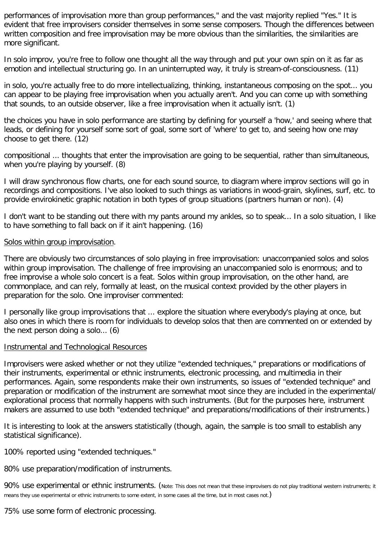performances of improvisation more than group performances," and the vast majority replied "Yes." It is evident that free improvisers consider themselves in some sense composers. Though the differences between written composition and free improvisation may be more obvious than the similarities, the similarities are more significant.

In solo improv, you're free to follow one thought all the way through and put your own spin on it as far as emotion and intellectual structuring go. In an uninterrupted way, it truly is stream-of-consciousness. (11)

in solo, you're actually free to do more intellectualizing, thinking, instantaneous composing on the spot... you can appear to be playing free improvisation when you actually aren't. And you can come up with something that sounds, to an outside observer, like a free improvisation when it actually isn't. (1)

the choices you have in solo performance are starting by defining for yourself a 'how,' and seeing where that leads, or defining for yourself some sort of goal, some sort of 'where' to get to, and seeing how one may choose to get there. (12)

compositional ... thoughts that enter the improvisation are going to be sequential, rather than simultaneous, when you're playing by yourself. (8)

I will draw synchronous flow charts, one for each sound source, to diagram where improv sections will go in recordings and compositions. I've also looked to such things as variations in wood-grain, skylines, surf, etc. to provide envirokinetic graphic notation in both types of group situations (partners human or non). (4)

I don't want to be standing out there with my pants around my ankles, so to speak... In a solo situation, I like to have something to fall back on if it ain't happening. (16)

## Solos within group improvisation.

There are obviously two circumstances of solo playing in free improvisation: unaccompanied solos and solos within group improvisation. The challenge of free improvising an unaccompanied solo is enormous; and to free improvise a whole solo concert is a feat. Solos within group improvisation, on the other hand, are commonplace, and can rely, formally at least, on the musical context provided by the other players in preparation for the solo. One improviser commented:

I personally like group improvisations that ... explore the situation where everybody's playing at once, but also ones in which there is room for individuals to develop solos that then are commented on or extended by the next person doing a solo... (6)

## Instrumental and Technological Resources

Improvisers were asked whether or not they utilize "extended techniques," preparations or modifications of their instruments, experimental or ethnic instruments, electronic processing, and multimedia in their performances. Again, some respondents make their own instruments, so issues of "extended technique" and preparation or modification of the instrument are somewhat moot since they are included in the experimental/ explorational process that normally happens with such instruments. (But for the purposes here, instrument makers are assumed to use both "extended technique" and preparations/modifications of their instruments.)

It is interesting to look at the answers statistically (though, again, the sample is too small to establish any statistical significance).

100% reported using "extended techniques."

80% use preparation/modification of instruments.

90% use experimental or ethnic instruments. (Note: This does not mean that these improvisers do not play traditional western instruments; it means they use experimental or ethnic instruments to some extent, in some cases all the time, but in most cases not.)

75% use some form of electronic processing.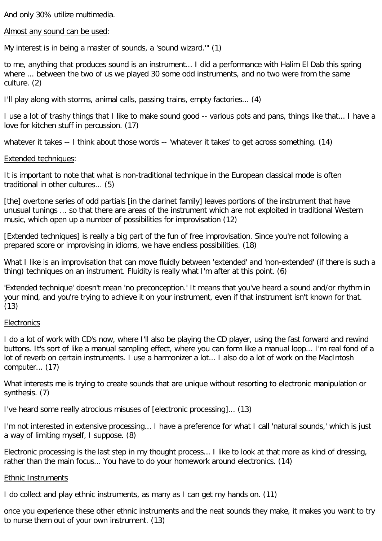And only 30% utilize multimedia.

Almost any sound can be used:

My interest is in being a master of sounds, a 'sound wizard.'" (1)

to me, anything that produces sound is an instrument... I did a performance with Halim El Dab this spring where ... between the two of us we played 30 some odd instruments, and no two were from the same culture. (2)

I'll play along with storms, animal calls, passing trains, empty factories... (4)

I use a lot of trashy things that I like to make sound good -- various pots and pans, things like that... I have a love for kitchen stuff in percussion. (17)

whatever it takes -- I think about those words -- 'whatever it takes' to get across something. (14)

#### Extended techniques:

It is important to note that what is non-traditional technique in the European classical mode is often traditional in other cultures... (5)

[the] overtone series of odd partials [in the clarinet family] leaves portions of the instrument that have unusual tunings ... so that there are areas of the instrument which are not exploited in traditional Western music, which open up a number of possibilities for improvisation (12)

[Extended techniques] is really a big part of the fun of free improvisation. Since you're not following a prepared score or improvising in idioms, we have endless possibilities. (18)

What I like is an improvisation that can move fluidly between 'extended' and 'non-extended' (if there is such a thing) techniques on an instrument. Fluidity is really what I'm after at this point. (6)

'Extended technique' doesn't mean 'no preconception.' It means that you've heard a sound and/or rhythm in your mind, and you're trying to achieve it on your instrument, even if that instrument isn't known for that.  $(13)$ 

## **Electronics**

I do a lot of work with CD's now, where I'll also be playing the CD player, using the fast forward and rewind buttons. It's sort of like a manual sampling effect, where you can form like a manual loop... I'm real fond of a lot of reverb on certain instruments. I use a harmonizer a lot... I also do a lot of work on the MacIntosh computer... (17)

What interests me is trying to create sounds that are unique without resorting to electronic manipulation or synthesis. (7)

I've heard some really atrocious misuses of [electronic processing]... (13)

I'm not interested in extensive processing... I have a preference for what I call 'natural sounds,' which is just a way of limiting myself, I suppose. (8)

Electronic processing is the last step in my thought process... I like to look at that more as kind of dressing, rather than the main focus... You have to do your homework around electronics. (14)

## Ethnic Instruments

I do collect and play ethnic instruments, as many as I can get my hands on. (11)

once you experience these other ethnic instruments and the neat sounds they make, it makes you want to try to nurse them out of your own instrument. (13)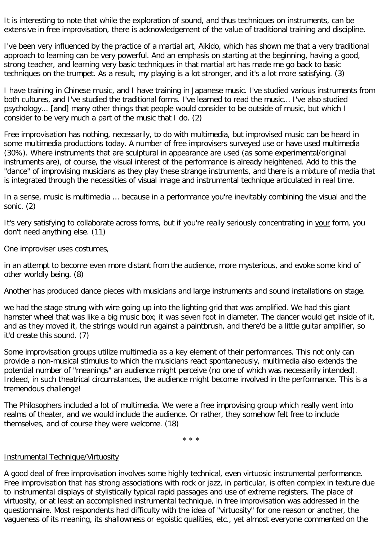It is interesting to note that while the exploration of sound, and thus techniques on instruments, can be extensive in free improvisation, there is acknowledgement of the value of traditional training and discipline.

I've been very influenced by the practice of a martial art, Aikido, which has shown me that a very traditional approach to learning can be very powerful. And an emphasis on starting at the beginning, having a good, strong teacher, and learning very basic techniques in that martial art has made me go back to basic techniques on the trumpet. As a result, my playing is a lot stronger, and it's a lot more satisfying. (3)

I have training in Chinese music, and I have training in Japanese music. I've studied various instruments from both cultures, and I've studied the traditional forms. I've learned to read the music... I've also studied psychology... [and] many other things that people would consider to be outside of music, but which I consider to be very much a part of the music that I do. (2)

Free improvisation has nothing, necessarily, to do with multimedia, but improvised music can be heard in some multimedia productions today. A number of free improvisers surveyed use or have used multimedia (30%). Where instruments that are sculptural in appearance are used (as some experimental/original instruments are), of course, the visual interest of the performance is already heightened. Add to this the "dance" of improvising musicians as they play these strange instruments, and there is a mixture of media that is integrated through the necessities of visual image and instrumental technique articulated in real time.

In a sense, music is multimedia ... because in a performance you're inevitably combining the visual and the sonic. (2)

It's very satisfying to collaborate across forms, but if you're really seriously concentrating in your form, you don't need anything else. (11)

One improviser uses costumes,

in an attempt to become even more distant from the audience, more mysterious, and evoke some kind of other worldly being. (8)

Another has produced dance pieces with musicians and large instruments and sound installations on stage.

we had the stage strung with wire going up into the lighting grid that was amplified. We had this giant hamster wheel that was like a big music box; it was seven foot in diameter. The dancer would get inside of it, and as they moved it, the strings would run against a paintbrush, and there'd be a little guitar amplifier, so it'd create this sound. (7)

Some improvisation groups utilize multimedia as a key element of their performances. This not only can provide a non-musical stimulus to which the musicians react spontaneously, multimedia also extends the potential number of "meanings" an audience might perceive (no one of which was necessarily intended). Indeed, in such theatrical circumstances, the audience might become involved in the performance. This is a tremendous challenge!

The Philosophers included a lot of multimedia. We were a free improvising group which really went into realms of theater, and we would include the audience. Or rather, they somehow felt free to include themselves, and of course they were welcome. (18)

\* \* \*

## Instrumental Technique/Virtuosity

A good deal of free improvisation involves some highly technical, even virtuosic instrumental performance. Free improvisation that has strong associations with rock or jazz, in particular, is often complex in texture due to instrumental displays of stylistically typical rapid passages and use of extreme registers. The place of virtuosity, or at least an accomplished instrumental technique, in free improvisation was addressed in the questionnaire. Most respondents had difficulty with the idea of "virtuosity" for one reason or another, the vagueness of its meaning, its shallowness or egoistic qualities, etc., yet almost everyone commented on the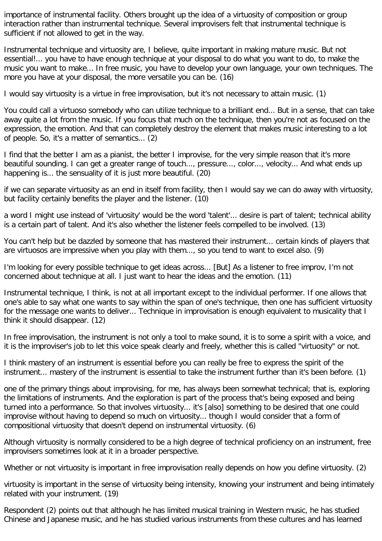importance of instrumental facility. Others brought up the idea of a virtuosity of composition or group interaction rather than instrumental technique. Several improvisers felt that instrumental technique is sufficient if not allowed to get in the way.

Instrumental technique and virtuosity are, I believe, quite important in making mature music. But not essential!... you have to have enough technique at your disposal to do what you want to do, to make the music you want to make... In free music, you have to develop your own language, your own techniques. The more you have at your disposal, the more versatile you can be. (16)

I would say virtuosity is a virtue in free improvisation, but it's not necessary to attain music. (1)

You could call a virtuoso somebody who can utilize technique to a brilliant end... But in a sense, that can take away quite a lot from the music. If you focus that much on the technique, then you're not as focused on the expression, the emotion. And that can completely destroy the element that makes music interesting to a lot of people. So, it's a matter of semantics... (2)

I find that the better I am as a pianist, the better I improvise, for the very simple reason that it's more beautiful sounding. I can get a greater range of touch..., pressure..., color..., velocity... And what ends up happening is... the sensuality of it is just more beautiful. (20)

if we can separate virtuosity as an end in itself from facility, then I would say we can do away with virtuosity, but facility certainly benefits the player and the listener. (10)

a word I might use instead of 'virtuosity' would be the word 'talent'... desire is part of talent; technical ability is a certain part of talent. And it's also whether the listener feels compelled to be involved. (13)

You can't help but be dazzled by someone that has mastered their instrument... certain kinds of players that are virtuosos are impressive when you play with them..., so you tend to want to excel also. (9)

I'm looking for every possible technique to get ideas across... [But] As a listener to free improv, I'm not concerned about technique at all. I just want to hear the ideas and the emotion. (11)

Instrumental technique, I think, is not at all important except to the individual performer. If one allows that one's able to say what one wants to say within the span of one's technique, then one has sufficient virtuosity for the message one wants to deliver... Technique in improvisation is enough equivalent to musicality that I think it should disappear. (12)

In free improvisation, the instrument is not only a tool to make sound, it is to some a spirit with a voice, and it is the improviser's job to let this voice speak clearly and freely, whether this is called "virtuosity" or not.

I think mastery of an instrument is essential before you can really be free to express the spirit of the instrument... mastery of the instrument is essential to take the instrument further than it's been before. (1)

one of the primary things about improvising, for me, has always been somewhat technical; that is, exploring the limitations of instruments. And the exploration is part of the process that's being exposed and being turned into a performance. So that involves virtuosity... it's [also] something to be desired that one could improvise without having to depend so much on virtuosity... though I would consider that a form of compositional virtuosity that doesn't depend on instrumental virtuosity. (6)

Although virtuosity is normally considered to be a high degree of technical proficiency on an instrument, free improvisers sometimes look at it in a broader perspective.

Whether or not virtuosity is important in free improvisation really depends on how you define virtuosity. (2)

virtuosity is important in the sense of virtuosity being intensity, knowing your instrument and being intimately related with your instrument. (19)

Respondent (2) points out that although he has limited musical training in Western music, he has studied Chinese and Japanese music, and he has studied various instruments from these cultures and has learned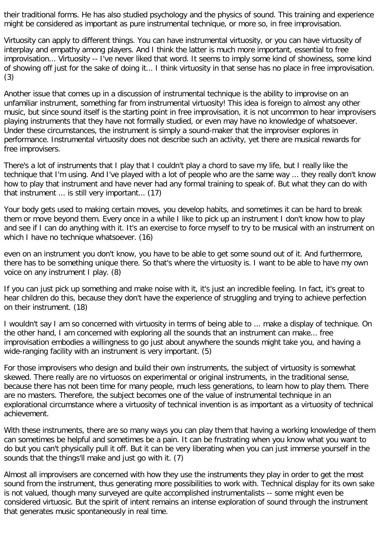their traditional forms. He has also studied psychology and the physics of sound. This training and experience might be considered as important as pure instrumental technique, or more so, in free improvisation.

Virtuosity can apply to different things. You can have instrumental virtuosity, or you can have virtuosity of interplay and empathy among players. And I think the latter is much more important, essential to free improvisation... Virtuosity -- I've never liked that word. It seems to imply some kind of showiness, some kind of showing off just for the sake of doing it... I think virtuosity in that sense has no place in free improvisation. (3)

Another issue that comes up in a discussion of instrumental technique is the ability to improvise on an unfamiliar instrument, something far from instrumental virtuosity! This idea is foreign to almost any other music, but since sound itself is the starting point in free improvisation, it is not uncommon to hear improvisers playing instruments that they have not formally studied, or even may have no knowledge of whatsoever. Under these circumstances, the instrument is simply a sound-maker that the improviser explores in performance. Instrumental virtuosity does not describe such an activity, yet there are musical rewards for free improvisers.

There's a lot of instruments that I play that I couldn't play a chord to save my life, but I really like the technique that I'm using. And I've played with a lot of people who are the same way ... they really don't know how to play that instrument and have never had any formal training to speak of. But what they can do with that instrument ... is still very important... (17)

Your body gets used to making certain moves, you develop habits, and sometimes it can be hard to break them or move beyond them. Every once in a while I like to pick up an instrument I don't know how to play and see if I can do anything with it. It's an exercise to force myself to try to be musical with an instrument on which I have no technique whatsoever. (16)

even on an instrument you don't know, you have to be able to get some sound out of it. And furthermore, there has to be something unique there. So that's where the virtuosity is. I want to be able to have my own voice on any instrument I play. (8)

If you can just pick up something and make noise with it, it's just an incredible feeling. In fact, it's great to hear children do this, because they don't have the experience of struggling and trying to achieve perfection on their instrument. (18)

I wouldn't say I am so concerned with virtuosity in terms of being able to ... make a display of technique. On the other hand, I am concerned with exploring all the sounds that an instrument can make... free improvisation embodies a willingness to go just about anywhere the sounds might take you, and having a wide-ranging facility with an instrument is very important. (5)

For those improvisers who design and build their own instruments, the subject of virtuosity is somewhat skewed. There really are no virtuosos on experimental or original instruments, in the traditional sense, because there has not been time for many people, much less generations, to learn how to play them. There are no masters. Therefore, the subject becomes one of the value of instrumental technique in an explorational circumstance where a virtuosity of technical invention is as important as a virtuosity of technical achievement.

With these instruments, there are so many ways you can play them that having a working knowledge of them can sometimes be helpful and sometimes be a pain. It can be frustrating when you know what you want to do but you can't physically pull it off. But it can be very liberating when you can just immerse yourself in the sounds that the things'll make and just go with it. (7)

Almost all improvisers are concerned with how they use the instruments they play in order to get the most sound from the instrument, thus generating more possibilities to work with. Technical display for its own sake is not valued, though many surveyed are quite accomplished instrumentalists -- some might even be considered virtuosic. But the spirit of intent remains an intense exploration of sound through the instrument that generates music spontaneously in real time.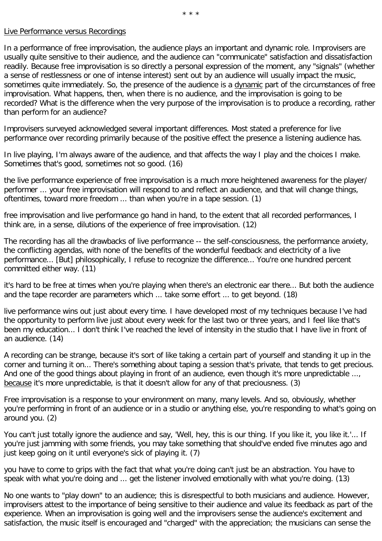### Live Performance versus Recordings

In a performance of free improvisation, the audience plays an important and dynamic role. Improvisers are usually quite sensitive to their audience, and the audience can "communicate" satisfaction and dissatisfaction readily. Because free improvisation is so directly a personal expression of the moment, any "signals" (whether a sense of restlessness or one of intense interest) sent out by an audience will usually impact the music, sometimes quite immediately. So, the presence of the audience is a dynamic part of the circumstances of free improvisation. What happens, then, when there is no audience, and the improvisation is going to be recorded? What is the difference when the very purpose of the improvisation is to produce a recording, rather than perform for an audience?

Improvisers surveyed acknowledged several important differences. Most stated a preference for live performance over recording primarily because of the positive effect the presence a listening audience has.

In live playing, I'm always aware of the audience, and that affects the way I play and the choices I make. Sometimes that's good, sometimes not so good. (16)

the live performance experience of free improvisation is a much more heightened awareness for the player/ performer ... your free improvisation will respond to and reflect an audience, and that will change things, oftentimes, toward more freedom ... than when you're in a tape session. (1)

free improvisation and live performance go hand in hand, to the extent that all recorded performances, I think are, in a sense, dilutions of the experience of free improvisation. (12)

The recording has all the drawbacks of live performance -- the self-consciousness, the performance anxiety, the conflicting agendas, with none of the benefits of the wonderful feedback and electricity of a live performance... [But] philosophically, I refuse to recognize the difference... You're one hundred percent committed either way. (11)

it's hard to be free at times when you're playing when there's an electronic ear there... But both the audience and the tape recorder are parameters which ... take some effort ... to get beyond. (18)

live performance wins out just about every time. I have developed most of my techniques because I've had the opportunity to perform live just about every week for the last two or three years, and I feel like that's been my education... I don't think I've reached the level of intensity in the studio that I have live in front of an audience. (14)

A recording can be strange, because it's sort of like taking a certain part of yourself and standing it up in the corner and turning it on... There's something about taping a session that's private, that tends to get precious. And one of the good things about playing in front of an audience, even though it's more unpredictable ..., because it's more unpredictable, is that it doesn't allow for any of that preciousness. (3)

Free improvisation is a response to your environment on many, many levels. And so, obviously, whether you're performing in front of an audience or in a studio or anything else, you're responding to what's going on around you. (2)

You can't just totally ignore the audience and say, 'Well, hey, this is our thing. If you like it, you like it.'... If you're just jamming with some friends, you may take something that should've ended five minutes ago and just keep going on it until everyone's sick of playing it. (7)

you have to come to grips with the fact that what you're doing can't just be an abstraction. You have to speak with what you're doing and ... get the listener involved emotionally with what you're doing. (13)

No one wants to "play down" to an audience; this is disrespectful to both musicians and audience. However, improvisers attest to the importance of being sensitive to their audience and value its feedback as part of the experience. When an improvisation is going well and the improvisers sense the audience's excitement and satisfaction, the music itself is encouraged and "charged" with the appreciation; the musicians can sense the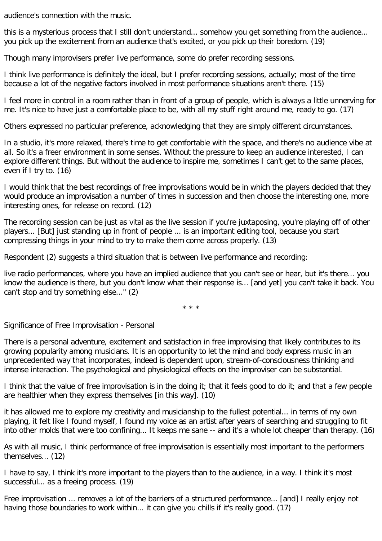audience's connection with the music.

this is a mysterious process that I still don't understand... somehow you get something from the audience... you pick up the excitement from an audience that's excited, or you pick up their boredom. (19)

Though many improvisers prefer live performance, some do prefer recording sessions.

I think live performance is definitely the ideal, but I prefer recording sessions, actually; most of the time because a lot of the negative factors involved in most performance situations aren't there. (15)

I feel more in control in a room rather than in front of a group of people, which is always a little unnerving for me. It's nice to have just a comfortable place to be, with all my stuff right around me, ready to go. (17)

Others expressed no particular preference, acknowledging that they are simply different circumstances.

In a studio, it's more relaxed, there's time to get comfortable with the space, and there's no audience vibe at all. So it's a freer environment in some senses. Without the pressure to keep an audience interested, I can explore different things. But without the audience to inspire me, sometimes I can't get to the same places, even if I try to. (16)

I would think that the best recordings of free improvisations would be in which the players decided that they would produce an improvisation a number of times in succession and then choose the interesting one, more interesting ones, for release on record. (12)

The recording session can be just as vital as the live session if you're juxtaposing, you're playing off of other players... [But] just standing up in front of people ... is an important editing tool, because you start compressing things in your mind to try to make them come across properly. (13)

Respondent (2) suggests a third situation that is between live performance and recording:

live radio performances, where you have an implied audience that you can't see or hear, but it's there... you know the audience is there, but you don't know what their response is... [and yet] you can't take it back. You can't stop and try something else..." (2)

\* \* \*

## Significance of Free Improvisation - Personal

There is a personal adventure, excitement and satisfaction in free improvising that likely contributes to its growing popularity among musicians. It is an opportunity to let the mind and body express music in an unprecedented way that incorporates, indeed is dependent upon, stream-of-consciousness thinking and intense interaction. The psychological and physiological effects on the improviser can be substantial.

I think that the value of free improvisation is in the doing it; that it feels good to do it; and that a few people are healthier when they express themselves [in this way]. (10)

it has allowed me to explore my creativity and musicianship to the fullest potential... in terms of my own playing, it felt like I found myself, I found my voice as an artist after years of searching and struggling to fit into other molds that were too confining... It keeps me sane -- and it's a whole lot cheaper than therapy. (16)

As with all music, I think performance of free improvisation is essentially most important to the performers themselves... (12)

I have to say, I think it's more important to the players than to the audience, in a way. I think it's most successful... as a freeing process. (19)

Free improvisation ... removes a lot of the barriers of a structured performance... [and] I really enjoy not having those boundaries to work within... it can give you chills if it's really good. (17)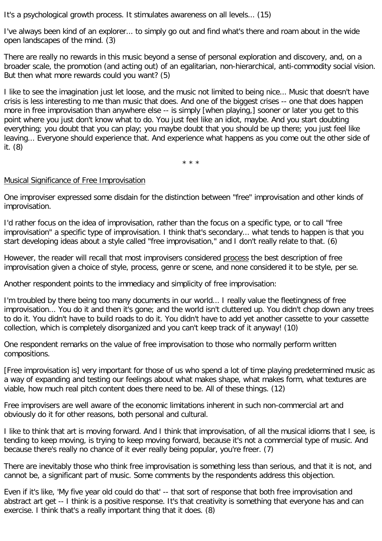It's a psychological growth process. It stimulates awareness on all levels... (15)

I've always been kind of an explorer... to simply go out and find what's there and roam about in the wide open landscapes of the mind. (3)

There are really no rewards in this music beyond a sense of personal exploration and discovery, and, on a broader scale, the promotion (and acting out) of an egalitarian, non-hierarchical, anti-commodity social vision. But then what more rewards could you want? (5)

I like to see the imagination just let loose, and the music not limited to being nice... Music that doesn't have crisis is less interesting to me than music that does. And one of the biggest crises -- one that does happen more in free improvisation than anywhere else -- is simply [when playing,] sooner or later you get to this point where you just don't know what to do. You just feel like an idiot, maybe. And you start doubting everything; you doubt that you can play; you maybe doubt that you should be up there; you just feel like leaving... Everyone should experience that. And experience what happens as you come out the other side of it. (8)

\* \* \*

## Musical Significance of Free Improvisation

One improviser expressed some disdain for the distinction between "free" improvisation and other kinds of improvisation.

I'd rather focus on the idea of improvisation, rather than the focus on a specific type, or to call "free improvisation" a specific type of improvisation. I think that's secondary... what tends to happen is that you start developing ideas about a style called "free improvisation," and I don't really relate to that. (6)

However, the reader will recall that most improvisers considered process the best description of free improvisation given a choice of style, process, genre or scene, and none considered it to be style, per se.

Another respondent points to the immediacy and simplicity of free improvisation:

I'm troubled by there being too many documents in our world... I really value the fleetingness of free improvisation... You do it and then it's gone; and the world isn't cluttered up. You didn't chop down any trees to do it. You didn't have to build roads to do it. You didn't have to add yet another cassette to your cassette collection, which is completely disorganized and you can't keep track of it anyway! (10)

One respondent remarks on the value of free improvisation to those who normally perform written compositions.

[Free improvisation is] very important for those of us who spend a lot of time playing predetermined music as a way of expanding and testing our feelings about what makes shape, what makes form, what textures are viable, how much real pitch content does there need to be. All of these things. (12)

Free improvisers are well aware of the economic limitations inherent in such non-commercial art and obviously do it for other reasons, both personal and cultural.

I like to think that art is moving forward. And I think that improvisation, of all the musical idioms that I see, is tending to keep moving, is trying to keep moving forward, because it's not a commercial type of music. And because there's really no chance of it ever really being popular, you're freer. (7)

There are inevitably those who think free improvisation is something less than serious, and that it is not, and cannot be, a significant part of music. Some comments by the respondents address this objection.

Even if it's like, 'My five year old could do that' -- that sort of response that both free improvisation and abstract art get -- I think is a positive response. It's that creativity is something that everyone has and can exercise. I think that's a really important thing that it does. (8)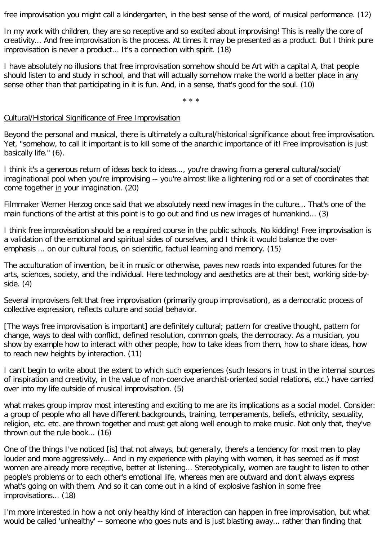free improvisation you might call a kindergarten, in the best sense of the word, of musical performance. (12)

In my work with children, they are so receptive and so excited about improvising! This is really the core of creativity... And free improvisation is the process. At times it may be presented as a product. But I think pure improvisation is never a product... It's a connection with spirit. (18)

I have absolutely no illusions that free improvisation somehow should be Art with a capital A, that people should listen to and study in school, and that will actually somehow make the world a better place in any sense other than that participating in it is fun. And, in a sense, that's good for the soul. (10)

\* \* \*

### Cultural/Historical Significance of Free Improvisation

Beyond the personal and musical, there is ultimately a cultural/historical significance about free improvisation. Yet, "somehow, to call it important is to kill some of the anarchic importance of it! Free improvisation is just basically life." (6).

I think it's a generous return of ideas back to ideas..., you're drawing from a general cultural/social/ imaginational pool when you're improvising -- you're almost like a lightening rod or a set of coordinates that come together in your imagination. (20)

Filmmaker Werner Herzog once said that we absolutely need new images in the culture... That's one of the main functions of the artist at this point is to go out and find us new images of humankind... (3)

I think free improvisation should be a required course in the public schools. No kidding! Free improvisation is a validation of the emotional and spiritual sides of ourselves, and I think it would balance the overemphasis ... on our cultural focus, on scientific, factual learning and memory. (15)

The acculturation of invention, be it in music or otherwise, paves new roads into expanded futures for the arts, sciences, society, and the individual. Here technology and aesthetics are at their best, working side-byside. (4)

Several improvisers felt that free improvisation (primarily group improvisation), as a democratic process of collective expression, reflects culture and social behavior.

[The ways free improvisation is important] are definitely cultural; pattern for creative thought, pattern for change, ways to deal with conflict, defined resolution, common goals, the democracy. As a musician, you show by example how to interact with other people, how to take ideas from them, how to share ideas, how to reach new heights by interaction. (11)

I can't begin to write about the extent to which such experiences (such lessons in trust in the internal sources of inspiration and creativity, in the value of non-coercive anarchist-oriented social relations, etc.) have carried over into my life outside of musical improvisation. (5)

what makes group improv most interesting and exciting to me are its implications as a social model. Consider: a group of people who all have different backgrounds, training, temperaments, beliefs, ethnicity, sexuality, religion, etc. etc. are thrown together and must get along well enough to make music. Not only that, they've thrown out the rule book... (16)

One of the things I've noticed [is] that not always, but generally, there's a tendency for most men to play louder and more aggressively... And in my experience with playing with women, it has seemed as if most women are already more receptive, better at listening... Stereotypically, women are taught to listen to other people's problems or to each other's emotional life, whereas men are outward and don't always express what's going on with them. And so it can come out in a kind of explosive fashion in some free improvisations... (18)

I'm more interested in how a not only healthy kind of interaction can happen in free improvisation, but what would be called 'unhealthy' -- someone who goes nuts and is just blasting away... rather than finding that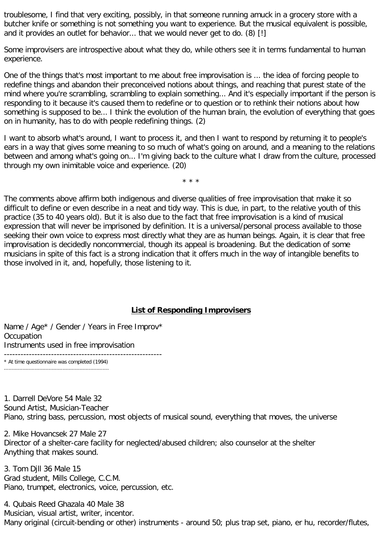troublesome, I find that very exciting, possibly, in that someone running amuck in a grocery store with a butcher knife or something is not something you want to experience. But the musical equivalent is possible, and it provides an outlet for behavior... that we would never get to do. (8) [!]

Some improvisers are introspective about what they do, while others see it in terms fundamental to human experience.

One of the things that's most important to me about free improvisation is ... the idea of forcing people to redefine things and abandon their preconceived notions about things, and reaching that purest state of the mind where you're scrambling, scrambling to explain something... And it's especially important if the person is responding to it because it's caused them to redefine or to question or to rethink their notions about how something is supposed to be... I think the evolution of the human brain, the evolution of everything that goes on in humanity, has to do with people redefining things. (2)

I want to absorb what's around, I want to process it, and then I want to respond by returning it to people's ears in a way that gives some meaning to so much of what's going on around, and a meaning to the relations between and among what's going on... I'm giving back to the culture what I draw from the culture, processed through my own inimitable voice and experience. (20)

\* \* \*

The comments above affirm both indigenous and diverse qualities of free improvisation that make it so difficult to define or even describe in a neat and tidy way. This is due, in part, to the relative youth of this practice (35 to 40 years old). But it is also due to the fact that free improvisation is a kind of musical expression that will never be imprisoned by definition. It is a universal/personal process available to those seeking their own voice to express most directly what they are as human beings. Again, it is clear that free improvisation is decidedly noncommercial, though its appeal is broadening. But the dedication of some musicians in spite of this fact is a strong indication that it offers much in the way of intangible benefits to those involved in it, and, hopefully, those listening to it.

## **List of Responding Improvisers**

Name / Age<sup>\*</sup> / Gender / Years in Free Improv<sup>\*</sup> **Occupation** Instruments used in free improvisation

--------------------------------------------------------- \* At time questionnaire was completed (1994) ....................................................................

1. Darrell DeVore 54 Male 32 Sound Artist, Musician-Teacher Piano, string bass, percussion, most objects of musical sound, everything that moves, the universe

2. Mike Hovancsek 27 Male 27 Director of a shelter-care facility for neglected/abused children; also counselor at the shelter Anything that makes sound.

3. Tom Djll 36 Male 15 Grad student, Mills College, C.C.M. Piano, trumpet, electronics, voice, percussion, etc.

4. Qubais Reed Ghazala 40 Male 38 Musician, visual artist, writer, incentor. Many original (circuit-bending or other) instruments - around 50; plus trap set, piano, er hu, recorder/flutes,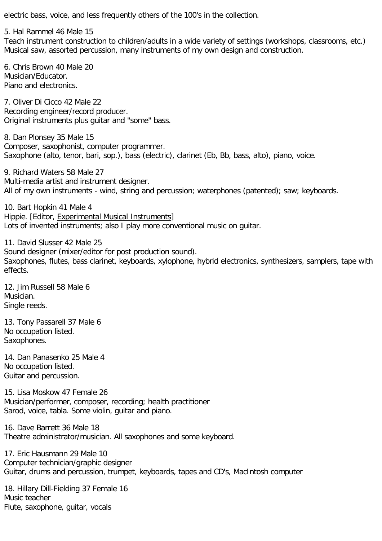electric bass, voice, and less frequently others of the 100's in the collection.

5. Hal Rammel 46 Male 15 Teach instrument construction to children/adults in a wide variety of settings (workshops, classrooms, etc.) Musical saw, assorted percussion, many instruments of my own design and construction.

6. Chris Brown 40 Male 20 Musician/Educator. Piano and electronics.

7. Oliver Di Cicco 42 Male 22 Recording engineer/record producer. Original instruments plus guitar and "some" bass.

8. Dan Plonsey 35 Male 15 Composer, saxophonist, computer programmer. Saxophone (alto, tenor, bari, sop.), bass (electric), clarinet (Eb, Bb, bass, alto), piano, voice.

9. Richard Waters 58 Male 27 Multi-media artist and instrument designer. All of my own instruments - wind, string and percussion; waterphones (patented); saw; keyboards.

10. Bart Hopkin 41 Male 4 Hippie. [Editor, Experimental Musical Instruments] Lots of invented instruments; also I play more conventional music on guitar.

11. David Slusser 42 Male 25 Sound designer (mixer/editor for post production sound). Saxophones, flutes, bass clarinet, keyboards, xylophone, hybrid electronics, synthesizers, samplers, tape with effects.

12. Jim Russell 58 Male 6 Musician. Single reeds.

13. Tony Passarell 37 Male 6 No occupation listed. Saxophones.

14. Dan Panasenko 25 Male 4 No occupation listed. Guitar and percussion.

15. Lisa Moskow 47 Female 26 Musician/performer, composer, recording; health practitioner Sarod, voice, tabla. Some violin, guitar and piano.

16. Dave Barrett 36 Male 18 Theatre administrator/musician. All saxophones and some keyboard.

17. Eric Hausmann 29 Male 10 Computer technician/graphic designer Guitar, drums and percussion, trumpet, keyboards, tapes and CD's, MacIntosh computer

18. Hillary Dill-Fielding 37 Female 16 Music teacher Flute, saxophone, guitar, vocals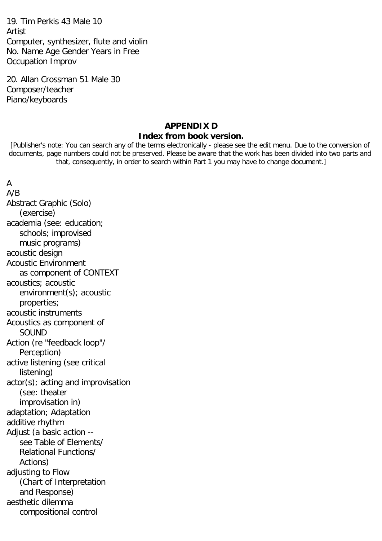19. Tim Perkis 43 Male 10 Artist Computer, synthesizer, flute and violin No. Name Age Gender Years in Free Occupation Improv

20. Allan Crossman 51 Male 30 Composer/teacher Piano/keyboards

# **APPENDIX D Index from book version.**

[Publisher's note: You can search any of the terms electronically - please see the edit menu. Due to the conversion of documents, page numbers could not be preserved. Please be aware that the work has been divided into two parts and that, consequently, in order to search within Part 1 you may have to change document.]

# A

A/B Abstract Graphic (Solo) (exercise) academia (see: education; schools; improvised music programs) acoustic design Acoustic Environment as component of CONTEXT acoustics; acoustic environment(s); acoustic properties; acoustic instruments Acoustics as component of SOUND Action (re "feedback loop"/ Perception) active listening (see critical listening) actor(s); acting and improvisation (see: theater improvisation in) adaptation; Adaptation additive rhythm Adjust (a basic action - see Table of Elements/ Relational Functions/ Actions) adjusting to Flow (Chart of Interpretation and Response) aesthetic dilemma compositional control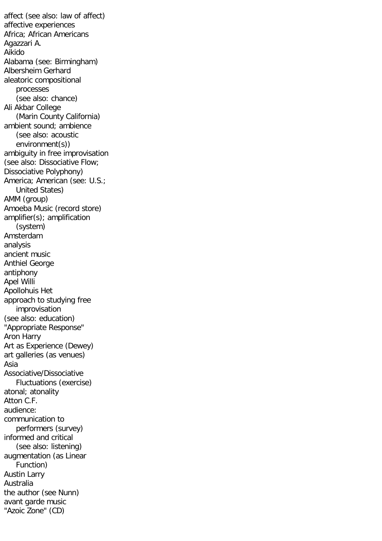affect (see also: law of affect) affective experiences Africa; African Americans Agazzari A. Aikido Alabama (see: Birmingham) Albersheim Gerhard aleatoric compositional processes (see also: chance) Ali Akbar College (Marin County California) ambient sound; ambience (see also: acoustic environment(s)) ambiguity in free improvisation (see also: Dissociative Flow; Dissociative Polyphony) America; American (see: U.S.; United States) AMM (group) Amoeba Music (record store) amplifier(s); amplification (system) Amsterdam analysis ancient music Anthiel George antiphony Apel Willi Apollohuis Het approach to studying free improvisation (see also: education) "Appropriate Response" Aron Harry Art as Experience (Dewey) art galleries (as venues) Asia Associative/Dissociative Fluctuations (exercise) atonal; atonality Atton C.F. audience: communication to performers (survey) informed and critical (see also: listening) augmentation (as Linear Function) Austin Larry Australia the author (see Nunn) avant garde music "Azoic Zone" (CD)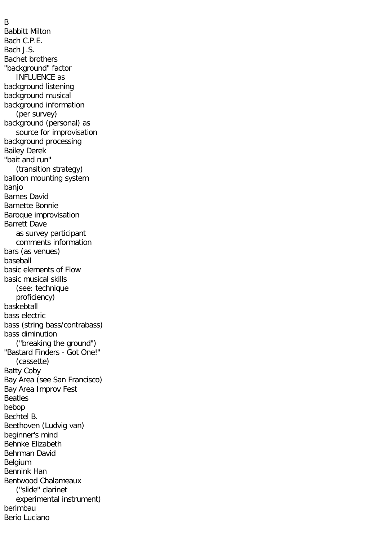B

Babbitt Milton Bach C.P.E. Bach J.S. Bachet brothers "background" factor INFLUENCE as background listening background musical background information (per survey) background (personal) as source for improvisation background processing Bailey Derek "bait and run" (transition strategy) balloon mounting system banjo Barnes David Barnette Bonnie Baroque improvisation Barrett Dave as survey participant comments information bars (as venues) baseball basic elements of Flow basic musical skills (see: technique proficiency) baskebtall bass electric bass (string bass/contrabass) bass diminution ("breaking the ground") "Bastard Finders - Got One!" (cassette) Batty Coby Bay Area (see San Francisco) Bay Area Improv Fest Beatles bebop Bechtel B. Beethoven (Ludvig van) beginner's mind Behnke Elizabeth Behrman David Belgium Bennink Han Bentwood Chalameaux ("slide" clarinet experimental instrument) berimbau Berio Luciano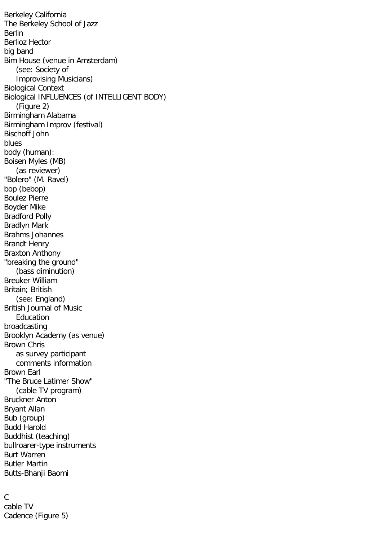Berkeley California The Berkeley School of Jazz Berlin Berlioz Hector big band Bim House (venue in Amsterdam) (see: Society of Improvising Musicians) Biological Context Biological INFLUENCES (of INTELLIGENT BODY) (Figure 2) Birmingham Alabama Birmingham Improv (festival) Bischoff John blues body (human): Boisen Myles (MB) (as reviewer) "Bolero" (M. Ravel) bop (bebop) Boulez Pierre Boyder Mike Bradford Polly Bradlyn Mark Brahms Johannes Brandt Henry Braxton Anthony "breaking the ground" (bass diminution) Breuker William Britain; British (see: England) British Journal of Music Education broadcasting Brooklyn Academy (as venue) Brown Chris as survey participant comments information Brown Earl "The Bruce Latimer Show" (cable TV program) Bruckner Anton Bryant Allan Bub (group) Budd Harold Buddhist (teaching) bullroarer-type instruments Burt Warren Butler Martin Butts-Bhanji Baomi

## $\mathcal{C}$ cable TV Cadence (Figure 5)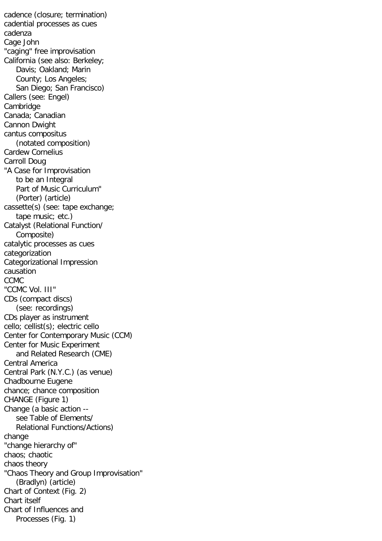cadence (closure; termination) cadential processes as cues cadenza Cage John "caging" free improvisation California (see also: Berkeley; Davis; Oakland; Marin County; Los Angeles; San Diego; San Francisco) Callers (see: Engel) Cambridge Canada; Canadian Cannon Dwight cantus compositus (notated composition) Cardew Cornelius Carroll Doug "A Case for Improvisation to be an Integral Part of Music Curriculum" (Porter) (article) cassette(s) (see: tape exchange; tape music; etc.) Catalyst (Relational Function/ Composite) catalytic processes as cues categorization Categorizational Impression causation CCMC "CCMC Vol. III" CDs (compact discs) (see: recordings) CDs player as instrument cello; cellist(s); electric cello Center for Contemporary Music (CCM) Center for Music Experiment and Related Research (CME) Central America Central Park (N.Y.C.) (as venue) Chadbourne Eugene chance; chance composition CHANGE (Figure 1) Change (a basic action - see Table of Elements/ Relational Functions/Actions) change "change hierarchy of" chaos; chaotic chaos theory "Chaos Theory and Group Improvisation" (Bradlyn) (article) Chart of Context (Fig. 2) Chart itself Chart of Influences and Processes (Fig. 1)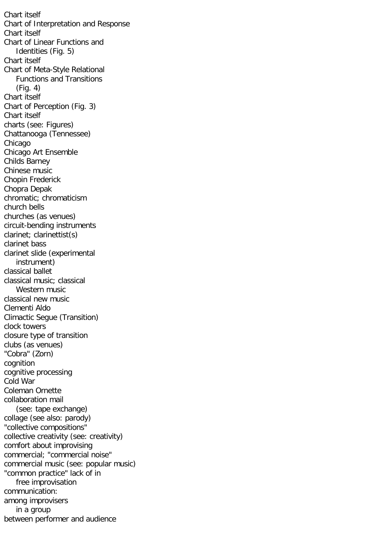Chart itself Chart of Interpretation and Response Chart itself Chart of Linear Functions and Identities (Fig. 5) Chart itself Chart of Meta-Style Relational Functions and Transitions (Fig. 4) Chart itself Chart of Perception (Fig. 3) Chart itself charts (see: Figures) Chattanooga (Tennessee) Chicago Chicago Art Ensemble Childs Barney Chinese music Chopin Frederick Chopra Depak chromatic; chromaticism church bells churches (as venues) circuit-bending instruments clarinet; clarinettist(s) clarinet bass clarinet slide (experimental instrument) classical ballet classical music; classical Western music classical new music Clementi Aldo Climactic Segue (Transition) clock towers closure type of transition clubs (as venues) "Cobra" (Zorn) cognition cognitive processing Cold War Coleman Ornette collaboration mail (see: tape exchange) collage (see also: parody) "collective compositions" collective creativity (see: creativity) comfort about improvising commercial; "commercial noise" commercial music (see: popular music) "common practice" lack of in free improvisation communication: among improvisers in a group between performer and audience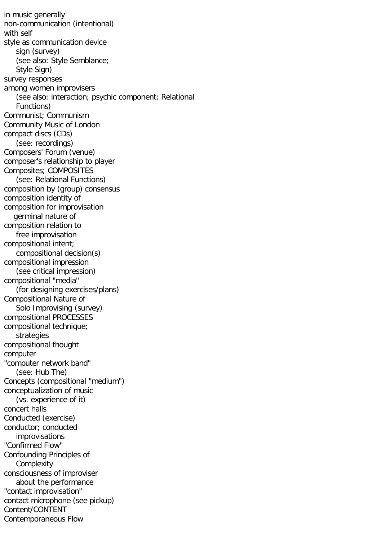in music generally non-communication (intentional) with self style as communication device sign (survey) (see also: Style Semblance; Style Sian) survey responses among women improvisers (see also: interaction; psychic component; Relational Functions) Communist; Communism Community Music of London compact discs (CDs) (see: recordings) Composers' Forum (venue) composer's relationship to player Composites; COMPOSITES (see: Relational Functions) composition by (group) consensus composition identity of composition for improvisation germinal nature of composition relation to free improvisation compositional intent; compositional decision(s) compositional impression (see critical impression) compositional "media" (for designing exercises/plans) Compositional Nature of Solo Improvising (survey) compositional PROCESSES compositional technique; strategies compositional thought computer "computer network band" (see: Hub The) Concepts (compositional "medium") conceptualization of music (vs. experience of it) concert halls Conducted (exercise) conductor; conducted improvisations "Confirmed Flow" Confounding Principles of Complexity consciousness of improviser about the performance "contact improvisation" contact microphone (see pickup) Content/CONTENT Contemporaneous Flow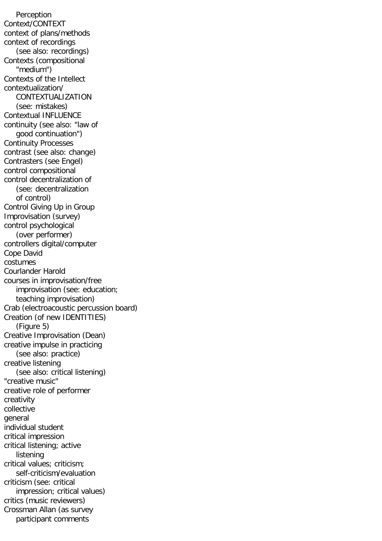Perception Context/CONTEXT context of plans/methods context of recordings (see also: recordings) Contexts (compositional "medium") Contexts of the Intellect contextualization/ CONTEXTUALIZATION (see: mistakes) Contextual INFLUENCE continuity (see also: "law of good continuation") Continuity Processes contrast (see also: change) Contrasters (see Engel) control compositional control decentralization of (see: decentralization of control) Control Giving Up in Group Improvisation (survey) control psychological (over performer) controllers digital/computer Cope David costumes Courlander Harold courses in improvisation/free improvisation (see: education; teaching improvisation) Crab (electroacoustic percussion board) Creation (of new IDENTITIES) (Figure 5) Creative Improvisation (Dean) creative impulse in practicing (see also: practice) creative listening (see also: critical listening) "creative music" creative role of performer creativity collective general individual student critical impression critical listening; active listening critical values; criticism; self-criticism/evaluation criticism (see: critical impression; critical values) critics (music reviewers) Crossman Allan (as survey participant comments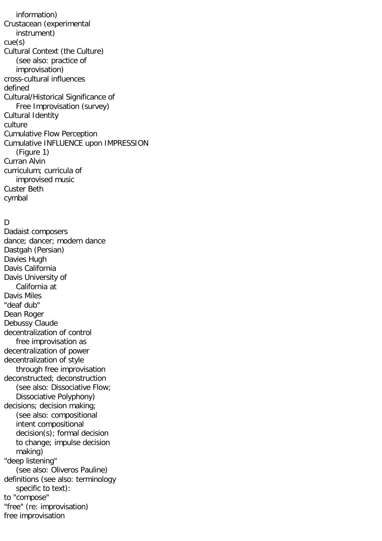information) Crustacean (experimental instrument) cue(s) Cultural Context (the Culture) (see also: practice of improvisation) cross-cultural influences defined Cultural/Historical Significance of Free Improvisation (survey) Cultural Identity culture Cumulative Flow Perception Cumulative INFLUENCE upon IMPRESSION (Figure 1) Curran Alvin curriculum; curricula of improvised music Custer Beth cymbal

# $\mathsf{D}$

Dadaist composers dance; dancer; modern dance Dastgah (Persian) Davies Hugh Davis California Davis University of California at Davis Miles "deaf dub" Dean Roger Debussy Claude decentralization of control free improvisation as decentralization of power decentralization of style through free improvisation deconstructed; deconstruction (see also: Dissociative Flow; Dissociative Polyphony) decisions; decision making; (see also: compositional intent compositional decision(s); formal decision to change; impulse decision making) "deep listening" (see also: Oliveros Pauline) definitions (see also: terminology specific to text): to "compose" "free" (re: improvisation) free improvisation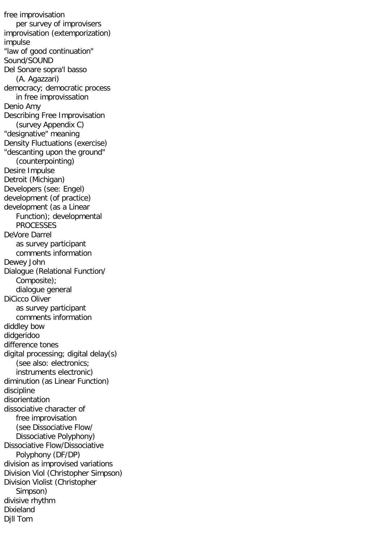free improvisation per survey of improvisers improvisation (extemporization) impulse "law of good continuation" Sound/SOUND Del Sonare sopra'l basso (A. Agazzari) democracy; democratic process in free improvissation Denio Amy Describing Free Improvisation (survey Appendix C) "designative" meaning Density Fluctuations (exercise) "descanting upon the ground" (counterpointing) Desire Impulse Detroit (Michigan) Developers (see: Engel) development (of practice) development (as a Linear Function); developmental PROCESSES DeVore Darrel as survey participant comments information Dewey John Dialogue (Relational Function/ Composite); dialogue general DiCicco Oliver as survey participant comments information diddley bow didgeridoo difference tones digital processing; digital delay(s) (see also: electronics; instruments electronic) diminution (as Linear Function) discipline disorientation dissociative character of free improvisation (see Dissociative Flow/ Dissociative Polyphony) Dissociative Flow/Dissociative Polyphony (DF/DP) division as improvised variations Division Viol (Christopher Simpson) Division Violist (Christopher Simpson) divisive rhythm Dixieland Djll Tom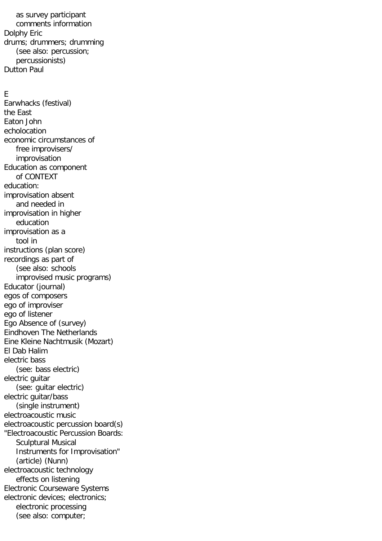as survey participant comments information Dolphy Eric drums; drummers; drumming (see also: percussion; percussionists) Dutton Paul

### E

Earwhacks (festival) the East Eaton John echolocation economic circumstances of free improvisers/ improvisation Education as component of CONTEXT education: improvisation absent and needed in improvisation in higher education improvisation as a tool in instructions (plan score) recordings as part of (see also: schools improvised music programs) Educator (journal) egos of composers ego of improviser ego of listener Ego Absence of (survey) Eindhoven The Netherlands Eine Kleine Nachtmusik (Mozart) El Dab Halim electric bass (see: bass electric) electric guitar (see: guitar electric) electric guitar/bass (single instrument) electroacoustic music electroacoustic percussion board(s) "Electroacoustic Percussion Boards: Sculptural Musical Instruments for Improvisation" (article) (Nunn) electroacoustic technology effects on listening Electronic Courseware Systems electronic devices; electronics; electronic processing (see also: computer;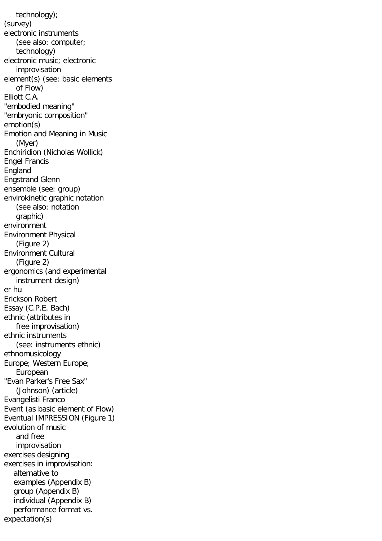technology); (survey) electronic instruments (see also: computer; technology) electronic music; electronic improvisation element(s) (see: basic elements of Flow) Elliott C.A. "embodied meaning" "embryonic composition" emotion(s) Emotion and Meaning in Music (Myer) Enchiridion (Nicholas Wollick) Engel Francis England Engstrand Glenn ensemble (see: group) envirokinetic graphic notation (see also: notation graphic) environment Environment Physical (Figure 2) Environment Cultural (Figure 2) ergonomics (and experimental instrument design) er hu Erickson Robert Essay (C.P.E. Bach) ethnic (attributes in free improvisation) ethnic instruments (see: instruments ethnic) ethnomusicology Europe; Western Europe; European "Evan Parker's Free Sax" (Johnson) (article) Evangelisti Franco Event (as basic element of Flow) Eventual IMPRESSION (Figure 1) evolution of music and free improvisation exercises designing exercises in improvisation: alternative to examples (Appendix B) group (Appendix B) individual (Appendix B) performance format vs. expectation(s)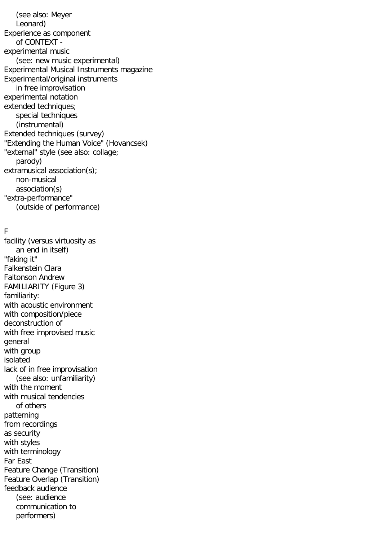(see also: Meyer Leonard) Experience as component of CONTEXT experimental music (see: new music experimental) Experimental Musical Instruments magazine Experimental/original instruments in free improvisation experimental notation extended techniques; special techniques (instrumental) Extended techniques (survey) "Extending the Human Voice" (Hovancsek) "external" style (see also: collage; parody) extramusical association(s); non-musical association(s) "extra-performance" (outside of performance)

## F

facility (versus virtuosity as an end in itself) "faking it" Falkenstein Clara Faltonson Andrew FAMILIARITY (Figure 3) familiarity: with acoustic environment with composition/piece deconstruction of with free improvised music general with group isolated lack of in free improvisation (see also: unfamiliarity) with the moment with musical tendencies of others patterning from recordings as security with styles with terminology Far East Feature Change (Transition) Feature Overlap (Transition) feedback audience (see: audience communication to performers)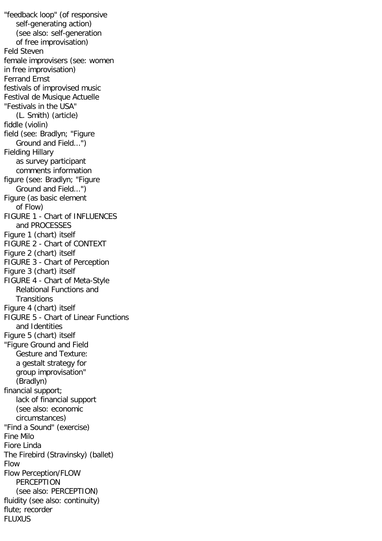"feedback loop" (of responsive self-generating action) (see also: self-generation of free improvisation) Feld Steven female improvisers (see: women in free improvisation) Ferrand Ernst festivals of improvised music Festival de Musique Actuelle "Festivals in the USA" (L. Smith) (article) fiddle (violin) field (see: Bradlyn; "Figure Ground and Field...") Fielding Hillary as survey participant comments information figure (see: Bradlyn; "Figure Ground and Field...") Figure (as basic element of Flow) FIGURE 1 - Chart of INFLUENCES and PROCESSES Figure 1 (chart) itself FIGURE 2 - Chart of CONTEXT Figure 2 (chart) itself FIGURE 3 - Chart of Perception Figure 3 (chart) itself FIGURE 4 - Chart of Meta-Style Relational Functions and **Transitions** Figure 4 (chart) itself FIGURE 5 - Chart of Linear Functions and Identities Figure 5 (chart) itself "Figure Ground and Field Gesture and Texture: a gestalt strategy for group improvisation" (Bradlyn) financial support; lack of financial support (see also: economic circumstances) "Find a Sound" (exercise) Fine Milo Fiore Linda The Firebird (Stravinsky) (ballet) Flow Flow Perception/FLOW **PERCEPTION**  (see also: PERCEPTION) fluidity (see also: continuity) flute; recorder FLUXUS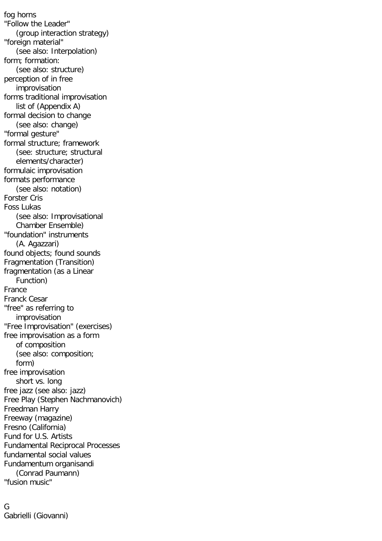fog horns "Follow the Leader" (group interaction strategy) "foreign material" (see also: Interpolation) form; formation: (see also: structure) perception of in free improvisation forms traditional improvisation list of (Appendix A) formal decision to change (see also: change) "formal gesture" formal structure; framework (see: structure; structural elements/character) formulaic improvisation formats performance (see also: notation) Forster Cris Foss Lukas (see also: Improvisational Chamber Ensemble) "foundation" instruments (A. Agazzari) found objects; found sounds Fragmentation (Transition) fragmentation (as a Linear Function) France Franck Cesar "free" as referring to improvisation "Free Improvisation" (exercises) free improvisation as a form of composition (see also: composition; form) free improvisation short vs. long free jazz (see also: jazz) Free Play (Stephen Nachmanovich) Freedman Harry Freeway (magazine) Fresno (California) Fund for U.S. Artists Fundamental Reciprocal Processes fundamental social values Fundamentum organisandi (Conrad Paumann) "fusion music"

G Gabrielli (Giovanni)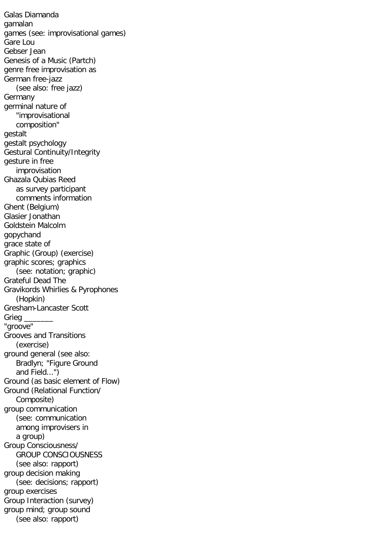Galas Diamanda gamalan games (see: improvisational games) Gare Lou Gebser Jean Genesis of a Music (Partch) genre free improvisation as German free-jazz (see also: free jazz) Germany germinal nature of "improvisational composition" gestalt gestalt psychology Gestural Continuity/Integrity gesture in free improvisation Ghazala Qubias Reed as survey participant comments information Ghent (Belgium) Glasier Jonathan Goldstein Malcolm gopychand grace state of Graphic (Group) (exercise) graphic scores; graphics (see: notation; graphic) Grateful Dead The Gravikords Whirlies & Pyrophones (Hopkin) Gresham-Lancaster Scott Grieg "groove" Grooves and Transitions (exercise) ground general (see also: Bradlyn; "Figure Ground and Field...") Ground (as basic element of Flow) Ground (Relational Function/ Composite) group communication (see: communication among improvisers in a group) Group Consciousness/ GROUP CONSCIOUSNESS (see also: rapport) group decision making (see: decisions; rapport) group exercises Group Interaction (survey) group mind; group sound (see also: rapport)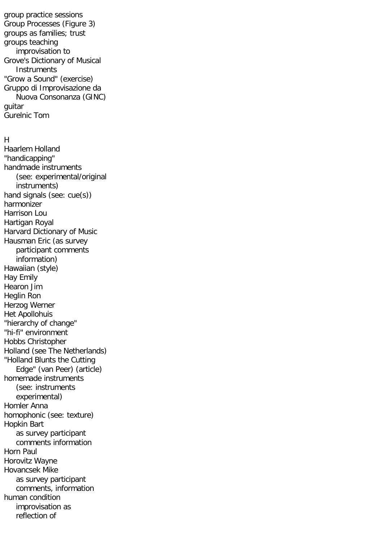group practice sessions Group Processes (Figure 3) groups as families; trust groups teaching improvisation to Grove's Dictionary of Musical **Instruments** "Grow a Sound" (exercise) Gruppo di Improvisazione da Nuova Consonanza (GINC) guitar Gurelnic Tom

#### H

Haarlem Holland "handicapping" handmade instruments (see: experimental/original instruments) hand signals (see: cue(s)) harmonizer Harrison Lou Hartigan Royal Harvard Dictionary of Music Hausman Eric (as survey participant comments information) Hawaiian (style) Hay Emily Hearon Jim Heglin Ron Herzog Werner Het Apollohuis "hierarchy of change" "hi-fi" environment Hobbs Christopher Holland (see The Netherlands) "Holland Blunts the Cutting Edge" (van Peer) (article) homemade instruments (see: instruments experimental) Homler Anna homophonic (see: texture) Hopkin Bart as survey participant comments information Horn Paul Horovitz Wayne Hovancsek Mike as survey participant comments, information human condition improvisation as reflection of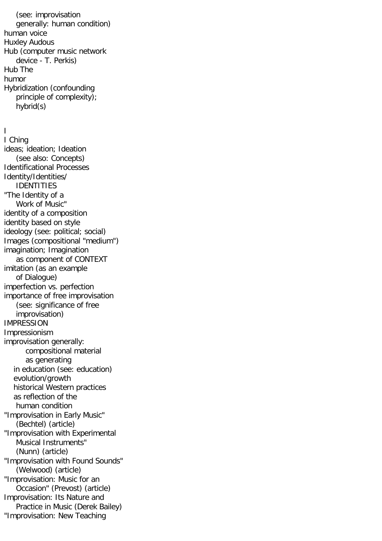(see: improvisation generally: human condition) human voice Huxley Audous Hub (computer music network device - T. Perkis) Hub The humor Hybridization (confounding principle of complexity); hybrid(s)

# I

I Ching ideas; ideation; Ideation (see also: Concepts) Identificational Processes Identity/Identities/ IDENTITIES "The Identity of a Work of Music" identity of a composition identity based on style ideology (see: political; social) Images (compositional "medium") imagination; Imagination as component of CONTEXT imitation (as an example of Dialogue) imperfection vs. perfection importance of free improvisation (see: significance of free improvisation) IMPRESSION Impressionism improvisation generally: compositional material as generating in education (see: education) evolution/growth historical Western practices as reflection of the human condition "Improvisation in Early Music" (Bechtel) (article) "Improvisation with Experimental Musical Instruments" (Nunn) (article) "Improvisation with Found Sounds" (Welwood) (article) "Improvisation: Music for an Occasion" (Prevost) (article) Improvisation: Its Nature and Practice in Music (Derek Bailey) "Improvisation: New Teaching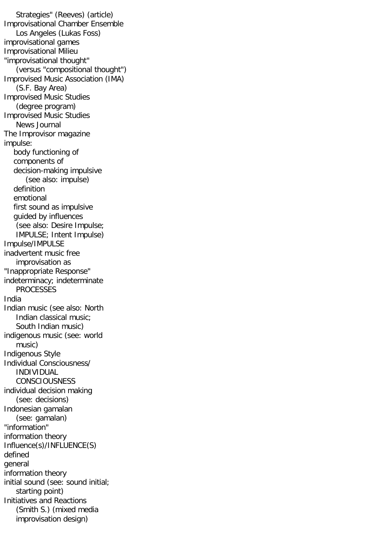Strategies" (Reeves) (article) Improvisational Chamber Ensemble Los Angeles (Lukas Foss) improvisational games Improvisational Milieu "improvisational thought" (versus "compositional thought") Improvised Music Association (IMA) (S.F. Bay Area) Improvised Music Studies (degree program) Improvised Music Studies News Journal The Improvisor magazine impulse: body functioning of components of decision-making impulsive (see also: impulse) definition emotional first sound as impulsive guided by influences (see also: Desire Impulse; IMPULSE; Intent Impulse) Impulse/IMPULSE inadvertent music free improvisation as "Inappropriate Response" indeterminacy; indeterminate PROCESSES India Indian music (see also: North Indian classical music; South Indian music) indigenous music (see: world music) Indigenous Style Individual Consciousness/ INDIVIDUAL **CONSCIOUSNESS** individual decision making (see: decisions) Indonesian gamalan (see: gamalan) "information" information theory Influence(s)/INFLUENCE(S) defined general information theory initial sound (see: sound initial; starting point) Initiatives and Reactions (Smith S.) (mixed media improvisation design)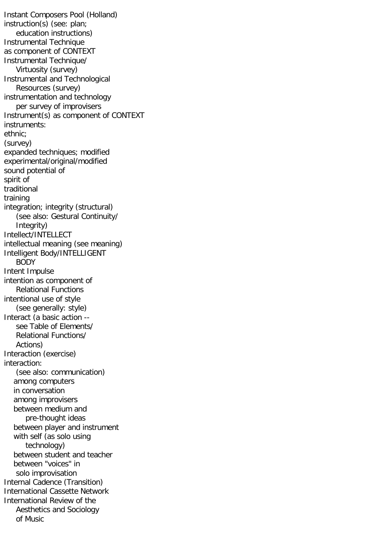Instant Composers Pool (Holland) instruction(s) (see: plan; education instructions) Instrumental Technique as component of CONTEXT Instrumental Technique/ Virtuosity (survey) Instrumental and Technological Resources (survey) instrumentation and technology per survey of improvisers Instrument(s) as component of CONTEXT instruments: ethnic; (survey) expanded techniques; modified experimental/original/modified sound potential of spirit of traditional training integration; integrity (structural) (see also: Gestural Continuity/ Integrity) Intellect/INTELLECT intellectual meaning (see meaning) Intelligent Body/INTELLIGENT BODY Intent Impulse intention as component of Relational Functions intentional use of style (see generally: style) Interact (a basic action - see Table of Elements/ Relational Functions/ Actions) Interaction (exercise) interaction: (see also: communication) among computers in conversation among improvisers between medium and pre-thought ideas between player and instrument with self (as solo using technology) between student and teacher between "voices" in solo improvisation Internal Cadence (Transition) International Cassette Network International Review of the Aesthetics and Sociology of Music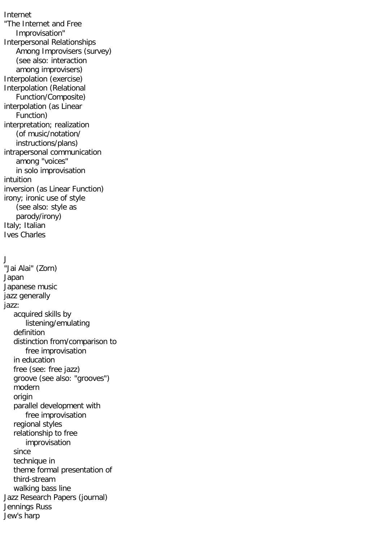Internet "The Internet and Free Improvisation" Interpersonal Relationships Among Improvisers (survey) (see also: interaction among improvisers) Interpolation (exercise) Interpolation (Relational Function/Composite) interpolation (as Linear Function) interpretation; realization (of music/notation/ instructions/plans) intrapersonal communication among "voices" in solo improvisation intuition inversion (as Linear Function) irony; ironic use of style (see also: style as parody/irony) Italy; Italian Ives Charles

# J

"Jai Alai" (Zorn) Japan Japanese music jazz generally jazz: acquired skills by listening/emulating definition distinction from/comparison to free improvisation in education free (see: free jazz) groove (see also: "grooves") modern origin parallel development with free improvisation regional styles relationship to free improvisation since technique in theme formal presentation of third-stream walking bass line Jazz Research Papers (journal) Jennings Russ Jew's harp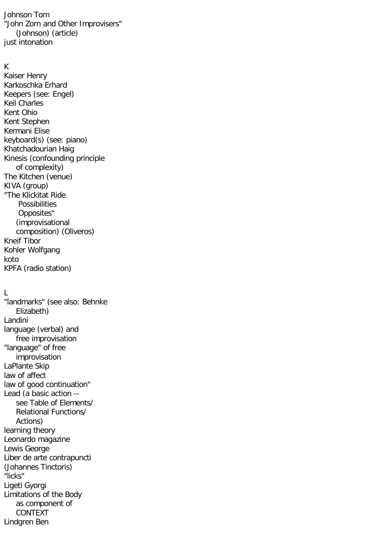Johnson Tom "John Zorn and Other Improvisers" (Johnson) (article) just intonation

### K

Kaiser Henry Karkoschka Erhard Keepers (see: Engel) Keil Charles Kent Ohio Kent Stephen Kermani Elise keyboard(s) (see: piano) Khatchadourian Haig Kinesis (confounding principle of complexity) The Kitchen (venue) KIVA (group) "The Klickitat Ride Possibilities Opposites" (improvisational composition) (Oliveros) Kneif Tibor Kohler Wolfgang koto KPFA (radio station)

# L

"landmarks" (see also: Behnke Elizabeth) Landini language (verbal) and free improvisation "language" of free improvisation LaPlante Skip law of affect law of good continuation" Lead (a basic action - see Table of Elements/ Relational Functions/ Actions) learning theory Leonardo magazine Lewis George Liber de arte contrapuncti (Johannes Tinctoris) "licks" Ligeti Gyorgi Limitations of the Body as component of CONTEXT Lindgren Ben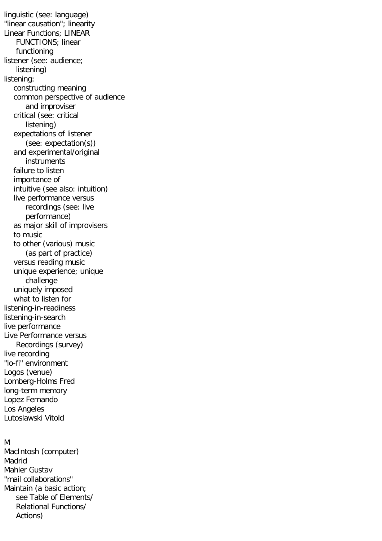linguistic (see: language) "linear causation"; linearity Linear Functions; LINEAR FUNCTIONS; linear functioning listener (see: audience; listening) listening: constructing meaning common perspective of audience and improviser critical (see: critical listening) expectations of listener (see: expectation(s)) and experimental/original instruments failure to listen importance of intuitive (see also: intuition) live performance versus recordings (see: live performance) as major skill of improvisers to music to other (various) music (as part of practice) versus reading music unique experience; unique challenge uniquely imposed what to listen for listening-in-readiness listening-in-search live performance Live Performance versus Recordings (survey) live recording "lo-fi" environment Logos (venue) Lomberg-Holms Fred long-term memory Lopez Fernando Los Angeles Lutoslawski Vitold

#### M

MacIntosh (computer) Madrid Mahler Gustav "mail collaborations" Maintain (a basic action; see Table of Elements/ Relational Functions/ Actions)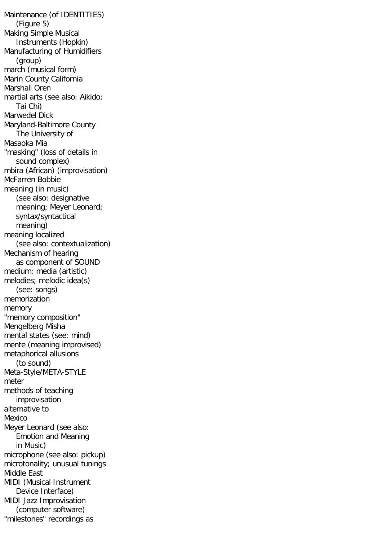Maintenance (of IDENTITIES) (Figure 5) Making Simple Musical Instruments (Hopkin) Manufacturing of Humidifiers (group) march (musical form) Marin County California Marshall Oren martial arts (see also: Aikido; Tai Chi) Marwedel Dick Maryland-Baltimore County The University of Masaoka Mia "masking" (loss of details in sound complex) mbira (African) (improvisation) McFarren Bobbie meaning (in music) (see also: designative meaning; Meyer Leonard; syntax/syntactical meaning) meaning localized (see also: contextualization) Mechanism of hearing as component of SOUND medium; media (artistic) melodies; melodic idea(s) (see: songs) memorization memory "memory composition" Mengelberg Misha mental states (see: mind) mente (meaning improvised) metaphorical allusions (to sound) Meta-Style/META-STYLE meter methods of teaching improvisation alternative to Mexico Meyer Leonard (see also: Emotion and Meaning in Music) microphone (see also: pickup) microtonality; unusual tunings Middle East MIDI (Musical Instrument Device Interface) MIDI Jazz Improvisation (computer software) "milestones" recordings as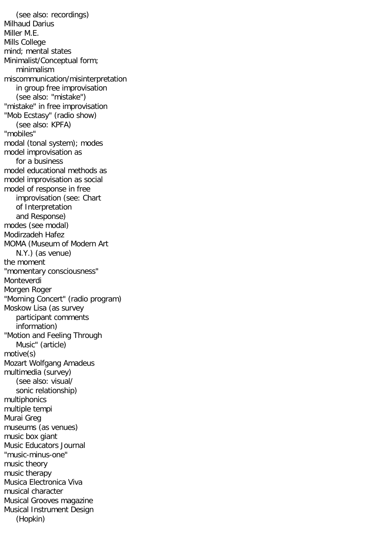(see also: recordings) Milhaud Darius Miller M.E. Mills College mind; mental states Minimalist/Conceptual form; minimalism miscommunication/misinterpretation in group free improvisation (see also: "mistake") "mistake" in free improvisation "Mob Ecstasy" (radio show) (see also: KPFA) "mobiles" modal (tonal system); modes model improvisation as for a business model educational methods as model improvisation as social model of response in free improvisation (see: Chart of Interpretation and Response) modes (see modal) Modirzadeh Hafez MOMA (Museum of Modern Art N.Y.) (as venue) the moment "momentary consciousness" Monteverdi Morgen Roger "Morning Concert" (radio program) Moskow Lisa (as survey participant comments information) "Motion and Feeling Through Music" (article) motive(s) Mozart Wolfgang Amadeus multimedia (survey) (see also: visual/ sonic relationship) multiphonics multiple tempi Murai Greg museums (as venues) music box giant Music Educators Journal "music-minus-one" music theory music therapy Musica Electronica Viva musical character Musical Grooves magazine Musical Instrument Design (Hopkin)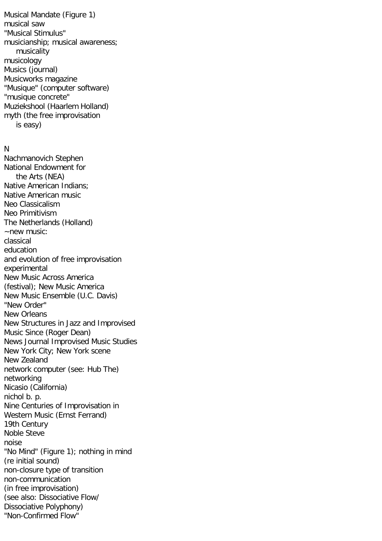Musical Mandate (Figure 1) musical saw "Musical Stimulus" musicianship; musical awareness; musicality musicology Musics (journal) Musicworks magazine "Musique" (computer software) "musique concrete" Muziekshool (Haarlem Holland) myth (the free improvisation is easy)

#### N

Nachmanovich Stephen National Endowment for the Arts (NEA) Native American Indians; Native American music Neo Classicalism Neo Primitivism The Netherlands (Holland) ~new music: classical education and evolution of free improvisation experimental New Music Across America (festival); New Music America New Music Ensemble (U.C. Davis) "New Order" New Orleans New Structures in Jazz and Improvised Music Since (Roger Dean) News Journal Improvised Music Studies New York City; New York scene New Zealand network computer (see: Hub The) networking Nicasio (California) nichol b. p. Nine Centuries of Improvisation in Western Music (Ernst Ferrand) 19th Century Noble Steve noise "No Mind" (Figure 1); nothing in mind (re initial sound) non-closure type of transition non-communication (in free improvisation) (see also: Dissociative Flow/ Dissociative Polyphony) "Non-Confirmed Flow"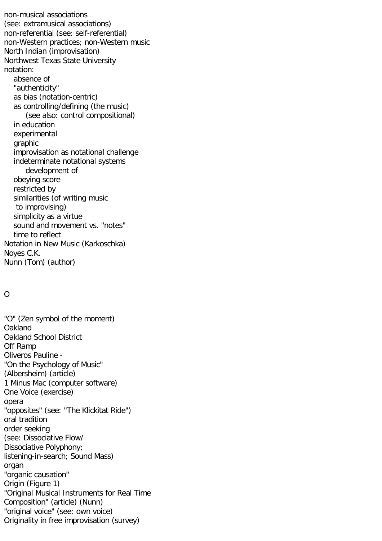non-musical associations (see: extramusical associations) non-referential (see: self-referential) non-Western practices; non-Western music North Indian (improvisation) Northwest Texas State University notation: absence of "authenticity" as bias (notation-centric) as controlling/defining (the music) (see also: control compositional) in education experimental graphic improvisation as notational challenge indeterminate notational systems development of obeying score restricted by similarities (of writing music to improvising) simplicity as a virtue sound and movement vs. "notes" time to reflect Notation in New Music (Karkoschka) Noyes C.K. Nunn (Tom) (author)

# O

"O" (Zen symbol of the moment) **Oakland** Oakland School District Off Ramp Oliveros Pauline - "On the Psychology of Music" (Albersheim) (article) 1 Minus Mac (computer software) One Voice (exercise) opera "opposites" (see: "The Klickitat Ride") oral tradition order seeking (see: Dissociative Flow/ Dissociative Polyphony; listening-in-search; Sound Mass) organ "organic causation" Origin (Figure 1) "Original Musical Instruments for Real Time Composition" (article) (Nunn) "original voice" (see: own voice) Originality in free improvisation (survey)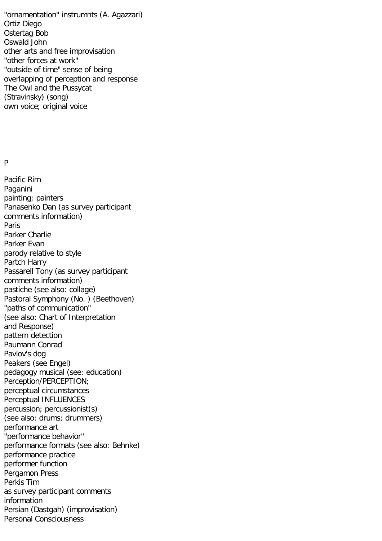"ornamentation" instrumnts (A. Agazzari) Ortiz Diego Ostertag Bob Oswald John other arts and free improvisation "other forces at work" "outside of time" sense of being overlapping of perception and response The Owl and the Pussycat (Stravinsky) (song) own voice; original voice

#### P

Pacific Rim Paganini painting; painters Panasenko Dan (as survey participant comments information) Paris Parker Charlie Parker Evan parody relative to style Partch Harry Passarell Tony (as survey participant comments information) pastiche (see also: collage) Pastoral Symphony (No. ) (Beethoven) "paths of communication" (see also: Chart of Interpretation and Response) pattern detection Paumann Conrad Pavlov's dog Peakers (see Engel) pedagogy musical (see: education) Perception/PERCEPTION; perceptual circumstances Perceptual INFLUENCES percussion; percussionist(s) (see also: drums; drummers) performance art "performance behavior" performance formats (see also: Behnke) performance practice performer function Pergamon Press Perkis Tim as survey participant comments information Persian (Dastgah) (improvisation) Personal Consciousness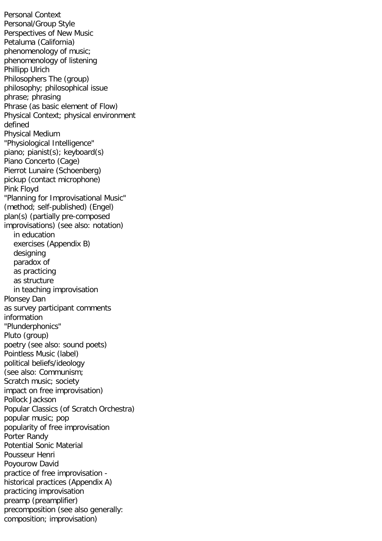Personal Context Personal/Group Style Perspectives of New Music Petaluma (California) phenomenology of music; phenomenology of listening Phillipp Ulrich Philosophers The (group) philosophy; philosophical issue phrase; phrasing Phrase (as basic element of Flow) Physical Context; physical environment defined Physical Medium "Physiological Intelligence" piano; pianist(s); keyboard(s) Piano Concerto (Cage) Pierrot Lunaire (Schoenberg) pickup (contact microphone) Pink Floyd "Planning for Improvisational Music" (method; self-published) (Engel) plan(s) (partially pre-composed improvisations) (see also: notation) in education exercises (Appendix B) designing paradox of as practicing as structure in teaching improvisation Plonsey Dan as survey participant comments information "Plunderphonics" Pluto (group) poetry (see also: sound poets) Pointless Music (label) political beliefs/ideology (see also: Communism; Scratch music; society impact on free improvisation) Pollock Jackson Popular Classics (of Scratch Orchestra) popular music; pop popularity of free improvisation Porter Randy Potential Sonic Material Pousseur Henri Poyourow David practice of free improvisation historical practices (Appendix A) practicing improvisation preamp (preamplifier) precomposition (see also generally: composition; improvisation)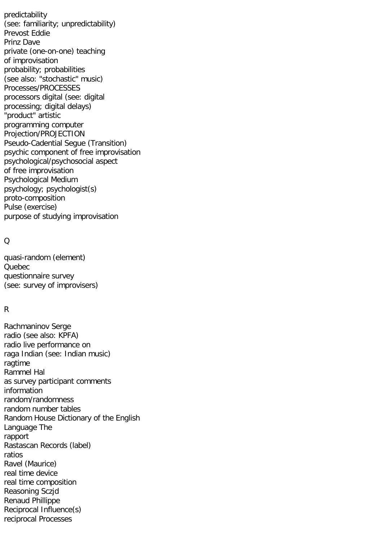predictability (see: familiarity; unpredictability) Prevost Eddie Prinz Dave private (one-on-one) teaching of improvisation probability; probabilities (see also: "stochastic" music) Processes/PROCESSES processors digital (see: digital processing; digital delays) "product" artistic programming computer Projection/PROJECTION Pseudo-Cadential Segue (Transition) psychic component of free improvisation psychological/psychosocial aspect of free improvisation Psychological Medium psychology; psychologist(s) proto-composition Pulse (exercise) purpose of studying improvisation

## $\Omega$

quasi-random (element) Quebec questionnaire survey (see: survey of improvisers)

## R

Rachmaninov Serge radio (see also: KPFA) radio live performance on raga Indian (see: Indian music) ragtime Rammel Hal as survey participant comments information random/randomness random number tables Random House Dictionary of the English Language The rapport Rastascan Records (label) ratios Ravel (Maurice) real time device real time composition Reasoning Sczjd Renaud Phillippe Reciprocal Influence(s) reciprocal Processes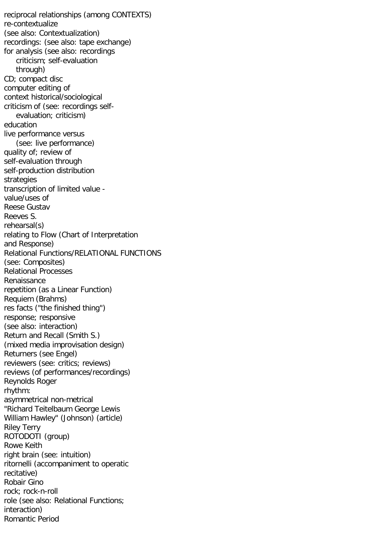reciprocal relationships (among CONTEXTS) re-contextualize (see also: Contextualization) recordings: (see also: tape exchange) for analysis (see also: recordings criticism; self-evaluation through) CD; compact disc computer editing of context historical/sociological criticism of (see: recordings self evaluation; criticism) education live performance versus (see: live performance) quality of; review of self-evaluation through self-production distribution strategies transcription of limited value value/uses of Reese Gustav Reeves S. rehearsal(s) relating to Flow (Chart of Interpretation and Response) Relational Functions/RELATIONAL FUNCTIONS (see: Composites) Relational Processes Renaissance repetition (as a Linear Function) Requiem (Brahms) res facts ("the finished thing") response; responsive (see also: interaction) Return and Recall (Smith S.) (mixed media improvisation design) Returners (see Engel) reviewers (see: critics; reviews) reviews (of performances/recordings) Reynolds Roger rhythm: asymmetrical non-metrical "Richard Teitelbaum George Lewis William Hawley" (Johnson) (article) Riley Terry ROTODOTI (group) Rowe Keith right brain (see: intuition) ritornelli (accompaniment to operatic recitative) Robair Gino rock; rock-n-roll role (see also: Relational Functions; interaction) Romantic Period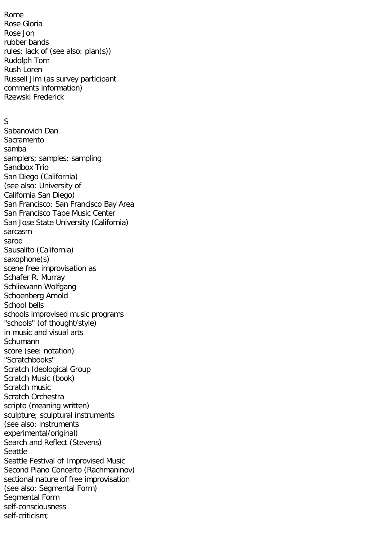Rome Rose Gloria Rose Jon rubber bands rules; lack of (see also: plan(s)) Rudolph Tom Rush Loren Russell Jim (as survey participant comments information) Rzewski Frederick

# S

Sabanovich Dan Sacramento samba samplers; samples; sampling Sandbox Trio San Diego (California) (see also: University of California San Diego) San Francisco; San Francisco Bay Area San Francisco Tape Music Center San Jose State University (California) sarcasm sarod Sausalito (California) saxophone(s) scene free improvisation as Schafer R. Murray Schliewann Wolfgang Schoenberg Arnold School bells schools improvised music programs "schools" (of thought/style) in music and visual arts Schumann score (see: notation) "Scratchbooks" Scratch Ideological Group Scratch Music (book) Scratch music Scratch Orchestra scripto (meaning written) sculpture; sculptural instruments (see also: instruments experimental/original) Search and Reflect (Stevens) Seattle Seattle Festival of Improvised Music Second Piano Concerto (Rachmaninov) sectional nature of free improvisation (see also: Segmental Form) Segmental Form self-consciousness self-criticism;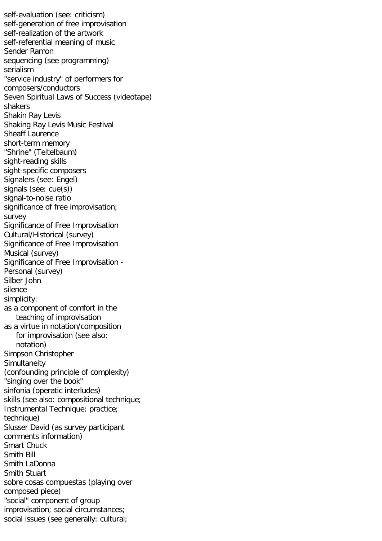self-evaluation (see: criticism) self-generation of free improvisation self-realization of the artwork self-referential meaning of music Sender Ramon sequencing (see programming) serialism "service industry" of performers for composers/conductors Seven Spiritual Laws of Success (videotape) shakers Shakin Ray Levis Shaking Ray Levis Music Festival Sheaff Laurence short-term memory "Shrine" (Teitelbaum) sight-reading skills sight-specific composers Signalers (see: Engel) signals (see: cue(s)) signal-to-noise ratio significance of free improvisation; survey Significance of Free Improvisation Cultural/Historical (survey) Significance of Free Improvisation Musical (survey) Significance of Free Improvisation - Personal (survey) Silber John silence simplicity: as a component of comfort in the teaching of improvisation as a virtue in notation/composition for improvisation (see also: notation) Simpson Christopher **Simultaneity** (confounding principle of complexity) "singing over the book" sinfonia (operatic interludes) skills (see also: compositional technique; Instrumental Technique; practice; technique) Slusser David (as survey participant comments information) Smart Chuck Smith Bill Smith LaDonna Smith Stuart sobre cosas compuestas (playing over composed piece) "social" component of group improvisation; social circumstances; social issues (see generally: cultural;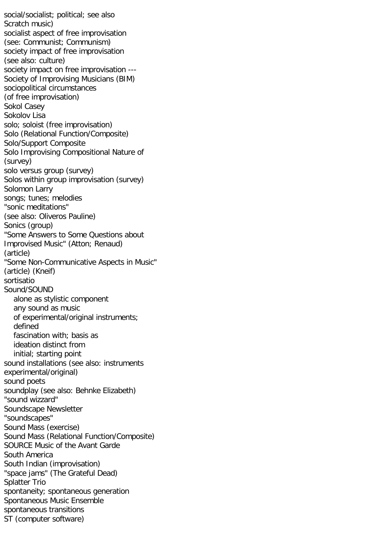social/socialist; political; see also Scratch music) socialist aspect of free improvisation (see: Communist; Communism) society impact of free improvisation (see also: culture) society impact on free improvisation --- Society of Improvising Musicians (BIM) sociopolitical circumstances (of free improvisation) Sokol Casey Sokolov Lisa solo; soloist (free improvisation) Solo (Relational Function/Composite) Solo/Support Composite Solo Improvising Compositional Nature of (survey) solo versus group (survey) Solos within group improvisation (survey) Solomon Larry songs; tunes; melodies "sonic meditations" (see also: Oliveros Pauline) Sonics (group) "Some Answers to Some Questions about Improvised Music" (Atton; Renaud) (article) "Some Non-Communicative Aspects in Music" (article) (Kneif) sortisatio Sound/SOUND alone as stylistic component any sound as music of experimental/original instruments; defined fascination with; basis as ideation distinct from initial; starting point sound installations (see also: instruments experimental/original) sound poets soundplay (see also: Behnke Elizabeth) "sound wizzard" Soundscape Newsletter "soundscapes" Sound Mass (exercise) Sound Mass (Relational Function/Composite) SOURCE Music of the Avant Garde South America South Indian (improvisation) "space jams" (The Grateful Dead) Splatter Trio spontaneity; spontaneous generation Spontaneous Music Ensemble spontaneous transitions ST (computer software)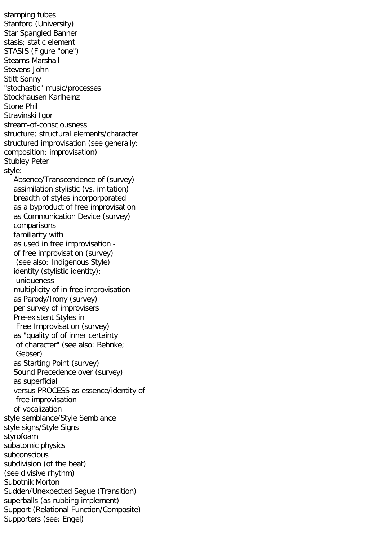stamping tubes Stanford (University) Star Spangled Banner stasis; static element STASIS (Figure "one") Stearns Marshall Stevens John Stitt Sonny "stochastic" music/processes Stockhausen Karlheinz Stone Phil Stravinski Igor stream-of-consciousness structure; structural elements/character structured improvisation (see generally: composition; improvisation) Stubley Peter style: Absence/Transcendence of (survey) assimilation stylistic (vs. imitation) breadth of styles incorporporated as a byproduct of free improvisation as Communication Device (survey) comparisons familiarity with as used in free improvisation of free improvisation (survey) (see also: Indigenous Style) identity (stylistic identity); uniqueness multiplicity of in free improvisation as Parody/Irony (survey) per survey of improvisers Pre-existent Styles in Free Improvisation (survey) as "quality of of inner certainty of character" (see also: Behnke; Gebser) as Starting Point (survey) Sound Precedence over (survey) as superficial versus PROCESS as essence/identity of free improvisation of vocalization style semblance/Style Semblance style signs/Style Signs styrofoam subatomic physics subconscious subdivision (of the beat) (see divisive rhythm) Subotnik Morton Sudden/Unexpected Segue (Transition) superballs (as rubbing implement) Support (Relational Function/Composite) Supporters (see: Engel)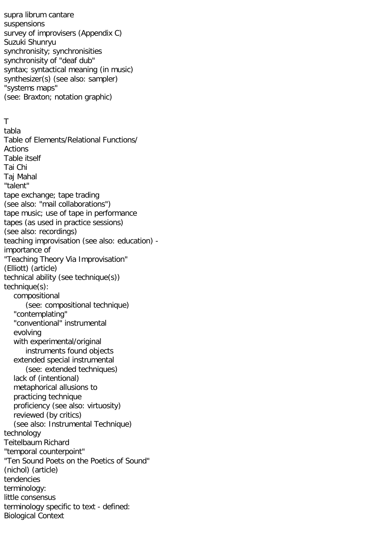supra librum cantare suspensions survey of improvisers (Appendix C) Suzuki Shunryu synchronisity; synchronisities synchronisity of "deaf dub" syntax; syntactical meaning (in music) synthesizer(s) (see also: sampler) "systems maps" (see: Braxton; notation graphic)

### T

tabla Table of Elements/Relational Functions/ Actions Table itself Tai Chi Taj Mahal "talent" tape exchange; tape trading (see also: "mail collaborations") tape music; use of tape in performance tapes (as used in practice sessions) (see also: recordings) teaching improvisation (see also: education) importance of "Teaching Theory Via Improvisation" (Elliott) (article) technical ability (see technique(s)) technique(s): compositional (see: compositional technique) "contemplating" "conventional" instrumental evolving with experimental/original instruments found objects extended special instrumental (see: extended techniques) lack of (intentional) metaphorical allusions to practicing technique proficiency (see also: virtuosity) reviewed (by critics) (see also: Instrumental Technique) technology Teitelbaum Richard "temporal counterpoint" "Ten Sound Poets on the Poetics of Sound" (nichol) (article) tendencies terminology: little consensus terminology specific to text - defined: Biological Context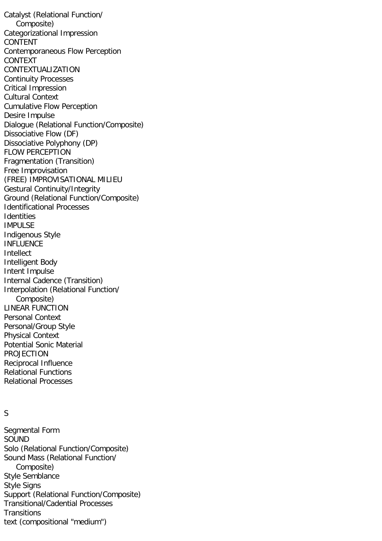Catalyst (Relational Function/ Composite) Categorizational Impression CONTENT Contemporaneous Flow Perception CONTEXT CONTEXTUALIZATION Continuity Processes Critical Impression Cultural Context Cumulative Flow Perception Desire Impulse Dialogue (Relational Function/Composite) Dissociative Flow (DF) Dissociative Polyphony (DP) FLOW PERCEPTION Fragmentation (Transition) Free Improvisation (FREE) IMPROVISATIONAL MILIEU Gestural Continuity/Integrity Ground (Relational Function/Composite) Identificational Processes **Identities** IMPULSE Indigenous Style INFLUENCE Intellect Intelligent Body Intent Impulse Internal Cadence (Transition) Interpolation (Relational Function/ Composite) LINEAR FUNCTION Personal Context Personal/Group Style Physical Context Potential Sonic Material PROJECTION Reciprocal Influence Relational Functions Relational Processes

# S

Segmental Form SOUND Solo (Relational Function/Composite) Sound Mass (Relational Function/ Composite) Style Semblance Style Signs Support (Relational Function/Composite) Transitional/Cadential Processes **Transitions** text (compositional "medium")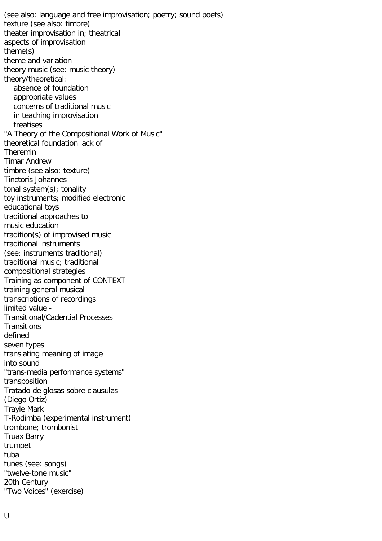(see also: language and free improvisation; poetry; sound poets) texture (see also: timbre) theater improvisation in; theatrical aspects of improvisation theme(s) theme and variation theory music (see: music theory) theory/theoretical: absence of foundation appropriate values concerns of traditional music in teaching improvisation treatises "A Theory of the Compositional Work of Music" theoretical foundation lack of Theremin Timar Andrew timbre (see also: texture) Tinctoris Johannes tonal system(s); tonality toy instruments; modified electronic educational toys traditional approaches to music education tradition(s) of improvised music traditional instruments (see: instruments traditional) traditional music; traditional compositional strategies Training as component of CONTEXT training general musical transcriptions of recordings limited value - Transitional/Cadential Processes **Transitions** defined seven types translating meaning of image into sound "trans-media performance systems" transposition Tratado de glosas sobre clausulas (Diego Ortiz) Trayle Mark T-Rodimba (experimental instrument) trombone; trombonist Truax Barry trumpet tuba tunes (see: songs) "twelve-tone music" 20th Century "Two Voices" (exercise)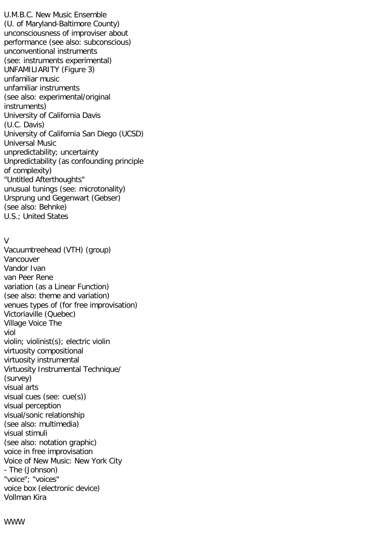U.M.B.C. New Music Ensemble (U. of Maryland-Baltimore County) unconsciousness of improviser about performance (see also: subconscious) unconventional instruments (see: instruments experimental) UNFAMILIARITY (Figure 3) unfamiliar music unfamiliar instruments (see also: experimental/original instruments) University of California Davis (U.C. Davis) University of California San Diego (UCSD) Universal Music unpredictability; uncertainty Unpredictability (as confounding principle of complexity) "Untitled Afterthoughts" unusual tunings (see: microtonality) Ursprung und Gegenwart (Gebser) (see also: Behnke) U.S.; United States

# V

Vacuumtreehead (VTH) (group) Vancouver Vandor Ivan van Peer Rene variation (as a Linear Function) (see also: theme and variation) venues types of (for free improvisation) Victoriaville (Quebec) Village Voice The viol violin; violinist(s); electric violin virtuosity compositional virtuosity instrumental Virtuosity Instrumental Technique/ (survey) visual arts visual cues (see: cue(s)) visual perception visual/sonic relationship (see also: multimedia) visual stimuli (see also: notation graphic) voice in free improvisation Voice of New Music: New York City - The (Johnson) "voice"; "voices" voice box (electronic device) Vollman Kira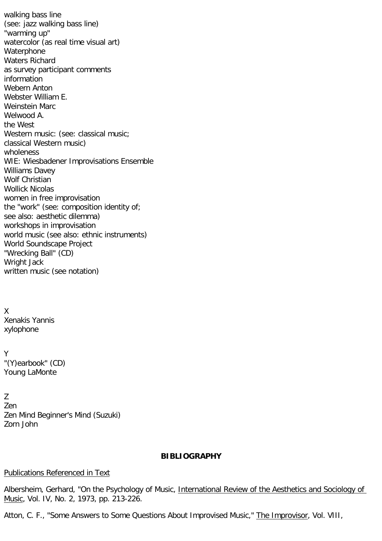walking bass line (see: jazz walking bass line) "warming up" watercolor (as real time visual art) Waterphone Waters Richard as survey participant comments information Webern Anton Webster William E. Weinstein Marc Welwood A. the West Western music: (see: classical music; classical Western music) wholeness WIE: Wiesbadener Improvisations Ensemble Williams Davey Wolf Christian Wollick Nicolas women in free improvisation the "work" (see: composition identity of; see also: aesthetic dilemma) workshops in improvisation world music (see also: ethnic instruments) World Soundscape Project "Wrecking Ball" (CD) Wright Jack written music (see notation)

X Xenakis Yannis xylophone

Y "(Y)earbook" (CD) Young LaMonte

Z Zen Zen Mind Beginner's Mind (Suzuki) Zorn John

### **BIBLIOGRAPHY**

### Publications Referenced in Text

Albersheim, Gerhard, "On the Psychology of Music, International Review of the Aesthetics and Sociology of Music, Vol. IV, No. 2, 1973, pp. 213-226.

Atton, C. F., "Some Answers to Some Questions About Improvised Music," The Improvisor, Vol. VIII,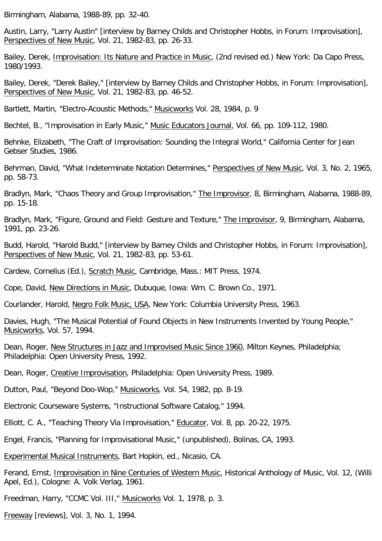Birmingham, Alabama, 1988-89, pp. 32-40.

Austin, Larry, "Larry Austin" [interview by Barney Childs and Christopher Hobbs, in Forum: Improvisation], Perspectives of New Music, Vol. 21, 1982-83, pp. 26-33.

Bailey, Derek, Improvisation: Its Nature and Practice in Music, (2nd revised ed.) New York: Da Capo Press, 1980/1993.

Bailey, Derek, "Derek Bailey," [interview by Barney Childs and Christopher Hobbs, in Forum: Improvisation], Perspectives of New Music, Vol. 21, 1982-83, pp. 46-52.

Bartlett, Martin, "Electro-Acoustic Methods," Musicworks Vol. 28, 1984, p. 9

Bechtel, B., "Improvisation in Early Music," Music Educators Journal, Vol. 66, pp. 109-112, 1980.

Behnke, Elizabeth, "The Craft of Improvisation: Sounding the Integral World," California Center for Jean Gebser Studies, 1986.

Behrman, David, "What Indeterminate Notation Determines," Perspectives of New Music, Vol. 3, No. 2, 1965, pp. 58-73.

Bradlyn, Mark, "Chaos Theory and Group Improvisation," The Improvisor, 8, Birmingham, Alabama, 1988-89, pp. 15-18.

Bradlyn, Mark, "Figure, Ground and Field: Gesture and Texture," The Improvisor, 9, Birmingham, Alabama, 1991, pp. 23-26.

Budd, Harold, "Harold Budd," [interview by Barney Childs and Christopher Hobbs, in Forum: Improvisation], Perspectives of New Music, Vol. 21, 1982-83, pp. 53-61.

Cardew, Cornelius (Ed.), Scratch Music, Cambridge, Mass.: MIT Press, 1974.

Cope, David, New Directions in Music, Dubuque, Iowa: Wm. C. Brown Co., 1971.

Courlander, Harold, Negro Folk Music, USA, New York: Columbia University Press, 1963.

Davies, Hugh, "The Musical Potential of Found Objects in New Instruments Invented by Young People," Musicworks, Vol. 57, 1994.

Dean, Roger, New Structures in Jazz and Improvised Music Since 1960, Milton Keynes, Philadelphia; Philadelphia: Open University Press, 1992.

Dean, Roger, Creative Improvisation, Philadelphia: Open University Press, 1989.

Dutton, Paul, "Beyond Doo-Wop," Musicworks, Vol. 54, 1982, pp. 8-19.

Electronic Courseware Systems, "Instructional Software Catalog," 1994.

Elliott, C. A., "Teaching Theory Via Improvisation," Educator, Vol. 8, pp. 20-22, 1975.

Engel, Francis, "Planning for Improvisational Music," (unpublished), Bolinas, CA, 1993.

Experimental Musical Instruments, Bart Hopkin, ed., Nicasio, CA.

Ferand, Ernst, Improvisation in Nine Centuries of Western Music, Historical Anthology of Music, Vol. 12, (Willi Apel, Ed.), Cologne: A. Volk Verlag, 1961.

Freedman, Harry, "CCMC Vol. III," Musicworks Vol. 1, 1978, p. 3.

Freeway [reviews], Vol. 3, No. 1, 1994.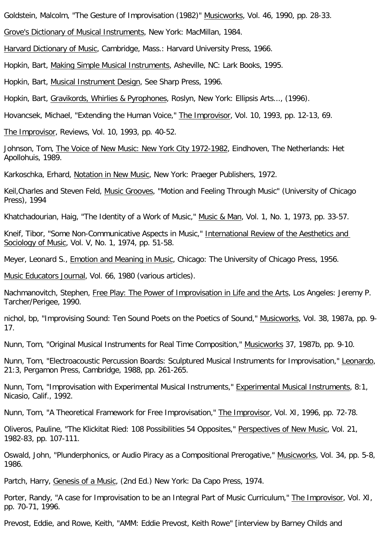Goldstein, Malcolm, "The Gesture of Improvisation (1982)" Musicworks, Vol. 46, 1990, pp. 28-33.

Grove's Dictionary of Musical Instruments, New York: MacMillan, 1984.

Harvard Dictionary of Music, Cambridge, Mass.: Harvard University Press, 1966.

Hopkin, Bart, Making Simple Musical Instruments, Asheville, NC: Lark Books, 1995.

Hopkin, Bart, Musical Instrument Design, See Sharp Press, 1996.

Hopkin, Bart, Gravikords, Whirlies & Pyrophones, Roslyn, New York: Ellipsis Arts..., (1996).

Hovancsek, Michael, "Extending the Human Voice," The Improvisor, Vol. 10, 1993, pp. 12-13, 69.

The Improvisor, Reviews, Vol. 10, 1993, pp. 40-52.

Johnson, Tom, The Voice of New Music: New York City 1972-1982, Eindhoven, The Netherlands: Het Apollohuis, 1989.

Karkoschka, Erhard, Notation in New Music, New York: Praeger Publishers, 1972.

Keil,Charles and Steven Feld, Music Grooves, "Motion and Feeling Through Music" (University of Chicago Press), 1994

Khatchadourian, Haig, "The Identity of a Work of Music," Music & Man, Vol. 1, No. 1, 1973, pp. 33-57.

Kneif, Tibor, "Some Non-Communicative Aspects in Music," International Review of the Aesthetics and Sociology of Music, Vol. V, No. 1, 1974, pp. 51-58.

Meyer, Leonard S., Emotion and Meaning in Music, Chicago: The University of Chicago Press, 1956.

Music Educators Journal, Vol. 66, 1980 (various articles).

Nachmanovitch, Stephen, Free Play: The Power of Improvisation in Life and the Arts, Los Angeles: Jeremy P. Tarcher/Perigee, 1990.

nichol, bp, "Improvising Sound: Ten Sound Poets on the Poetics of Sound," Musicworks, Vol. 38, 1987a, pp. 9- 17.

Nunn, Tom, "Original Musical Instruments for Real Time Composition," Musicworks 37, 1987b, pp. 9-10.

Nunn, Tom, "Electroacoustic Percussion Boards: Sculptured Musical Instruments for Improvisation," Leonardo, 21:3, Pergamon Press, Cambridge, 1988, pp. 261-265.

Nunn, Tom, "Improvisation with Experimental Musical Instruments," Experimental Musical Instruments, 8:1, Nicasio, Calif., 1992.

Nunn, Tom, "A Theoretical Framework for Free Improvisation," The Improvisor, Vol. XI, 1996, pp. 72-78.

Oliveros, Pauline, "The Klickitat Ried: 108 Possibilities 54 Opposites," Perspectives of New Music, Vol. 21, 1982-83, pp. 107-111.

Oswald, John, "Plunderphonics, or Audio Piracy as a Compositional Prerogative," Musicworks, Vol. 34, pp. 5-8, 1986.

Partch, Harry, Genesis of a Music, (2nd Ed.) New York: Da Capo Press, 1974.

Porter, Randy, "A case for Improvisation to be an Integral Part of Music Curriculum," The Improvisor, Vol. XI, pp. 70-71, 1996.

Prevost, Eddie, and Rowe, Keith, "AMM: Eddie Prevost, Keith Rowe" [interview by Barney Childs and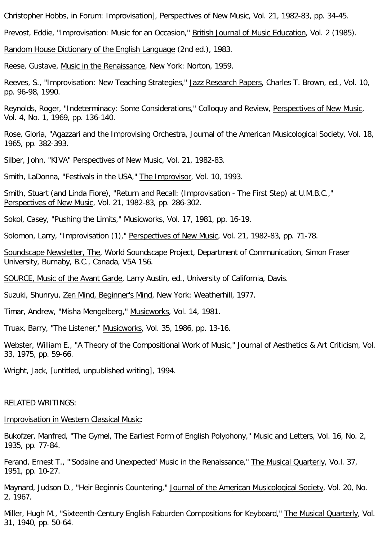Christopher Hobbs, in Forum: Improvisation], Perspectives of New Music, Vol. 21, 1982-83, pp. 34-45.

Prevost, Eddie, "Improvisation: Music for an Occasion," British Journal of Music Education, Vol. 2 (1985).

Random House Dictionary of the English Language (2nd ed.), 1983.

Reese, Gustave, Music in the Renaissance, New York: Norton, 1959.

Reeves, S., "Improvisation: New Teaching Strategies," Jazz Research Papers, Charles T. Brown, ed., Vol. 10, pp. 96-98, 1990.

Reynolds, Roger, "Indeterminacy: Some Considerations," Colloquy and Review, Perspectives of New Music, Vol. 4, No. 1, 1969, pp. 136-140.

Rose, Gloria, "Agazzari and the Improvising Orchestra, Journal of the American Musicological Society, Vol. 18, 1965, pp. 382-393.

Silber, John, "KIVA" Perspectives of New Music, Vol. 21, 1982-83.

Smith, LaDonna, "Festivals in the USA," The Improvisor, Vol. 10, 1993.

Smith, Stuart (and Linda Fiore), "Return and Recall: (Improvisation - The First Step) at U.M.B.C.," Perspectives of New Music, Vol. 21, 1982-83, pp. 286-302.

Sokol, Casey, "Pushing the Limits," Musicworks, Vol. 17, 1981, pp. 16-19.

Solomon, Larry, "Improvisation (1)," Perspectives of New Music, Vol. 21, 1982-83, pp. 71-78.

Soundscape Newsletter, The, World Soundscape Project, Department of Communication, Simon Fraser University, Burnaby, B.C., Canada, V5A 1S6.

SOURCE, Music of the Avant Garde, Larry Austin, ed., University of California, Davis.

Suzuki, Shunryu, Zen Mind, Beginner's Mind, New York: Weatherhill, 1977.

Timar, Andrew, "Misha Mengelberg," Musicworks, Vol. 14, 1981.

Truax, Barry, "The Listener," Musicworks, Vol. 35, 1986, pp. 13-16.

Webster, William E., "A Theory of the Compositional Work of Music," Journal of Aesthetics & Art Criticism, Vol. 33, 1975, pp. 59-66.

Wright, Jack, [untitled, unpublished writing], 1994.

#### RELATED WRITINGS:

Improvisation in Western Classical Music:

Bukofzer, Manfred, "The Gymel, The Earliest Form of English Polyphony," Music and Letters, Vol. 16, No. 2, 1935, pp. 77-84.

Ferand, Ernest T., "'Sodaine and Unexpected' Music in the Renaissance," The Musical Quarterly, Vo.l. 37, 1951, pp. 10-27.

Maynard, Judson D., "Heir Beginnis Countering," Journal of the American Musicological Society, Vol. 20, No. 2, 1967.

Miller, Hugh M., "Sixteenth-Century English Faburden Compositions for Keyboard," The Musical Quarterly, Vol. 31, 1940, pp. 50-64.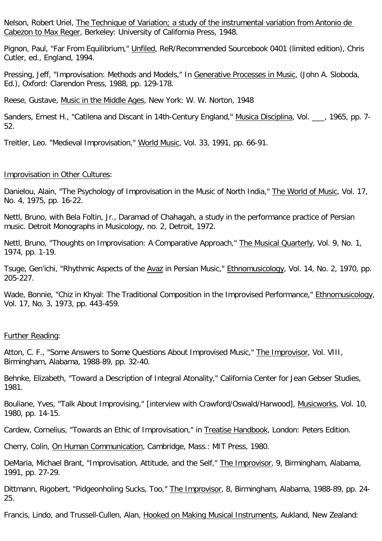Nelson, Robert Uriel, The Technique of Variation; a study of the instrumental variation from Antonio de Cabezon to Max Reger, Berkeley: University of California Press, 1948.

Pignon, Paul, "Far From Equilibrium," Unfiled, ReR/Recommended Sourcebook 0401 (limited edition), Chris Cutler, ed., England, 1994.

Pressing, Jeff, "Improvisation: Methods and Models," In Generative Processes in Music, (John A. Sloboda, Ed.), Oxford: Clarendon Press, 1988, pp. 129-178.

Reese, Gustave, Music in the Middle Ages, New York: W. W. Norton, 1948

Sanders, Ernest H., "Catilena and Discant in 14th-Century England," Musica Disciplina, Vol. [1965, pp. 7-52.

Treitler, Leo. "Medieval Improvisation," World Music, Vol. 33, 1991, pp. 66-91.

#### Improvisation in Other Cultures:

Danielou, Alain, "The Psychology of Improvisation in the Music of North India," The World of Music, Vol. 17, No. 4, 1975, pp. 16-22.

Nettl, Bruno, with Bela Foltin, Jr., Daramad of Chahagah, a study in the performance practice of Persian music. Detroit Monographs in Musicology, no. 2, Detroit, 1972.

Nettl, Bruno, "Thoughts on Improvisation: A Comparative Approach," The Musical Quarterly, Vol. 9, No. 1, 1974, pp. 1-19.

Tsuge, Gen'ichi, "Rhythmic Aspects of the Avaz in Persian Music," Ethnomusicology, Vol. 14, No. 2, 1970, pp. 205-227.

Wade, Bonnie, "Chiz in Khyal: The Traditional Composition in the Improvised Performance," Ethnomusicology, Vol. 17, No. 3, 1973, pp. 443-459.

#### Further Reading:

Atton, C. F., "Some Answers to Some Questions About Improvised Music," The Improvisor, Vol. VIII, Birmingham, Alabama, 1988-89, pp. 32-40.

Behnke, Elizabeth, "Toward a Description of Integral Atonality," California Center for Jean Gebser Studies, 1981.

Bouliane, Yves, "Talk About Improvising," [interview with Crawford/Oswald/Harwood], Musicworks, Vol. 10, 1980, pp. 14-15.

Cardew, Cornelius, "Towards an Ethic of Improvisation," in Treatise Handbook, London: Peters Edition.

Cherry, Colin, On Human Communication, Cambridge, Mass.: MIT Press, 1980.

DeMaria, Michael Brant, "Improvisation, Attitude, and the Self," The Improvisor, 9, Birmingham, Alabama, 1991, pp. 27-29.

Dittmann, Rigobert, "Pidgeonholing Sucks, Too," The Improvisor, 8, Birmingham, Alabama, 1988-89, pp. 24-25.

Francis, Lindo, and Trussell-Cullen, Alan, Hooked on Making Musical Instruments, Aukland, New Zealand: